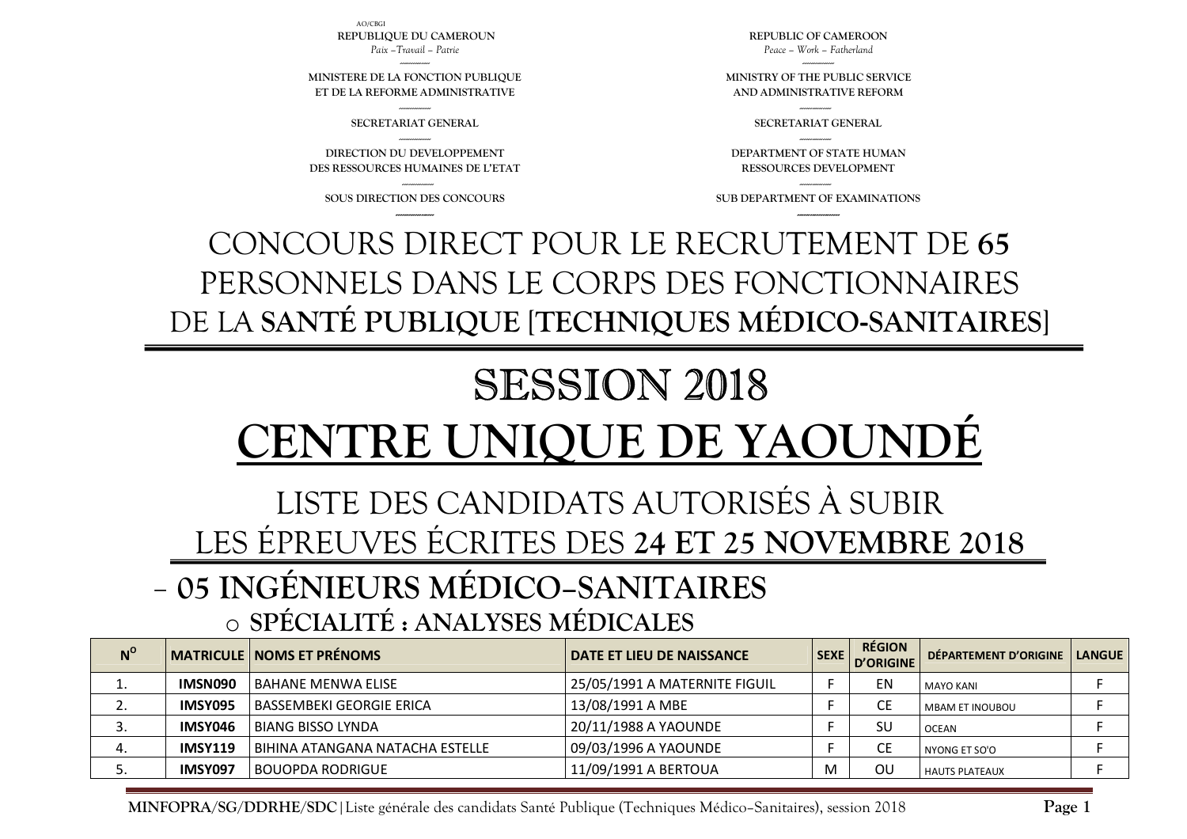**N<sup>o</sup>** MATRICULE</sub> NOMS ET PRÉNOMS **NOMS ET PRÉNOMS**  $\begin{bmatrix} 1 & 0 & 0 \end{bmatrix}$  **DATE ET LIEU DE NAISSANCE**  $\begin{bmatrix} 1 & 0 & 0 \end{bmatrix}$  **DÉPARTEMENT D'ORIGINE** 1.**IMSN090** BAHANE MENWA ELISE **25/05/1991 A MATERNITE FIGUIL** F F EN MAYO KANI F F 2.**IMSY095** BASSEMBEKI GEORGIE ERICA  $13/08/1991$  A MBE F CE MBAM ET INOUBOU F 3. **IMSY046** BIANG BISSO LYNDA 20/11/1988 A YAOUNDE F SU OCEAN <sup>F</sup> 4.**IMSY119** BIHINA ATANGANA NATACHA ESTELLE 09/03/1996 A YAOUNDE F F CE NYONG ET SO'O 0 F 5.**IMSY097** BOUOPDA RODRIGUE THE 11/09/1991 A BERTOUA M N OU HAUTS PLATEAUX FELECTION F

### **05 INGÉNIEURS MÉDICO–SANITAIRES**  o**SPÉCIALITÉ : ANALYSES MÉDICALES**

**MINFOPRA/SG/DDRHE/SDC**|Liste générale des candidats Santé Publique (Techniques Médico–Sanitaires), session 2018

## LISTE DES CANDIDATS AUTORISÉS À SUBIR LES ÉPREUVES ÉCRITES DES **24 ET 25 NOVEMBRE 2018**

# SESSION 2018 **CENTRE UNIQUE DE YAOUNDÉ**

## CONCOURS DIRECT POUR LE RECRUTEMENT DE **65** PERSONNELS DANS LE CORPS DES FONCTIONNAIRES DE LA **SANTÉ PUBLIQUE** [**TECHNIQUES MÉDICO-SANITAIRES**]

--------------- **SOUS DIRECTION DES CONCOURS ------------------**

**DIRECTION DU DEVELOPPEMENT DES RESSOURCES HUMAINES DE L'ETAT** 

--------------- **SECRETARIAT GENERAL** ---------------

**MINISTERE DE LA FONCTION PUBLIQUE ET DE LA REFORME ADMINISTRATIVE**

AO/CBGI **REPUBLIQUE DU CAMEROUN** *Paix –Travail – Patrie* 

> --------------- **SUB DEPARTMENT OF EXAMINATIONS --------------------**

**DEPARTMENT OF STATE HUMAN RESSOURCES DEVELOPMENT** 

--------------- **SECRETARIAT GENERAL** ---------------

**MINISTRY OF THE PUBLIC SERVICE AND ADMINISTRATIVE REFORM** 

**REPUBLIC OF CAMEROON** *Peace – Work – Fatherland* 

**Page 1**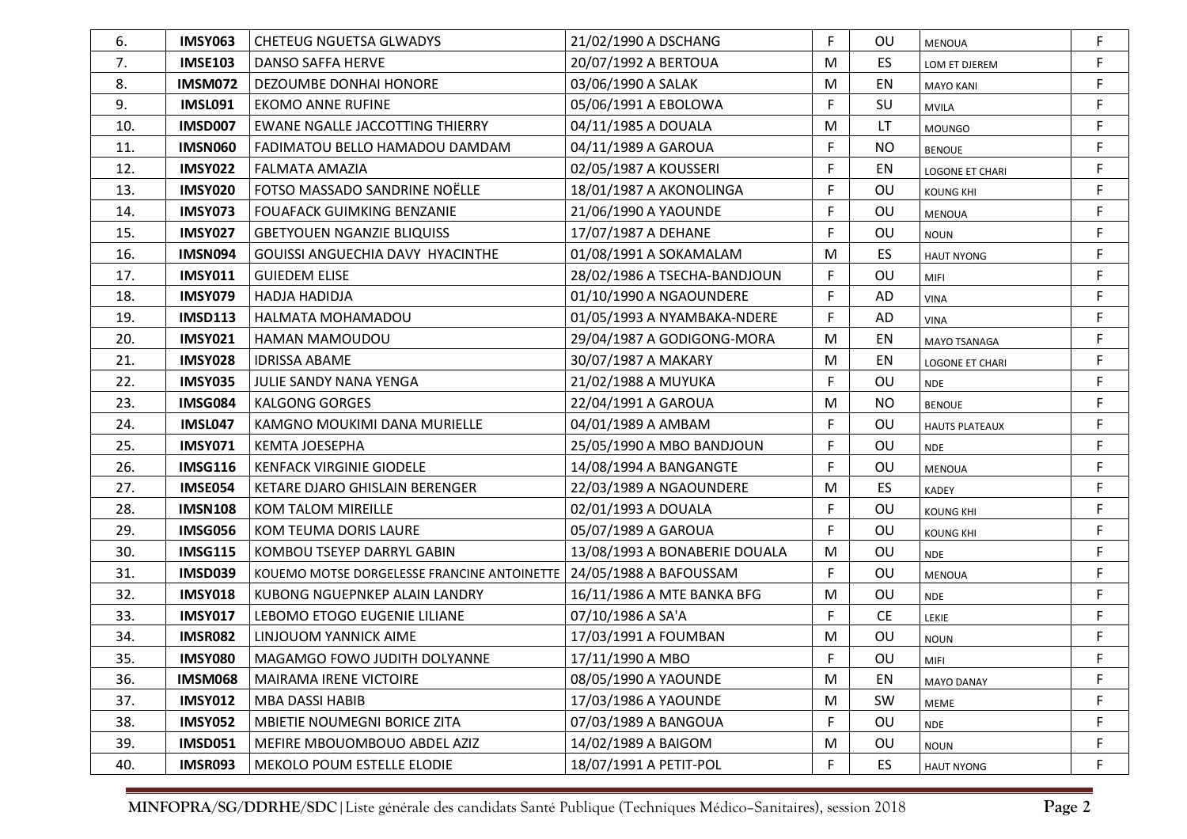| 6.  | IMSY063        | <b>CHETEUG NGUETSA GLWADYS</b>              | 21/02/1990 A DSCHANG          | F  | OU        | <b>MENOUA</b>          | F           |
|-----|----------------|---------------------------------------------|-------------------------------|----|-----------|------------------------|-------------|
| 7.  | <b>IMSE103</b> | DANSO SAFFA HERVE                           | 20/07/1992 A BERTOUA          | M  | ES        | LOM ET DJEREM          | F           |
| 8.  | <b>IMSM072</b> | DEZOUMBE DONHAI HONORE                      | 03/06/1990 A SALAK            | M  | EN        | <b>MAYO KANI</b>       | F.          |
| 9.  | IMSL091        | <b>EKOMO ANNE RUFINE</b>                    | 05/06/1991 A EBOLOWA          | F  | SU        | <b>MVILA</b>           | F           |
| 10. | <b>IMSD007</b> | EWANE NGALLE JACCOTTING THIERRY             | 04/11/1985 A DOUALA           | M  | LT        | <b>MOUNGO</b>          | F           |
| 11. | <b>IMSN060</b> | FADIMATOU BELLO HAMADOU DAMDAM              | 04/11/1989 A GAROUA           | F  | <b>NO</b> | <b>BENOUE</b>          | F           |
| 12. | <b>IMSY022</b> | FALMATA AMAZIA                              | 02/05/1987 A KOUSSERI         |    | EN        | <b>LOGONE ET CHARI</b> | F           |
| 13. | <b>IMSY020</b> | FOTSO MASSADO SANDRINE NOËLLE               | 18/01/1987 A AKONOLINGA       | F  | OU        | <b>KOUNG KHI</b>       | F           |
| 14. | <b>IMSY073</b> | <b>FOUAFACK GUIMKING BENZANIE</b>           | 21/06/1990 A YAOUNDE          | F  | OU        | <b>MENOUA</b>          | F           |
| 15. | <b>IMSY027</b> | <b>GBETYOUEN NGANZIE BLIQUISS</b>           | 17/07/1987 A DEHANE           | F  | OU        | <b>NOUN</b>            | F           |
| 16. | <b>IMSN094</b> | <b>GOUISSI ANGUECHIA DAVY HYACINTHE</b>     | 01/08/1991 A SOKAMALAM        | M  | ES.       | <b>HAUT NYONG</b>      | F           |
| 17. | <b>IMSY011</b> | <b>GUIEDEM ELISE</b>                        | 28/02/1986 A TSECHA-BANDJOUN  | F  | OU        | MIFI                   | F           |
| 18. | <b>IMSY079</b> | HADJA HADIDJA                               | 01/10/1990 A NGAOUNDERE       | F. | AD        | <b>VINA</b>            | F           |
| 19. | <b>IMSD113</b> | HALMATA MOHAMADOU                           | 01/05/1993 A NYAMBAKA-NDERE   | F. | AD        | <b>VINA</b>            | F           |
| 20. | <b>IMSY021</b> | HAMAN MAMOUDOU                              | 29/04/1987 A GODIGONG-MORA    | M  | EN        | <b>MAYO TSANAGA</b>    | F           |
| 21. | <b>IMSY028</b> | <b>IDRISSA ABAME</b>                        | 30/07/1987 A MAKARY           | M  | EN        | <b>LOGONE ET CHARI</b> | F           |
| 22. | <b>IMSY035</b> | JULIE SANDY NANA YENGA                      | 21/02/1988 A MUYUKA           | F  | OU        | <b>NDE</b>             | F           |
| 23. | <b>IMSG084</b> | <b>KALGONG GORGES</b>                       | 22/04/1991 A GAROUA           | M  | <b>NO</b> | <b>BENOUE</b>          | F           |
| 24. | IMSL047        | KAMGNO MOUKIMI DANA MURIELLE                | 04/01/1989 A AMBAM            | F  | OU        | <b>HAUTS PLATEAUX</b>  | F           |
| 25. | <b>IMSY071</b> | <b>KEMTA JOESEPHA</b>                       | 25/05/1990 A MBO BANDJOUN     | F. | OU        | <b>NDE</b>             | F           |
| 26. | <b>IMSG116</b> | <b>KENFACK VIRGINIE GIODELE</b>             | 14/08/1994 A BANGANGTE        | F. | OU        | <b>MENOUA</b>          | F           |
| 27. | IMSE054        | KETARE DJARO GHISLAIN BERENGER              | 22/03/1989 A NGAOUNDERE       | M  | ES        | <b>KADEY</b>           | F           |
| 28. | <b>IMSN108</b> | <b>KOM TALOM MIREILLE</b>                   | 02/01/1993 A DOUALA           | F  | OU        | <b>KOUNG KHI</b>       | F           |
| 29. | <b>IMSG056</b> | KOM TEUMA DORIS LAURE                       | 05/07/1989 A GAROUA           | F. | OU        | <b>KOUNG KHI</b>       | F           |
| 30. | <b>IMSG115</b> | KOMBOU TSEYEP DARRYL GABIN                  | 13/08/1993 A BONABERIE DOUALA | M  | OU        | <b>NDE</b>             | F           |
| 31. | <b>IMSD039</b> | KOUEMO MOTSE DORGELESSE FRANCINE ANTOINETTE | 24/05/1988 A BAFOUSSAM        | F. | OU        | MENOUA                 | F           |
| 32. | <b>IMSY018</b> | KUBONG NGUEPNKEP ALAIN LANDRY               | 16/11/1986 A MTE BANKA BFG    | M  | OU        | <b>NDE</b>             | F           |
| 33. | <b>IMSY017</b> | LEBOMO ETOGO EUGENIE LILIANE                | 07/10/1986 A SA'A             | F  | <b>CE</b> | LEKIE                  | F           |
| 34. | <b>IMSR082</b> | LINJOUOM YANNICK AIME                       | 17/03/1991 A FOUMBAN          | M  | OU        | <b>NOUN</b>            | $\mathsf F$ |
| 35. | IMSY080        | MAGAMGO FOWO JUDITH DOLYANNE                | 17/11/1990 A MBO              | F  | OU        | <b>MIFI</b>            |             |
| 36. | <b>IMSM068</b> | MAIRAMA IRENE VICTOIRE                      | 08/05/1990 A YAOUNDE          | M  | EN        | <b>MAYO DANAY</b>      | F           |
| 37. | <b>IMSY012</b> | <b>MBA DASSI HABIB</b>                      | 17/03/1986 A YAOUNDE          | M  | SW        | <b>MEME</b>            | F           |
| 38. | <b>IMSY052</b> | MBIETIE NOUMEGNI BORICE ZITA                | 07/03/1989 A BANGOUA          | F  | OU        | <b>NDE</b>             | F           |
| 39. | <b>IMSD051</b> | MEFIRE MBOUOMBOUO ABDEL AZIZ                | 14/02/1989 A BAIGOM           | M  | OU        | <b>NOUN</b>            | F           |
| 40. | IMSR093        | MEKOLO POUM ESTELLE ELODIE                  | 18/07/1991 A PETIT-POL        | F  | <b>ES</b> | <b>HAUT NYONG</b>      | F           |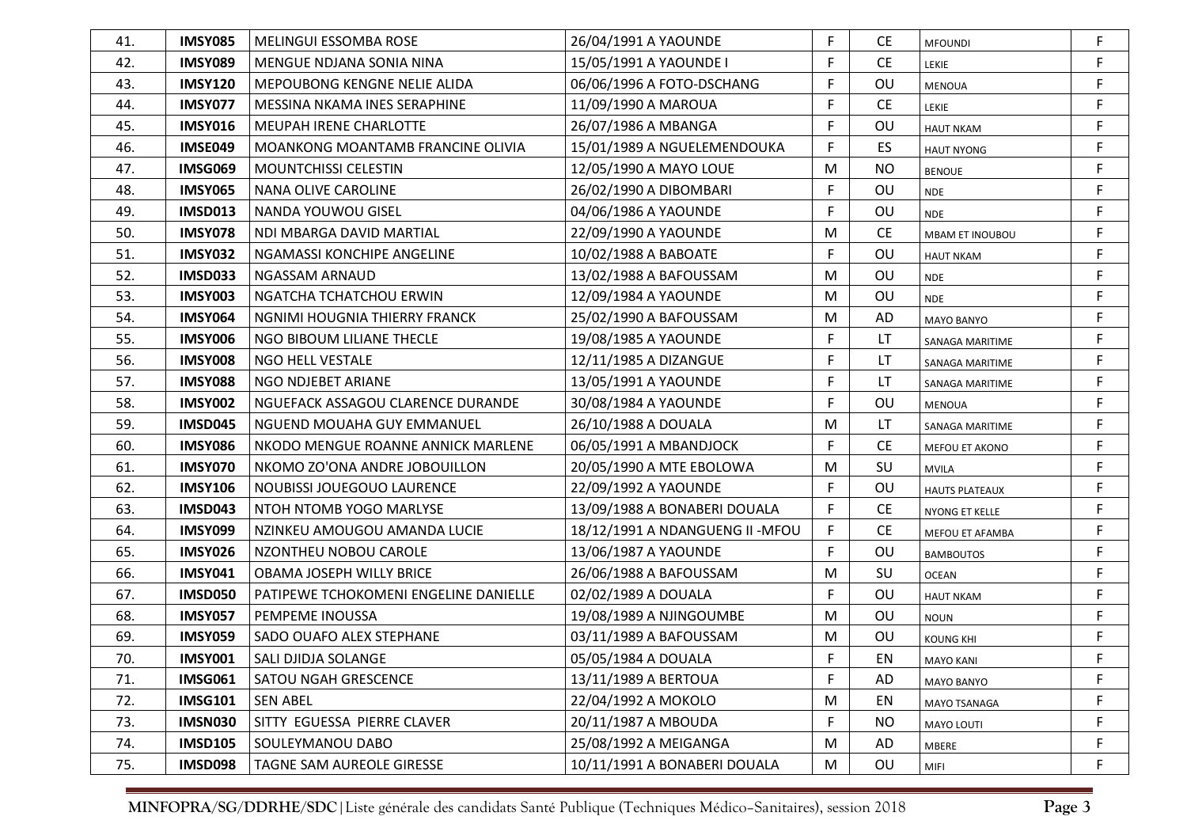| 41. | IMSY085        | MELINGUI ESSOMBA ROSE                 | 26/04/1991 A YAOUNDE             | F  | CE.       | <b>MFOUNDI</b>         | F  |
|-----|----------------|---------------------------------------|----------------------------------|----|-----------|------------------------|----|
| 42. | <b>IMSY089</b> | MENGUE NDJANA SONIA NINA              | 15/05/1991 A YAOUNDE I           | F  | <b>CE</b> | LEKIE                  | F  |
| 43. | <b>IMSY120</b> | MEPOUBONG KENGNE NELIE ALIDA          | 06/06/1996 A FOTO-DSCHANG        | F  | <b>OU</b> | <b>MENOUA</b>          | F. |
| 44. | <b>IMSY077</b> | MESSINA NKAMA INES SERAPHINE          | 11/09/1990 A MAROUA              | F  | <b>CE</b> | LEKIE                  | F  |
| 45. | <b>IMSY016</b> | <b>MEUPAH IRENE CHARLOTTE</b>         | 26/07/1986 A MBANGA              | F  | OU        | <b>HAUT NKAM</b>       | F. |
| 46. | <b>IMSE049</b> | MOANKONG MOANTAMB FRANCINE OLIVIA     | 15/01/1989 A NGUELEMENDOUKA      | F  | ES.       | <b>HAUT NYONG</b>      | F  |
| 47. | <b>IMSG069</b> | <b>MOUNTCHISSI CELESTIN</b>           | 12/05/1990 A MAYO LOUE           | M  | <b>NO</b> | <b>BENOUE</b>          | F  |
| 48. | <b>IMSY065</b> | NANA OLIVE CAROLINE                   | 26/02/1990 A DIBOMBARI           | F  | OU        | <b>NDE</b>             | F  |
| 49. | <b>IMSD013</b> | NANDA YOUWOU GISEL                    | 04/06/1986 A YAOUNDE             | F  | OU        | <b>NDE</b>             | F  |
| 50. | <b>IMSY078</b> | NDI MBARGA DAVID MARTIAL              | 22/09/1990 A YAOUNDE             | M  | <b>CE</b> | MBAM ET INOUBOU        | F  |
| 51. | <b>IMSY032</b> | NGAMASSI KONCHIPE ANGELINE            | 10/02/1988 A BABOATE             | F  | OU        | <b>HAUT NKAM</b>       | F  |
| 52. | <b>IMSD033</b> | NGASSAM ARNAUD                        | 13/02/1988 A BAFOUSSAM           | M  | OU        | <b>NDE</b>             | F  |
| 53. | <b>IMSY003</b> | NGATCHA TCHATCHOU ERWIN               | 12/09/1984 A YAOUNDE             | M  | OU        | <b>NDE</b>             | F  |
| 54. | <b>IMSY064</b> | NGNIMI HOUGNIA THIERRY FRANCK         | 25/02/1990 A BAFOUSSAM           | M  | AD        | <b>MAYO BANYO</b>      | F  |
| 55. | <b>IMSY006</b> | NGO BIBOUM LILIANE THECLE             | 19/08/1985 A YAOUNDE             | F  | LT        | <b>SANAGA MARITIME</b> | F  |
| 56. | <b>IMSY008</b> | NGO HELL VESTALE                      | 12/11/1985 A DIZANGUE            | F  | LT        | SANAGA MARITIME        | F  |
| 57. | <b>IMSY088</b> | NGO NDJEBET ARIANE                    | 13/05/1991 A YAOUNDE             | F  | LT.       | SANAGA MARITIME        | F  |
| 58. | <b>IMSY002</b> | NGUEFACK ASSAGOU CLARENCE DURANDE     | 30/08/1984 A YAOUNDE             | F. | OU        | <b>MENOUA</b>          | F  |
| 59. | <b>IMSD045</b> | NGUEND MOUAHA GUY EMMANUEL            | 26/10/1988 A DOUALA              | M  | LT        | <b>SANAGA MARITIME</b> | F  |
| 60. | <b>IMSY086</b> | NKODO MENGUE ROANNE ANNICK MARLENE    | 06/05/1991 A MBANDJOCK           | F. | <b>CE</b> | MEFOU ET AKONO         | F  |
| 61. | <b>IMSY070</b> | NKOMO ZO'ONA ANDRE JOBOUILLON         | 20/05/1990 A MTE EBOLOWA         | M  | SU        | <b>MVILA</b>           | F  |
| 62. | <b>IMSY106</b> | NOUBISSI JOUEGOUO LAURENCE            | 22/09/1992 A YAOUNDE             | F  | OU        | <b>HAUTS PLATEAUX</b>  | F  |
| 63. | <b>IMSD043</b> | NTOH NTOMB YOGO MARLYSE               | 13/09/1988 A BONABERI DOUALA     | F. | <b>CE</b> | NYONG ET KELLE         | F  |
| 64. | <b>IMSY099</b> | NZINKEU AMOUGOU AMANDA LUCIE          | 18/12/1991 A NDANGUENG II - MFOU | F. | <b>CE</b> | MEFOU ET AFAMBA        | F  |
| 65. | <b>IMSY026</b> | NZONTHEU NOBOU CAROLE                 | 13/06/1987 A YAOUNDE             | F  | OU        | <b>BAMBOUTOS</b>       | F  |
| 66. | <b>IMSY041</b> | <b>OBAMA JOSEPH WILLY BRICE</b>       | 26/06/1988 A BAFOUSSAM           | M  | SU        | <b>OCEAN</b>           | F  |
| 67. | <b>IMSD050</b> | PATIPEWE TCHOKOMENI ENGELINE DANIELLE | 02/02/1989 A DOUALA              | F. | OU        | <b>HAUT NKAM</b>       | F  |
| 68. | <b>IMSY057</b> | PEMPEME INOUSSA                       | 19/08/1989 A NJINGOUMBE          | M  | OU        | <b>NOUN</b>            | F  |
| 69. | <b>IMSY059</b> | SADO OUAFO ALEX STEPHANE              | 03/11/1989 A BAFOUSSAM           | M  | OU        | <b>KOUNG KHI</b>       | F  |
| 70. | <b>IMSY001</b> | <b>SALI DJIDJA SOLANGE</b>            | 05/05/1984 A DOUALA              | F  | EN        | <b>MAYO KANI</b>       |    |
| 71. | <b>IMSG061</b> | SATOU NGAH GRESCENCE                  | 13/11/1989 A BERTOUA             | F. | AD        | <b>MAYO BANYO</b>      | F  |
| 72. | <b>IMSG101</b> | <b>SEN ABEL</b>                       | 22/04/1992 A MOKOLO              | M  | EN        | MAYO TSANAGA           | F  |
| 73. | <b>IMSN030</b> | SITTY EGUESSA PIERRE CLAVER           | 20/11/1987 A MBOUDA              | F  | <b>NO</b> | <b>MAYO LOUTI</b>      | F  |
| 74. | <b>IMSD105</b> | SOULEYMANOU DABO                      | 25/08/1992 A MEIGANGA            | M  | AD        | MBERE                  | F  |
| 75. | <b>IMSD098</b> | TAGNE SAM AUREOLE GIRESSE             | 10/11/1991 A BONABERI DOUALA     | M  | OU        | MIFI                   | F  |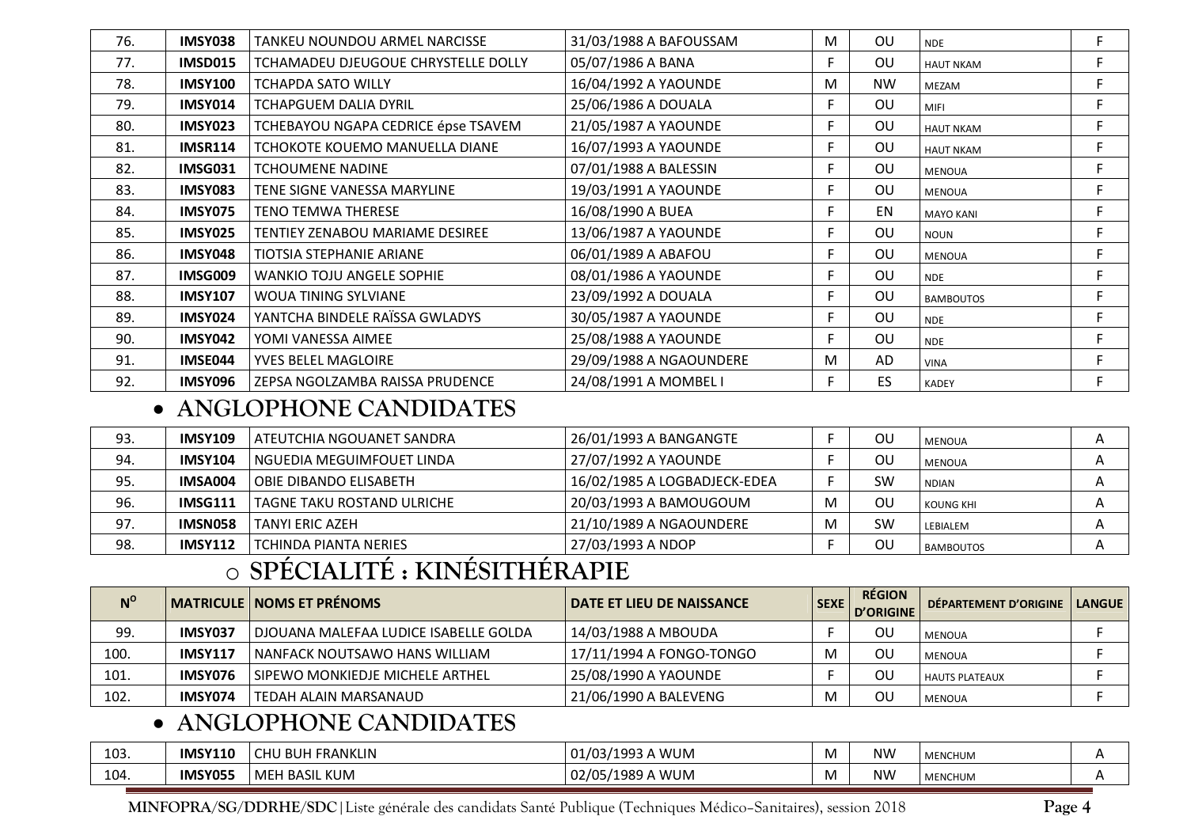| 76. | IMSY038        | TANKEU NOUNDOU ARMEL NARCISSE          | 31/03/1988 A BAFOUSSAM  | M  | OU        | <b>NDE</b>       | F. |
|-----|----------------|----------------------------------------|-------------------------|----|-----------|------------------|----|
| 77. | IMSD015        | TCHAMADEU DJEUGOUE CHRYSTELLE DOLLY    | 05/07/1986 A BANA       | Е  | OU        | <b>HAUT NKAM</b> | F. |
| 78. | <b>IMSY100</b> | <b>TCHAPDA SATO WILLY</b>              | 16/04/1992 A YAOUNDE    | M  | <b>NW</b> | MEZAM            | F. |
| 79. | <b>IMSY014</b> | <b>TCHAPGUEM DALIA DYRIL</b>           | 25/06/1986 A DOUALA     | F. | OU        | <b>MIFI</b>      | F  |
| 80. | <b>IMSY023</b> | TCHEBAYOU NGAPA CEDRICE épse TSAVEM    | 21/05/1987 A YAOUNDE    | F. | OU        | <b>HAUT NKAM</b> | F  |
| 81. | <b>IMSR114</b> | TCHOKOTE KOUEMO MANUELLA DIANE         | 16/07/1993 A YAOUNDE    | F. | OU        | <b>HAUT NKAM</b> | F. |
| 82. | <b>IMSG031</b> | <b>TCHOUMENE NADINE</b>                | 07/01/1988 A BALESSIN   | F. | OU        | <b>MENOUA</b>    | F. |
| 83. | <b>IMSY083</b> | TENE SIGNE VANESSA MARYLINE            | 19/03/1991 A YAOUNDE    | F. | OU        | <b>MENOUA</b>    | F. |
| 84. | IMSY075        | <b>TENO TEMWA THERESE</b>              | 16/08/1990 A BUEA       | F  | EN        | <b>MAYO KANI</b> | F. |
| 85. | IMSY025        | <b>TENTIEY ZENABOU MARIAME DESIREE</b> | 13/06/1987 A YAOUNDE    | F. | OU        | <b>NOUN</b>      | F  |
| 86. | IMSY048        | <b>TIOTSIA STEPHANIE ARIANE</b>        | 06/01/1989 A ABAFOU     | F. | OU        | <b>MENOUA</b>    | F. |
| 87. | <b>IMSG009</b> | <b>WANKIO TOJU ANGELE SOPHIE</b>       | 08/01/1986 A YAOUNDE    | F. | OU        | <b>NDE</b>       | F. |
| 88. | <b>IMSY107</b> | <b>WOUA TINING SYLVIANE</b>            | 23/09/1992 A DOUALA     | F. | OU        | <b>BAMBOUTOS</b> | F. |
| 89. | <b>IMSY024</b> | YANTCHA BINDELE RAÏSSA GWLADYS         | 30/05/1987 A YAOUNDE    | F. | <b>OU</b> | <b>NDE</b>       | F. |
| 90. | IMSY042        | YOMI VANESSA AIMEE                     | 25/08/1988 A YAOUNDE    | F. | OU        | <b>NDE</b>       | F. |
| 91. | IMSE044        | YVES BELEL MAGLOIRE                    | 29/09/1988 A NGAOUNDERE | M  | AD        | <b>VINA</b>      | F. |
| 92. | IMSY096        | ZEPSA NGOLZAMBA RAISSA PRUDENCE        | 24/08/1991 A MOMBEL I   | F. | ES.       | <b>KADEY</b>     | F. |

### • **ANGLOPHONE CANDIDATES**

| 93. | <b>IMSY109</b> | l ATEUTCHIA NGOUANET SANDRA  | 26/01/1993 A BANGANGTE       |   | ΟU        | <b>MENOUA</b>    |  |
|-----|----------------|------------------------------|------------------------------|---|-----------|------------------|--|
| 94. | <b>IMSY104</b> | l NGUEDIA MEGUIMFOUET LINDA  | 27/07/1992 A YAOUNDE         |   | ΟL        | <b>MENOUA</b>    |  |
| 95. | IMSA004        | OBIE DIBANDO ELISABETH       | 16/02/1985 A LOGBADJECK-EDEA |   | SW        | <b>NDIAN</b>     |  |
| 96. | <b>IMSG111</b> | l TAGNE TAKU ROSTAND ULRICHE | 20/03/1993 A BAMOUGOUM       | М | ΟU        | KOUNG KHI        |  |
| 97. | IMSN058        | <b>TANYI ERIC AZEH</b>       | 21/10/1989 A NGAOUNDERE      | м | <b>SW</b> | LEBIALEM         |  |
| 98. | <b>IMSY112</b> | <b>TCHINDA PIANTA NERIES</b> | 27/03/1993 A NDOP            |   | ΟU        | <b>BAMBOUTOS</b> |  |

#### o**SPÉCIALITÉ : KINÉSITHÉRAPIE**

| $N^{\circ}$ |                | <b>MATRICULE   NOMS ET PRÉNOMS</b>      | <b>DATE ET LIEU DE NAISSANCE</b> | <b>SEXE</b> | <b>RÉGION</b><br>D'ORIGINE | DÉPARTEMENT D'ORIGINE | <b>LANGUE</b> |
|-------------|----------------|-----------------------------------------|----------------------------------|-------------|----------------------------|-----------------------|---------------|
| 99.         | IMSY037        | l DJOUANA MALEFAA LUDICE ISABELLE GOLDA | 14/03/1988 A MBOUDA              |             | ΟU                         | MENOUA                |               |
| 100.        | <b>IMSY117</b> | l NANFACK NOUTSAWO HANS WILLIAM         | 17/11/1994 A FONGO-TONGO         |             | ΟL                         | MENOUA                |               |
| 101.        | IMSY076        | l SIPEWO MONKIEDJE MICHELE ARTHEL       | 25/08/1990 A YAOUNDE             |             | ΟU                         | l HAUTS PLATEAUX      |               |
| 102.        | IMSY074        | TEDAH ALAIN MARSANAUD                   | 21/06/1990 A BALEVENG            |             | ΟL                         | <b>MENOUA</b>         |               |

### • **ANGLOPHONE CANDIDATES**

| 103. | <b>IMSY110</b> | CHU BUH FRANKLIN | . A WUM<br>1993'<br>$\overline{\phantom{a}}$<br>1/03/1993.<br>U TI | M | NW | <b>MENCHUM</b> |  |
|------|----------------|------------------|--------------------------------------------------------------------|---|----|----------------|--|
| 104. | IMSY055        | MEH BASIL KUM    | 02/05/1989 A WUM                                                   | M | NW | <b>MENCHUM</b> |  |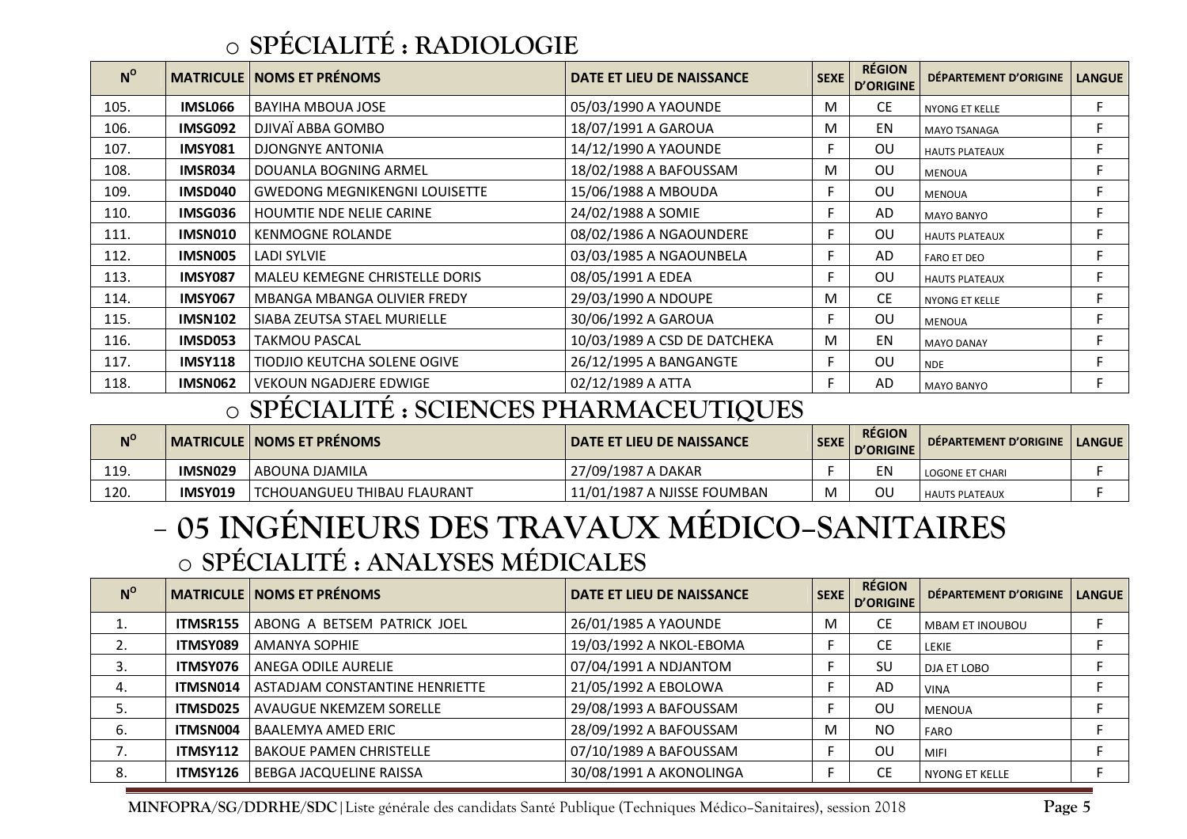#### o**SPÉCIALITÉ : RADIOLOGIE**

| $N^{\circ}$ |                | <b>MATRICULE   NOMS ET PRÉNOMS</b>   | DATE ET LIEU DE NAISSANCE    | <b>SEXE</b> | <b>RÉGION</b><br><b>D'ORIGINE</b> | DÉPARTEMENT D'ORIGINE | <b>LANGUE</b> |
|-------------|----------------|--------------------------------------|------------------------------|-------------|-----------------------------------|-----------------------|---------------|
| 105.        | IMSL066        | <b>BAYIHA MBOUA JOSE</b>             | 05/03/1990 A YAOUNDE         | M           | CE                                | <b>NYONG ET KELLE</b> | F.            |
| 106.        | IMSG092        | DJIVAÏ ABBA GOMBO                    | 18/07/1991 A GAROUA          | M           | EN                                | <b>MAYO TSANAGA</b>   | F             |
| 107.        | <b>IMSY081</b> | DJONGNYE ANTONIA                     | 14/12/1990 A YAOUNDE         | F           | 0U                                | <b>HAUTS PLATEAUX</b> | F             |
| 108.        | IMSR034        | DOUANLA BOGNING ARMEL                | 18/02/1988 A BAFOUSSAM       | M           | OU                                | <b>MENOUA</b>         | F.            |
| 109.        | IMSD040        | <b>GWEDONG MEGNIKENGNI LOUISETTE</b> | 15/06/1988 A MBOUDA          | F           | OU                                | <b>MENOUA</b>         | F             |
| 110.        | IMSG036        | <b>HOUMTIE NDE NELIE CARINE</b>      | 24/02/1988 A SOMIE           | Е           | AD                                | <b>MAYO BANYO</b>     | F.            |
| 111.        | IMSN010        | <b>KENMOGNE ROLANDE</b>              | 08/02/1986 A NGAOUNDERE      | F           | OU                                | <b>HAUTS PLATEAUX</b> | F.            |
| 112.        | IMSN005        | <b>LADI SYLVIE</b>                   | 03/03/1985 A NGAOUNBELA      |             | AD                                | <b>FARO ET DEO</b>    | F             |
| 113.        | <b>IMSY087</b> | MALEU KEMEGNE CHRISTELLE DORIS       | 08/05/1991 A EDEA            | F           | 0U                                | <b>HAUTS PLATEAUX</b> | F             |
| 114.        | <b>IMSY067</b> | MBANGA MBANGA OLIVIER FREDY          | 29/03/1990 A NDOUPE          | M           | <b>CE</b>                         | NYONG ET KELLE        | F.            |
| 115.        | <b>IMSN102</b> | SIABA ZEUTSA STAEL MURIELLE          | 30/06/1992 A GAROUA          | F.          | OU                                | <b>MENOUA</b>         | F.            |
| 116.        | IMSD053        | <b>TAKMOU PASCAL</b>                 | 10/03/1989 A CSD DE DATCHEKA | M           | EN                                | <b>MAYO DANAY</b>     | F.            |
| 117.        | <b>IMSY118</b> | <b>TIODJIO KEUTCHA SOLENE OGIVE</b>  | 26/12/1995 A BANGANGTE       |             | OU                                | <b>NDE</b>            | F             |
| 118.        | IMSN062        | <b>VEKOUN NGADJERE EDWIGE</b>        | 02/12/1989 A ATTA            | Е           | AD                                | <b>MAYO BANYO</b>     | F.            |

#### o**SPÉCIALITÉ : SCIENCES PHARMACEUTIQUES**

| $N^{\rm o}$ |         | MATRICULE   NOMS ET PRÉNOMS        | <b>DATE ET LIEU DE NAISSANCE</b> | <b>SEXE</b> | <b>RÉGION</b><br>D'ORIGINE | DÉPARTEMENT D'ORIGINE | <b>LANGUE</b> |
|-------------|---------|------------------------------------|----------------------------------|-------------|----------------------------|-----------------------|---------------|
| 119.        | IMSN029 | l ABOUNA DJAMILA                   | 27/09/1987 A DAKAR               |             |                            | LOGONE ET CHARI       |               |
| 120.        | IMSY019 | <b>TCHOUANGUEU THIBAU FLAURANT</b> | 11/01/1987 A NJISSE FOUMBAN      |             | ΟU                         | <b>HAUTS PLATEAUX</b> |               |

### **05 INGÉNIEURS DES TRAVAUX MÉDICO–SANITAIRES**  o**SPÉCIALITÉ : ANALYSES MÉDICALES**

| $N^{\rm o}$ |                 | <b>MATRICULE   NOMS ET PRÉNOMS</b> | DATE ET LIEU DE NAISSANCE | <b>SEXE</b> | <b>RÉGION</b><br>D'ORIGINE | <b>DÉPARTEMENT D'ORIGINE</b> | <b>LANGUE</b> |
|-------------|-----------------|------------------------------------|---------------------------|-------------|----------------------------|------------------------------|---------------|
|             | <b>ITMSR155</b> | ABONG A BETSEM PATRICK JOEL        | 26/01/1985 A YAOUNDE      | м           | <b>CE</b>                  | <b>MBAM ET INOUBOU</b>       |               |
|             | ITMSY089        | AMANYA SOPHIE                      | 19/03/1992 A NKOL-EBOMA   |             | CЕ                         | LEKIE                        |               |
|             | ITMSY076        | ANEGA ODILE AURELIE                | 07/04/1991 A NDJANTOM     |             | SU                         | <b>DJA ET LOBO</b>           |               |
| 4.          | <b>ITMSN014</b> | l ASTADJAM CONSTANTINE HENRIETTE   | 21/05/1992 A EBOLOWA      |             | AD                         | <b>VINA</b>                  |               |
|             | ITMSD025        | <b>AVAUGUE NKEMZEM SORELLE</b>     | 29/08/1993 A BAFOUSSAM    |             | ΟU                         | <b>MENOUA</b>                |               |
| 6.          | <b>ITMSN004</b> | <b>BAALEMYA AMED ERIC</b>          | 28/09/1992 A BAFOUSSAM    | м           | <b>NO</b>                  | <b>FARO</b>                  |               |
|             | ITMSY112        | <b>BAKOUE PAMEN CHRISTELLE</b>     | 07/10/1989 A BAFOUSSAM    |             | OU                         | <b>MIFI</b>                  |               |
| 8.          | ITMSY126        | <b>BEBGA JACQUELINE RAISSA</b>     | 30/08/1991 A AKONOLINGA   |             | CЕ                         | l NYONG ET KELLE             |               |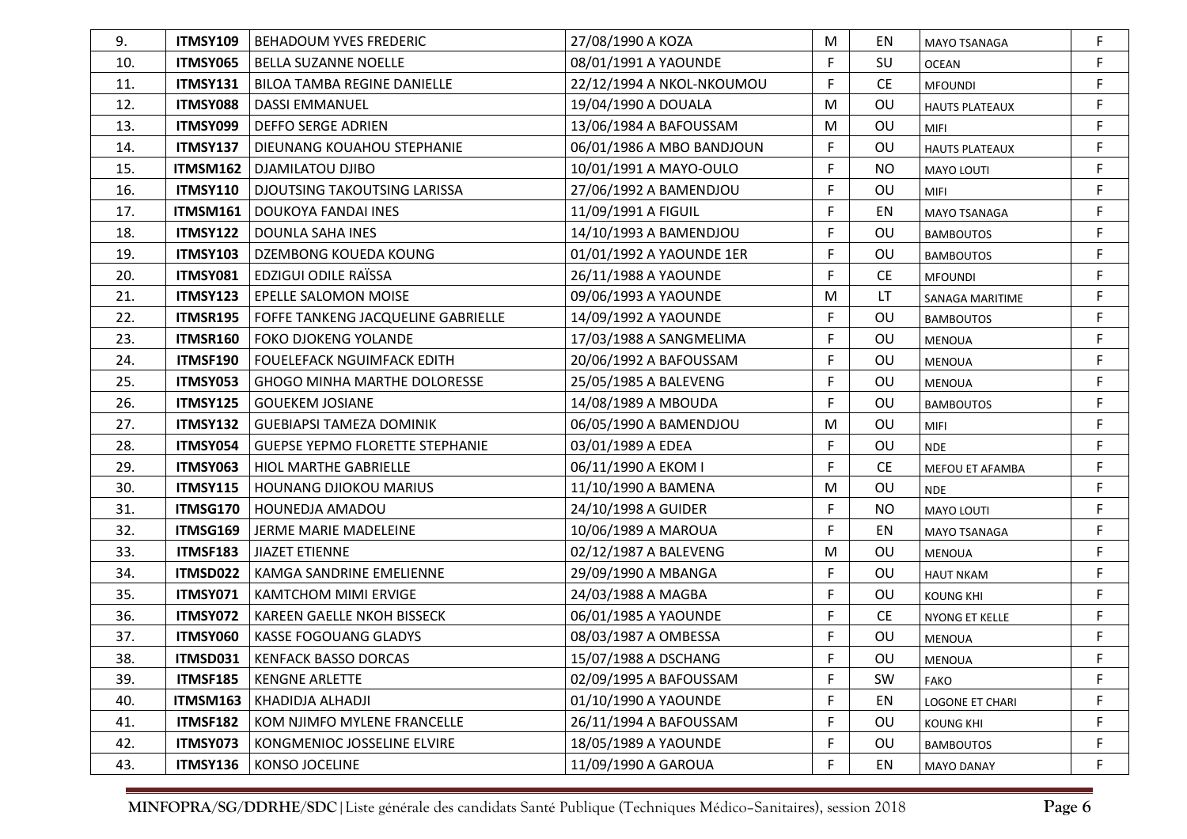| 9.  | <b>ITMSY109</b> | <b>BEHADOUM YVES FREDERIC</b>          | 27/08/1990 A KOZA         | M  | EN        | <b>MAYO TSANAGA</b>   | F  |
|-----|-----------------|----------------------------------------|---------------------------|----|-----------|-----------------------|----|
| 10. | ITMSY065        | <b>BELLA SUZANNE NOELLE</b>            | 08/01/1991 A YAOUNDE      | F  | SU        | <b>OCEAN</b>          | F  |
| 11. | ITMSY131        | <b>BILOA TAMBA REGINE DANIELLE</b>     | 22/12/1994 A NKOL-NKOUMOU | F  | CE        | <b>MFOUNDI</b>        | F. |
| 12. | ITMSY088        | <b>DASSI EMMANUEL</b>                  | 19/04/1990 A DOUALA       | М  | OU        | <b>HAUTS PLATEAUX</b> | F  |
| 13. | ITMSY099        | <b>DEFFO SERGE ADRIEN</b>              | 13/06/1984 A BAFOUSSAM    | M  | OU        | MIFI                  | F  |
| 14. | ITMSY137        | DIEUNANG KOUAHOU STEPHANIE             | 06/01/1986 A MBO BANDJOUN | F  | OU        | <b>HAUTS PLATEAUX</b> | F  |
| 15. | ITMSM162        | DJAMILATOU DJIBO                       | 10/01/1991 A MAYO-OULO    |    | <b>NO</b> | MAYO LOUTI            | F  |
| 16. | <b>ITMSY110</b> | <b>DJOUTSING TAKOUTSING LARISSA</b>    | 27/06/1992 A BAMENDJOU    | F  | OU        | <b>MIFI</b>           | F  |
| 17. | <b>ITMSM161</b> | DOUKOYA FANDAI INES                    | 11/09/1991 A FIGUIL       | F  | EN        | MAYO TSANAGA          | F  |
| 18. | <b>ITMSY122</b> | DOUNLA SAHA INES                       | 14/10/1993 A BAMENDJOU    | F. | OU        | <b>BAMBOUTOS</b>      | F  |
| 19. | <b>ITMSY103</b> | DZEMBONG KOUEDA KOUNG                  | 01/01/1992 A YAOUNDE 1ER  | F  | OU        | <b>BAMBOUTOS</b>      | F  |
| 20. | ITMSY081        | EDZIGUI ODILE RAÏSSA                   | 26/11/1988 A YAOUNDE      | F. | <b>CE</b> | <b>MFOUNDI</b>        | F  |
| 21. | ITMSY123        | EPELLE SALOMON MOISE                   | 09/06/1993 A YAOUNDE      | M  | LT.       | SANAGA MARITIME       | F  |
| 22. | ITMSR195        | FOFFE TANKENG JACQUELINE GABRIELLE     | 14/09/1992 A YAOUNDE      | F  | OU        | <b>BAMBOUTOS</b>      | F  |
| 23. | <b>ITMSR160</b> | <b>FOKO DJOKENG YOLANDE</b>            | 17/03/1988 A SANGMELIMA   | F  | OU        | <b>MENOUA</b>         | F  |
| 24. | ITMSF190        | <b>FOUELEFACK NGUIMFACK EDITH</b>      | 20/06/1992 A BAFOUSSAM    | F  | OU        | <b>MENOUA</b>         | F  |
| 25. | ITMSY053        | GHOGO MINHA MARTHE DOLORESSE           | 25/05/1985 A BALEVENG     | F  | OU        | MENOUA                | F  |
| 26. | <b>ITMSY125</b> | <b>GOUEKEM JOSIANE</b>                 | 14/08/1989 A MBOUDA       | F  | OU        | <b>BAMBOUTOS</b>      | F  |
| 27. | <b>ITMSY132</b> | <b>GUEBIAPSI TAMEZA DOMINIK</b>        | 06/05/1990 A BAMENDJOU    | M  | OU        | <b>MIFI</b>           | F  |
| 28. | ITMSY054        | <b>GUEPSE YEPMO FLORETTE STEPHANIE</b> | 03/01/1989 A EDEA         | F  | OU        | <b>NDE</b>            | F  |
| 29. | ITMSY063        | HIOL MARTHE GABRIELLE                  | 06/11/1990 A EKOM I       | F. | <b>CE</b> | MEFOU ET AFAMBA       | F  |
| 30. | <b>ITMSY115</b> | <b>HOUNANG DJIOKOU MARIUS</b>          | 11/10/1990 A BAMENA       | M  | OU        | <b>NDE</b>            | F  |
| 31. | ITMSG170        | HOUNEDJA AMADOU                        | 24/10/1998 A GUIDER       | F. | <b>NO</b> | MAYO LOUTI            | F  |
| 32. | ITMSG169        | JERME MARIE MADELEINE                  | 10/06/1989 A MAROUA       | F  | EN        | <b>MAYO TSANAGA</b>   | F  |
| 33. | ITMSF183        | JIAZET ETIENNE                         | 02/12/1987 A BALEVENG     | M  | OU        | <b>MENOUA</b>         | F  |
| 34. | ITMSD022        | KAMGA SANDRINE EMELIENNE               | 29/09/1990 A MBANGA       | F  | OU        | <b>HAUT NKAM</b>      | F  |
| 35. | ITMSY071        | <b>KAMTCHOM MIMI ERVIGE</b>            | 24/03/1988 A MAGBA        | F  | OU        | <b>KOUNG KHI</b>      | F  |
| 36. | ITMSY072        | KAREEN GAELLE NKOH BISSECK             | 06/01/1985 A YAOUNDE      | F  | <b>CE</b> | NYONG ET KELLE        | F  |
| 37. | ITMSY060        | <b>KASSE FOGOUANG GLADYS</b>           | 08/03/1987 A OMBESSA      | F  | OU        | <b>MENOUA</b>         | F  |
| 38. | <b>ITMSD031</b> | <b>KENFACK BASSO DORCAS</b>            | 15/07/1988 A DSCHANG      | F. | OU        | <b>MENOUA</b>         |    |
| 39. | ITMSF185        | <b>KENGNE ARLETTE</b>                  | 02/09/1995 A BAFOUSSAM    | F. | SW        | <b>FAKO</b>           | F  |
| 40. | ITMSM163        | KHADIDJA ALHADJI                       | 01/10/1990 A YAOUNDE      | F  | EN        | LOGONE ET CHARI       | F  |
| 41. | ITMSF182        | KOM NJIMFO MYLENE FRANCELLE            | 26/11/1994 A BAFOUSSAM    | F. | OU        | <b>KOUNG KHI</b>      | F  |
| 42. | ITMSY073        | KONGMENIOC JOSSELINE ELVIRE            | 18/05/1989 A YAOUNDE      | F  | OU        | <b>BAMBOUTOS</b>      | F  |
| 43. | ITMSY136        | <b>KONSO JOCELINE</b>                  | 11/09/1990 A GAROUA       | F  | EN        | <b>MAYO DANAY</b>     | F  |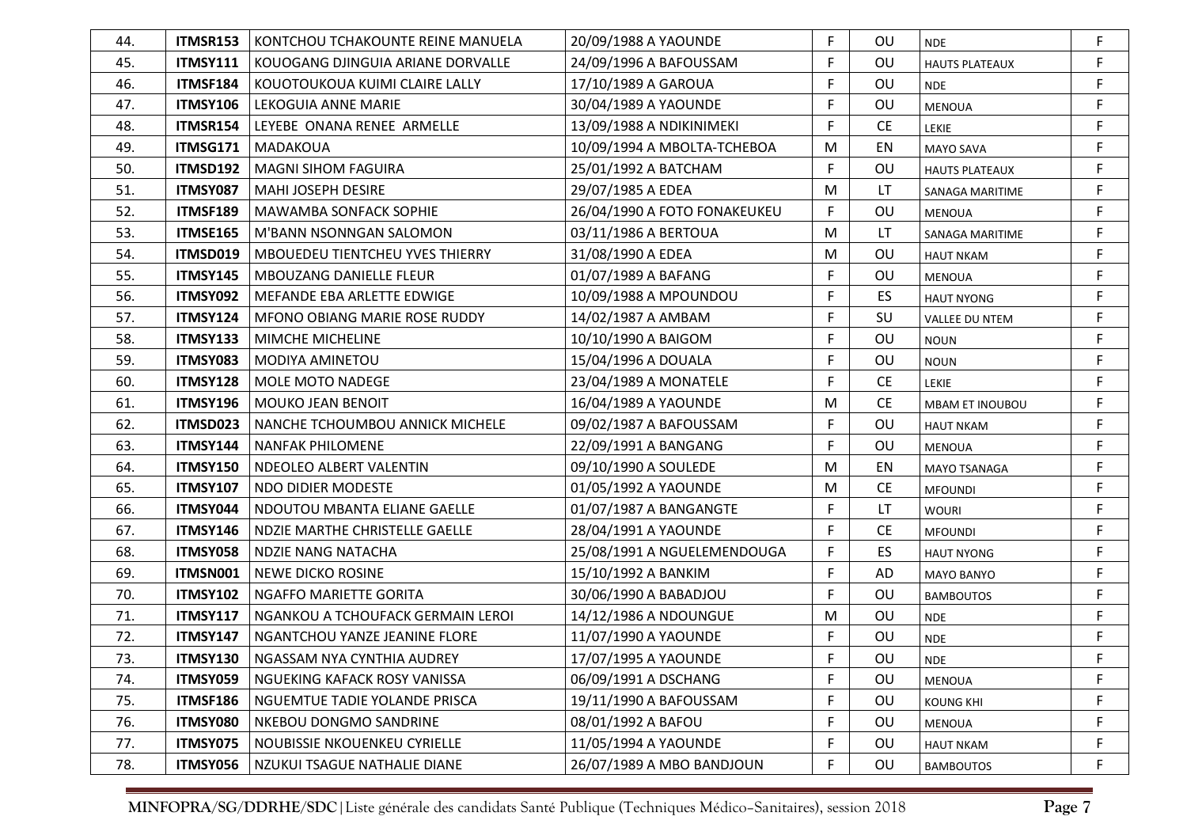| 44. | <b>ITMSR153</b> | KONTCHOU TCHAKOUNTE REINE MANUELA      | 20/09/1988 A YAOUNDE         | F           | <b>OU</b> | <b>NDE</b>             | F           |
|-----|-----------------|----------------------------------------|------------------------------|-------------|-----------|------------------------|-------------|
| 45. | <b>ITMSY111</b> | KOUOGANG DJINGUIA ARIANE DORVALLE      | 24/09/1996 A BAFOUSSAM       | F           | OU        | <b>HAUTS PLATEAUX</b>  | F           |
| 46. | ITMSF184        | KOUOTOUKOUA KUIMI CLAIRE LALLY         | 17/10/1989 A GAROUA          | F           | OU        | <b>NDE</b>             | F           |
| 47. | <b>ITMSY106</b> | LEKOGUIA ANNE MARIE                    | 30/04/1989 A YAOUNDE         | F           | OU        | <b>MENOUA</b>          | F           |
| 48. | ITMSR154        | LEYEBE ONANA RENEE ARMELLE             | 13/09/1988 A NDIKINIMEKI     | F           | <b>CE</b> | <b>LEKIE</b>           | F           |
| 49. | ITMSG171        | MADAKOUA                               | 10/09/1994 A MBOLTA-TCHEBOA  | M           | EN        | <b>MAYO SAVA</b>       | F           |
| 50. | ITMSD192        | <b>MAGNI SIHOM FAGUIRA</b>             | 25/01/1992 A BATCHAM         | F           | OU        | <b>HAUTS PLATEAUX</b>  | F.          |
| 51. | ITMSY087        | <b>MAHI JOSEPH DESIRE</b>              | 29/07/1985 A EDEA            | M           | LT        | SANAGA MARITIME        | F           |
| 52. | ITMSF189        | <b>MAWAMBA SONFACK SOPHIE</b>          | 26/04/1990 A FOTO FONAKEUKEU | F.          | OU        | <b>MENOUA</b>          | F           |
| 53. | ITMSE165        | M'BANN NSONNGAN SALOMON                | 03/11/1986 A BERTOUA         | M           | LT        | SANAGA MARITIME        | F           |
| 54. | ITMSD019        | <b>MBOUEDEU TIENTCHEU YVES THIERRY</b> | 31/08/1990 A EDEA            | M           | OU        | <b>HAUT NKAM</b>       | F           |
| 55. | ITMSY145        | <b>MBOUZANG DANIELLE FLEUR</b>         | 01/07/1989 A BAFANG          | F           | OU        | <b>MENOUA</b>          | F           |
| 56. | ITMSY092        | MEFANDE EBA ARLETTE EDWIGE             | 10/09/1988 A MPOUNDOU        | F           | ES.       | <b>HAUT NYONG</b>      | F           |
| 57. | <b>ITMSY124</b> | <b>MFONO OBIANG MARIE ROSE RUDDY</b>   | 14/02/1987 A AMBAM           | F           | SU        | <b>VALLEE DU NTEM</b>  | F           |
| 58. | <b>ITMSY133</b> | MIMCHE MICHELINE                       | 10/10/1990 A BAIGOM          | F           | OU        | <b>NOUN</b>            | F           |
| 59. | ITMSY083        | <b>MODIYA AMINETOU</b>                 | 15/04/1996 A DOUALA          | F           | OU        | <b>NOUN</b>            | F           |
| 60. | <b>ITMSY128</b> | MOLE MOTO NADEGE                       | 23/04/1989 A MONATELE        | F           | <b>CE</b> | <b>LEKIE</b>           | $\mathsf F$ |
| 61. | ITMSY196        | <b>MOUKO JEAN BENOIT</b>               | 16/04/1989 A YAOUNDE         | M           | <b>CE</b> | <b>MBAM ET INOUBOU</b> | F           |
| 62. | ITMSD023        | NANCHE TCHOUMBOU ANNICK MICHELE        | 09/02/1987 A BAFOUSSAM       | F           | OU        | <b>HAUT NKAM</b>       | F           |
| 63. | ITMSY144        | <b>NANFAK PHILOMENE</b>                | 22/09/1991 A BANGANG         | F           | OU        | <b>MENOUA</b>          | $\mathsf F$ |
| 64. | <b>ITMSY150</b> | NDEOLEO ALBERT VALENTIN                | 09/10/1990 A SOULEDE         | M           | EN        | <b>MAYO TSANAGA</b>    | F           |
| 65. | <b>ITMSY107</b> | NDO DIDIER MODESTE                     | 01/05/1992 A YAOUNDE         | M           | <b>CE</b> | <b>MFOUNDI</b>         | $\mathsf F$ |
| 66. | ITMSY044        | NDOUTOU MBANTA ELIANE GAELLE           | 01/07/1987 A BANGANGTE       | F.          | LT        | <b>WOURI</b>           | $\mathsf F$ |
| 67. | ITMSY146        | NDZIE MARTHE CHRISTELLE GAELLE         | 28/04/1991 A YAOUNDE         | $\mathsf F$ | <b>CE</b> | <b>MFOUNDI</b>         | $\mathsf F$ |
| 68. | ITMSY058        | <b>NDZIE NANG NATACHA</b>              | 25/08/1991 A NGUELEMENDOUGA  | $\mathsf F$ | ES.       | <b>HAUT NYONG</b>      | $\mathsf F$ |
| 69. | ITMSN001        | <b>NEWE DICKO ROSINE</b>               | 15/10/1992 A BANKIM          | $\mathsf F$ | AD        | <b>MAYO BANYO</b>      | $\mathsf F$ |
| 70. | <b>ITMSY102</b> | NGAFFO MARIETTE GORITA                 | 30/06/1990 A BABADJOU        | F           | OU        | <b>BAMBOUTOS</b>       | F           |
| 71. | <b>ITMSY117</b> | NGANKOU A TCHOUFACK GERMAIN LEROI      | 14/12/1986 A NDOUNGUE        | M           | OU        | <b>NDE</b>             | $\mathsf F$ |
| 72. | ITMSY147        | NGANTCHOU YANZE JEANINE FLORE          | 11/07/1990 A YAOUNDE         | F           | OU        | <b>NDE</b>             | F           |
| 73. | <b>ITMSY130</b> | NGASSAM NYA CYNTHIA AUDREY             | 17/07/1995 A YAOUNDE         | F           | OU        | <b>NDE</b>             |             |
| 74. | ITMSY059        | NGUEKING KAFACK ROSY VANISSA           | 06/09/1991 A DSCHANG         | F           | OU        | <b>MENOUA</b>          | F           |
| 75. | ITMSF186        | NGUEMTUE TADIE YOLANDE PRISCA          | 19/11/1990 A BAFOUSSAM       | F           | <b>OU</b> | <b>KOUNG KHI</b>       | F           |
| 76. | ITMSY080        | NKEBOU DONGMO SANDRINE                 | 08/01/1992 A BAFOU           | F           | OU        | <b>MENOUA</b>          | $\mathsf F$ |
| 77. | ITMSY075        | NOUBISSIE NKOUENKEU CYRIELLE           | 11/05/1994 A YAOUNDE         | F           | OU        | <b>HAUT NKAM</b>       | F           |
| 78. | ITMSY056        | NZUKUI TSAGUE NATHALIE DIANE           | 26/07/1989 A MBO BANDJOUN    | F           | OU        | <b>BAMBOUTOS</b>       | F           |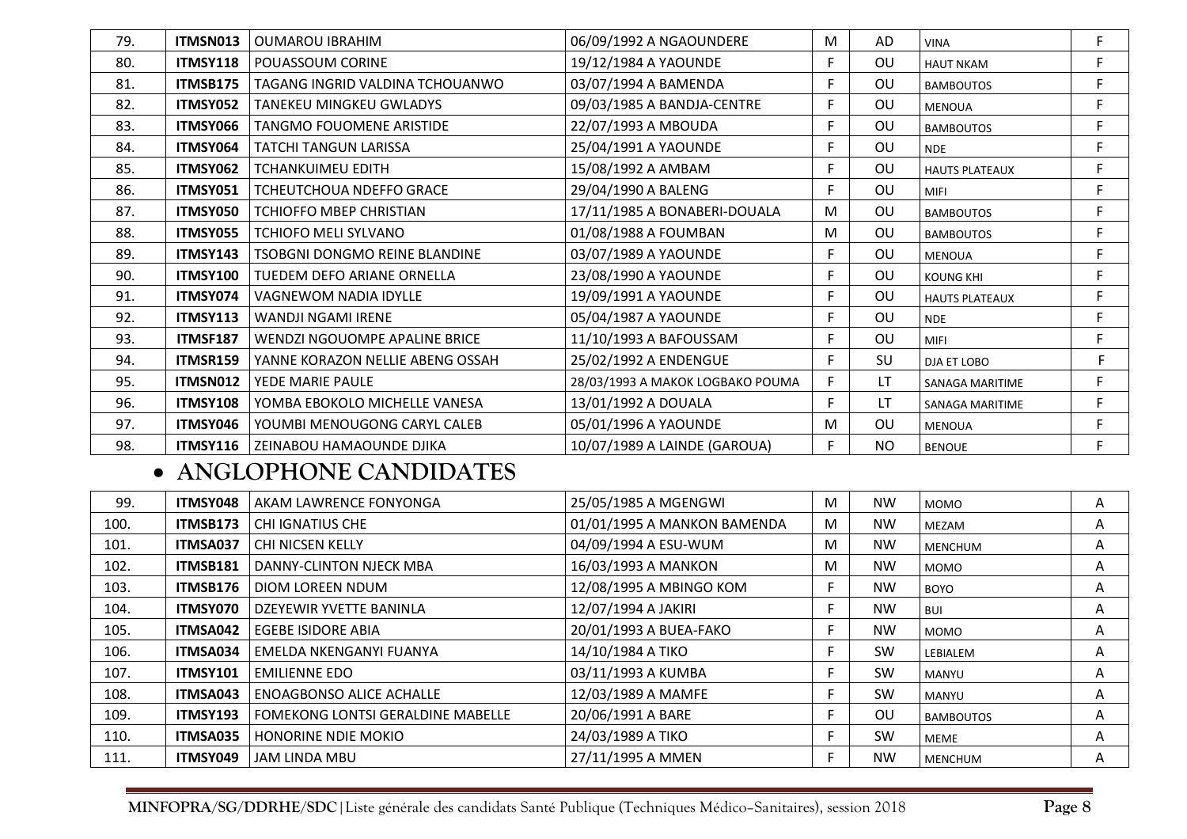| 79. | ITMSN013        | <b>OUMAROU IBRAHIM</b>               | 06/09/1992 A NGAOUNDERE          | M  | AD             | <b>VINA</b>            | F |
|-----|-----------------|--------------------------------------|----------------------------------|----|----------------|------------------------|---|
| 80. | <b>ITMSY118</b> | POUASSOUM CORINE                     | 19/12/1984 A YAOUNDE             | F  | <b>OU</b>      | <b>HAUT NKAM</b>       | F |
| 81. | ITMSB175        | TAGANG INGRID VALDINA TCHOUANWO      | 03/07/1994 A BAMENDA             | F  | OU             | <b>BAMBOUTOS</b>       | F |
| 82. | ITMSY052        | <b>TANEKEU MINGKEU GWLADYS</b>       | 09/03/1985 A BANDJA-CENTRE       | F. | OU             | <b>MENOUA</b>          | F |
| 83. | ITMSY066        | <b>TANGMO FOUOMENE ARISTIDE</b>      | 22/07/1993 A MBOUDA              | F  | OU             | <b>BAMBOUTOS</b>       | F |
| 84. | ITMSY064        | <b>TATCHI TANGUN LARISSA</b>         | 25/04/1991 A YAOUNDE             | F. | OU             | <b>NDE</b>             | F |
| 85. | ITMSY062        | <b>TCHANKUIMEU EDITH</b>             | 15/08/1992 A AMBAM               | F  | <b>OU</b>      | <b>HAUTS PLATEAUX</b>  | F |
| 86. | ITMSY051        | <b>TCHEUTCHOUA NDEFFO GRACE</b>      | 29/04/1990 A BALENG              | F. | OU             | <b>MIFI</b>            | F |
| 87. | ITMSY050        | TCHIOFFO MBEP CHRISTIAN              | 17/11/1985 A BONABERI-DOUALA     | М  | OU             | <b>BAMBOUTOS</b>       | F |
| 88. | ITMSY055        | <b>TCHIOFO MELI SYLVANO</b>          | 01/08/1988 A FOUMBAN             | M  | OU             | <b>BAMBOUTOS</b>       | F |
| 89. | ITMSY143        | <b>TSOBGNI DONGMO REINE BLANDINE</b> | 03/07/1989 A YAOUNDE             | F  | OU             | <b>MENOUA</b>          | F |
| 90. | <b>ITMSY100</b> | TUEDEM DEFO ARIANE ORNELLA           | 23/08/1990 A YAOUNDE             | F  | OU             | <b>KOUNG KHI</b>       | F |
| 91. | <b>ITMSY074</b> | VAGNEWOM NADIA IDYLLE                | 19/09/1991 A YAOUNDE             | F. | OU.            | <b>HAUTS PLATEAUX</b>  | F |
| 92. | <b>ITMSY113</b> | <b>WANDJI NGAMI IRENE</b>            | 05/04/1987 A YAOUNDE             | F  | OU             | <b>NDE</b>             | F |
| 93. | <b>ITMSF187</b> | WENDZI NGOUOMPE APALINE BRICE        | 11/10/1993 A BAFOUSSAM           | F. | OU             | MIFI                   | F |
| 94. | <b>ITMSR159</b> | YANNE KORAZON NELLIE ABENG OSSAH     | 25/02/1992 A ENDENGUE            | F. | SU             | DJA ET LOBO            | F |
| 95. | ITMSN012        | YEDE MARIE PAULE                     | 28/03/1993 A MAKOK LOGBAKO POUMA | F. | LΤ             | <b>SANAGA MARITIME</b> | F |
| 96. | <b>ITMSY108</b> | YOMBA EBOKOLO MICHELLE VANESA        | 13/01/1992 A DOUALA              | F. | LΤ             | <b>SANAGA MARITIME</b> | F |
| 97. | ITMSY046        | YOUMBI MENOUGONG CARYL CALEB         | 05/01/1996 A YAOUNDE             | M  | OU             | <b>MENOUA</b>          | F |
| 98. | <b>ITMSY116</b> | ZEINABOU HAMAOUNDE DJIKA             | 10/07/1989 A LAINDE (GAROUA)     | F  | N <sub>O</sub> | <b>BENOUE</b>          | F |

### • **ANGLOPHONE CANDIDATES**

| 99.  | <b>ITMSY048</b> | l AKAM LAWRENCE FONYONGA          | 25/05/1985 A MGENGWI        | M | <b>NW</b> | <b>MOMO</b>      | Α |
|------|-----------------|-----------------------------------|-----------------------------|---|-----------|------------------|---|
| 100. | ITMSB173        | l CHI IGNATIUS CHE                | 01/01/1995 A MANKON BAMENDA | M | <b>NW</b> | MEZAM            | A |
| 101. | <b>ITMSA037</b> | l CHI NICSEN KELLY                | 04/09/1994 A ESU-WUM        | м | <b>NW</b> | <b>MENCHUM</b>   | Α |
| 102. | ITMSB181        | DANNY-CLINTON NJECK MBA           | 16/03/1993 A MANKON         | M | <b>NW</b> | <b>MOMO</b>      | A |
| 103. | ITMSB176        | l diom loreen ndum                | 12/08/1995 A MBINGO KOM     |   | <b>NW</b> | <b>BOYO</b>      | A |
| 104. | <b>ITMSY070</b> | DZEYEWIR YVETTE BANINLA           | 12/07/1994 A JAKIRI         |   | <b>NW</b> | <b>BUI</b>       | Α |
| 105. | <b>ITMSA042</b> | <b>EGEBE ISIDORE ABIA</b>         | 20/01/1993 A BUEA-FAKO      |   | <b>NW</b> | <b>MOMO</b>      | Α |
| 106. | <b>ITMSA034</b> | EMELDA NKENGANYI FUANYA           | 14/10/1984 A TIKO           |   | <b>SW</b> | LEBIALEM         | Α |
| 107. | <b>ITMSY101</b> | <b>EMILIENNE EDO</b>              | 03/11/1993 A KUMBA          |   | <b>SW</b> | MANYU            | Α |
| 108. | <b>ITMSA043</b> | <b>ENOAGBONSO ALICE ACHALLE</b>   | 12/03/1989 A MAMFE          |   | <b>SW</b> | MANYU            | Α |
| 109. | <b>ITMSY193</b> | FOMEKONG LONTSI GERALDINE MABELLE | 20/06/1991 A BARE           |   | <b>OU</b> | <b>BAMBOUTOS</b> | Α |
| 110. | <b>ITMSA035</b> | HONORINE NDIE MOKIO               | 24/03/1989 A TIKO           |   | <b>SW</b> | <b>MEME</b>      | Α |
| 111. | ITMSY049        | l JAM LINDA MBU                   | 27/11/1995 A MMEN           |   | <b>NW</b> | <b>MENCHUM</b>   | Α |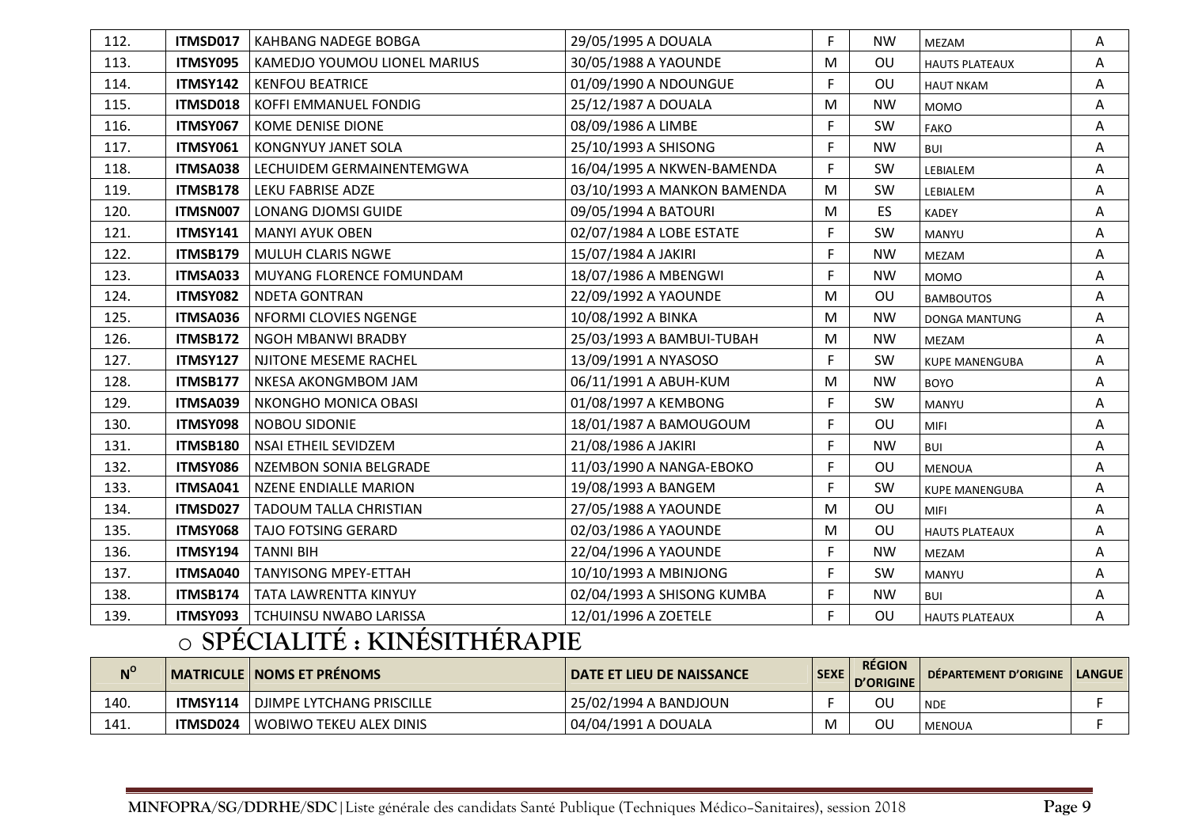| 112. | ITMSD017                 | <b>KAHBANG NADEGE BOBGA</b>                                                | 29/05/1995 A DOUALA         | F. | <b>NW</b> | MEZAM                 | Α |
|------|--------------------------|----------------------------------------------------------------------------|-----------------------------|----|-----------|-----------------------|---|
| 113. | ITMSY095                 | KAMEDJO YOUMOU LIONEL MARIUS                                               | 30/05/1988 A YAOUNDE        | M  | OU        | <b>HAUTS PLATEAUX</b> | Α |
| 114. | <b>ITMSY142</b>          | <b>KENFOU BEATRICE</b>                                                     | 01/09/1990 A NDOUNGUE       | F. | OU        | <b>HAUT NKAM</b>      | Α |
| 115. | ITMSD018                 | KOFFI EMMANUEL FONDIG                                                      | 25/12/1987 A DOUALA         | M  | <b>NW</b> | <b>MOMO</b>           | Α |
| 116. | ITMSY067                 | KOME DENISE DIONE                                                          | 08/09/1986 A LIMBE          | F. | SW        | <b>FAKO</b>           | A |
| 117. | ITMSY061                 | <b>KONGNYUY JANET SOLA</b>                                                 | 25/10/1993 A SHISONG        | F. | <b>NW</b> | <b>BUI</b>            | A |
| 118. | ITMSA038                 | LECHUIDEM GERMAINENTEMGWA                                                  | 16/04/1995 A NKWEN-BAMENDA  | F. | SW        | LEBIALEM              | A |
| 119. | ITMSB178                 | LEKU FABRISE ADZE                                                          | 03/10/1993 A MANKON BAMENDA | M  | <b>SW</b> | LEBIALEM              | A |
| 120. | ITMSN007                 | LONANG DJOMSI GUIDE                                                        | 09/05/1994 A BATOURI        | M  | ES        | <b>KADEY</b>          | A |
| 121. | <b>ITMSY141</b>          | <b>MANYI AYUK OBEN</b>                                                     | 02/07/1984 A LOBE ESTATE    | F. | SW        | MANYU                 | A |
| 122. | ITMSB179                 | <b>MULUH CLARIS NGWE</b>                                                   | 15/07/1984 A JAKIRI         | F  | <b>NW</b> | MEZAM                 | A |
| 123. | ITMSA033                 | MUYANG FLORENCE FOMUNDAM                                                   | 18/07/1986 A MBENGWI        | F  | <b>NW</b> | <b>MOMO</b>           | A |
| 124. | ITMSY082                 | <b>NDETA GONTRAN</b>                                                       | 22/09/1992 A YAOUNDE        | M  | OU        | <b>BAMBOUTOS</b>      | A |
| 125. | ITMSA036                 | NFORMI CLOVIES NGENGE                                                      | 10/08/1992 A BINKA          | M  | <b>NW</b> | <b>DONGA MANTUNG</b>  | Α |
| 126. | ITMSB172                 | <b>NGOH MBANWI BRADBY</b>                                                  | 25/03/1993 A BAMBUI-TUBAH   | M  | <b>NW</b> | MEZAM                 | Α |
| 127. | <b>ITMSY127</b>          | NJITONE MESEME RACHEL                                                      | 13/09/1991 A NYASOSO        | F. | SW        | <b>KUPE MANENGUBA</b> | Α |
| 128. | ITMSB177                 | NKESA AKONGMBOM JAM                                                        | 06/11/1991 A ABUH-KUM       | M  | <b>NW</b> | <b>BOYO</b>           | A |
| 129. | ITMSA039                 | NKONGHO MONICA OBASI                                                       | 01/08/1997 A KEMBONG        | F  | SW        | MANYU                 | Α |
| 130. | ITMSY098                 | <b>NOBOU SIDONIE</b>                                                       | 18/01/1987 A BAMOUGOUM      | F. | OU        | <b>MIFI</b>           | A |
| 131. | <b>ITMSB180</b>          | <b>NSAI ETHEIL SEVIDZEM</b>                                                | 21/08/1986 A JAKIRI         | F. | <b>NW</b> | <b>BUI</b>            | A |
| 132. | ITMSY086                 | NZEMBON SONIA BELGRADE                                                     | 11/03/1990 A NANGA-EBOKO    | F  | OU        | <b>MENOUA</b>         | Α |
| 133. | ITMSA041                 | <b>NZENE ENDIALLE MARION</b>                                               | 19/08/1993 A BANGEM         | F  | <b>SW</b> | <b>KUPE MANENGUBA</b> | A |
| 134. | ITMSD027                 | <b>TADOUM TALLA CHRISTIAN</b>                                              | 27/05/1988 A YAOUNDE        | M  | OU        | <b>MIFI</b>           | Α |
| 135. | ITMSY068                 | TAJO FOTSING GERARD                                                        | 02/03/1986 A YAOUNDE        | M  | OU        | <b>HAUTS PLATEAUX</b> | Α |
| 136. | <b>ITMSY194</b>          | <b>TANNI BIH</b>                                                           | 22/04/1996 A YAOUNDE        | F  | <b>NW</b> | MEZAM                 | A |
| 137. | ITMSA040                 | <b>TANYISONG MPEY-ETTAH</b>                                                | 10/10/1993 A MBINJONG       | F. | <b>SW</b> | MANYU                 | Α |
| 138. | <b>ITMSB174</b>          | TATA LAWRENTTA KINYUY                                                      | 02/04/1993 A SHISONG KUMBA  | F. | <b>NW</b> | <b>BUI</b>            | A |
| 139. | ITMSY093<br>$\mathbf{z}$ | <b>TCHUINSU NWABO LARISSA</b><br>$\overline{\phantom{a}}$<br>$\mathcal{L}$ | 12/01/1996 A ZOETELE        | F. | OU        | <b>HAUTS PLATEAUX</b> | А |

#### o**SPÉCIALITÉ : KINÉSITHÉRAPIE**

| $N^{\rm o}$ |          | MATRICULE   NOMS ET PRÉNOMS | <b>DATE ET LIEU DE NAISSANCE</b> | <b>SEXE</b> | <b>RÉGION</b><br>D'ORIGINE | DÉPARTEMENT D'ORIGINE   LANGUE |  |
|-------------|----------|-----------------------------|----------------------------------|-------------|----------------------------|--------------------------------|--|
| 140.        | ITMSY114 | l DJIMPE LYTCHANG PRISCILLE | 25/02/1994 A BANDJOUN            |             | οι                         | <b>NDE</b>                     |  |
| 141.        | ITMSD024 | l WOBIWO TEKEU ALEX DINIS   | 04/04/1991 A DOUALA              |             | οι                         | <b>MENOUA</b>                  |  |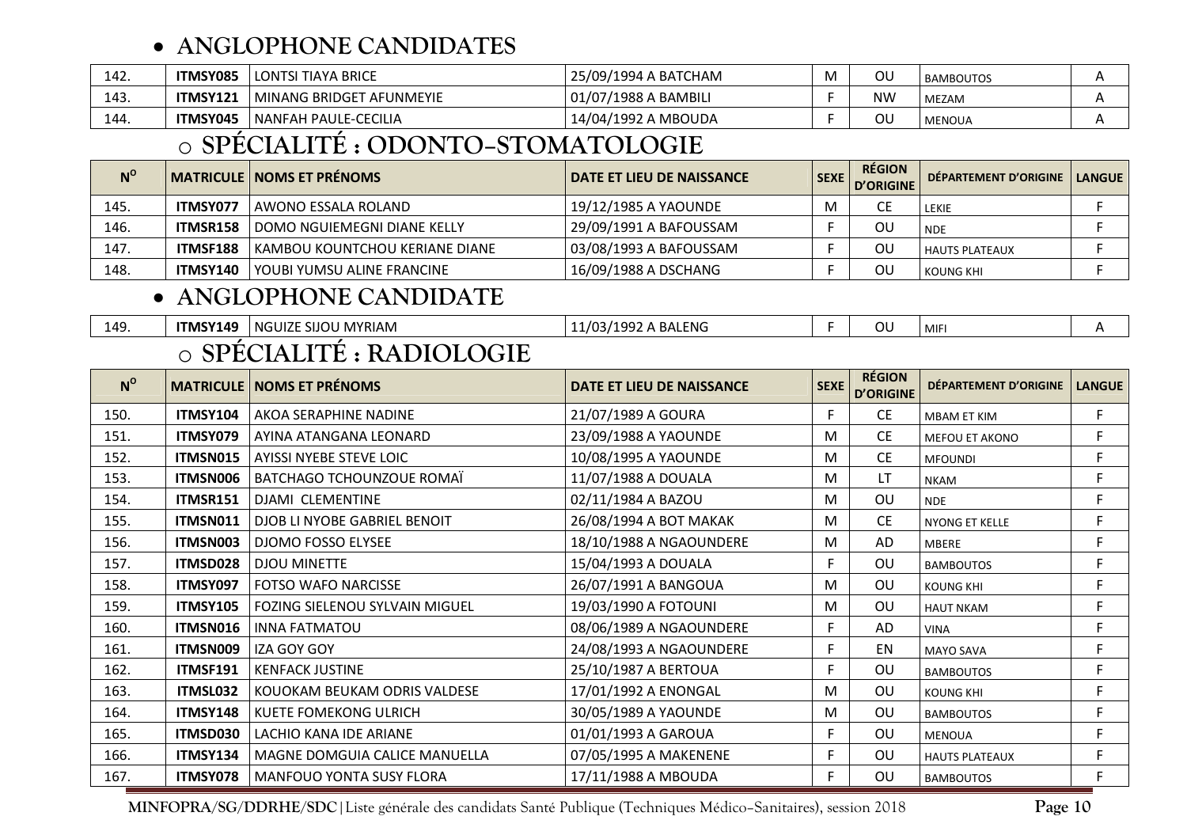### • **ANGLOPHONE CANDIDATES**

| 142. | ITMSY085 | <b>LONTSI TIAYA BRICE</b>       | 25/09/1994 A BATCHAM | ου        | <b>BAMBOUTOS</b> |  |
|------|----------|---------------------------------|----------------------|-----------|------------------|--|
| 143. | ITMSY121 | MINANG BRIDGET  <br>T AFUNMEYIE | 01/07/1988 A BAMBILI | <b>NW</b> | MEZAM            |  |
| 144. | ITMSY045 | l NANFAH PAULE-CECILIA          | 14/04/1992 A MBOUDA  | ου        | <b>MENOUA</b>    |  |

#### o**SPÉCIALITÉ : ODONTO–STOMATOLOGIE**

| $N^{\rm o}$ |                 | MATRICULE   NOMS ET PRÉNOMS      | I DATE ET LIEU DE NAISSANCE | <b>SEXE</b> | <b>RÉGION</b><br><b>D'ORIGINE</b> | DÉPARTEMENT D'ORIGINE   LANGUE |  |
|-------------|-----------------|----------------------------------|-----------------------------|-------------|-----------------------------------|--------------------------------|--|
| 145.        | ITMSY077        | l AWONO ESSALA ROLAND            | 19/12/1985 A YAOUNDE        | M           |                                   | LEKIE                          |  |
| 146.        | ITMSR158        | DOMO NGUIEMEGNI DIANE KELLY      | 29/09/1991 A BAFOUSSAM      |             | ΟU                                | <b>NDE</b>                     |  |
| 147.        | <b>ITMSF188</b> | I KAMBOU KOUNTCHOU KERIANE DIANE | 03/08/1993 A BAFOUSSAM      |             | ΟU                                | l HAUTS PLATEAUX               |  |
| 148.        | ITMSY140        | I YOUBI YUMSU ALINE FRANCINE     | 16/09/1988 A DSCHANG        |             | ΟU                                | KOUNG KHI                      |  |

### • **ANGLOPHONE CANDIDATE**

| 149 | <b>ITMSY149</b> | NGUIZE SIJOU MYRIAM                        | 11/03/1992 A BALENG | $\sim$<br>◡◡ | <b>MIF</b> |  |
|-----|-----------------|--------------------------------------------|---------------------|--------------|------------|--|
|     |                 | $\bf n \cdot \bf n \sim \bf n$<br>$\Omega$ |                     |              |            |  |

#### o**SPÉCIALITÉ : RADIOLOGIE**

| $N^{\circ}$ |                 | <b>MATRICULE   NOMS ET PRÉNOMS</b> | DATE ET LIEU DE NAISSANCE | <b>SEXE</b> | <b>RÉGION</b><br><b>D'ORIGINE</b> | <b>DÉPARTEMENT D'ORIGINE</b> | <b>LANGUE</b> |
|-------------|-----------------|------------------------------------|---------------------------|-------------|-----------------------------------|------------------------------|---------------|
| 150.        | ITMSY104        | AKOA SERAPHINE NADINE              | 21/07/1989 A GOURA        | F.          | <b>CE</b>                         | <b>MBAM ET KIM</b>           | F.            |
| 151.        | ITMSY079        | AYINA ATANGANA LEONARD             | 23/09/1988 A YAOUNDE      | M           | <b>CE</b>                         | <b>MEFOU ET AKONO</b>        | F.            |
| 152.        | ITMSN015        | AYISSI NYEBE STEVE LOIC            | 10/08/1995 A YAOUNDE      | M           | <b>CE</b>                         | <b>MFOUNDI</b>               | F             |
| 153.        | <b>ITMSN006</b> | BATCHAGO TCHOUNZOUE ROMAÏ          | 11/07/1988 A DOUALA       | M           | LT                                | <b>NKAM</b>                  | F.            |
| 154.        | <b>ITMSR151</b> | DJAMI CLEMENTINE                   | 02/11/1984 A BAZOU        | M           | OU                                | <b>NDE</b>                   | F             |
| 155.        | ITMSN011        | DJOB LI NYOBE GABRIEL BENOIT       | 26/08/1994 A BOT MAKAK    | M           | <b>CE</b>                         | NYONG ET KELLE               | F             |
| 156.        | ITMSN003        | <b>DJOMO FOSSO ELYSEE</b>          | 18/10/1988 A NGAOUNDERE   | M           | AD                                | <b>MBERE</b>                 | F             |
| 157.        | ITMSD028        | DJOU MINETTE                       | 15/04/1993 A DOUALA       | F.          | <b>OU</b>                         | <b>BAMBOUTOS</b>             | F.            |
| 158.        | ITMSY097        | <b>FOTSO WAFO NARCISSE</b>         | 26/07/1991 A BANGOUA      | M           | <b>OU</b>                         | <b>KOUNG KHI</b>             | F             |
| 159.        | <b>ITMSY105</b> | FOZING SIELENOU SYLVAIN MIGUEL     | 19/03/1990 A FOTOUNI      | M           | <b>OU</b>                         | <b>HAUT NKAM</b>             | F             |
| 160.        | ITMSN016        | <b>INNA FATMATOU</b>               | 08/06/1989 A NGAOUNDERE   | F.          | AD                                | <b>VINA</b>                  | F.            |
| 161.        | ITMSN009        | IZA GOY GOY                        | 24/08/1993 A NGAOUNDERE   | F.          | EN                                | <b>MAYO SAVA</b>             | F             |
| 162.        | ITMSF191        | <b>KENFACK JUSTINE</b>             | 25/10/1987 A BERTOUA      | F           | <b>OU</b>                         | <b>BAMBOUTOS</b>             | F.            |
| 163.        | ITMSL032        | KOUOKAM BEUKAM ODRIS VALDESE       | 17/01/1992 A ENONGAL      | M           | OU                                | <b>KOUNG KHI</b>             | F             |
| 164.        | ITMSY148        | <b>KUETE FOMEKONG ULRICH</b>       | 30/05/1989 A YAOUNDE      | M           | OU                                | <b>BAMBOUTOS</b>             | F.            |
| 165.        | <b>ITMSD030</b> | LACHIO KANA IDE ARIANE             | 01/01/1993 A GAROUA       | F.          | <b>OU</b>                         | <b>MENOUA</b>                | F.            |
| 166.        | ITMSY134        | MAGNE DOMGUIA CALICE MANUELLA      | 07/05/1995 A MAKENENE     | F.          | <b>OU</b>                         | <b>HAUTS PLATEAUX</b>        | F.            |
| 167.        | <b>ITMSY078</b> | MANFOUO YONTA SUSY FLORA           | 17/11/1988 A MBOUDA       | F.          | <b>OU</b>                         | <b>BAMBOUTOS</b>             | F             |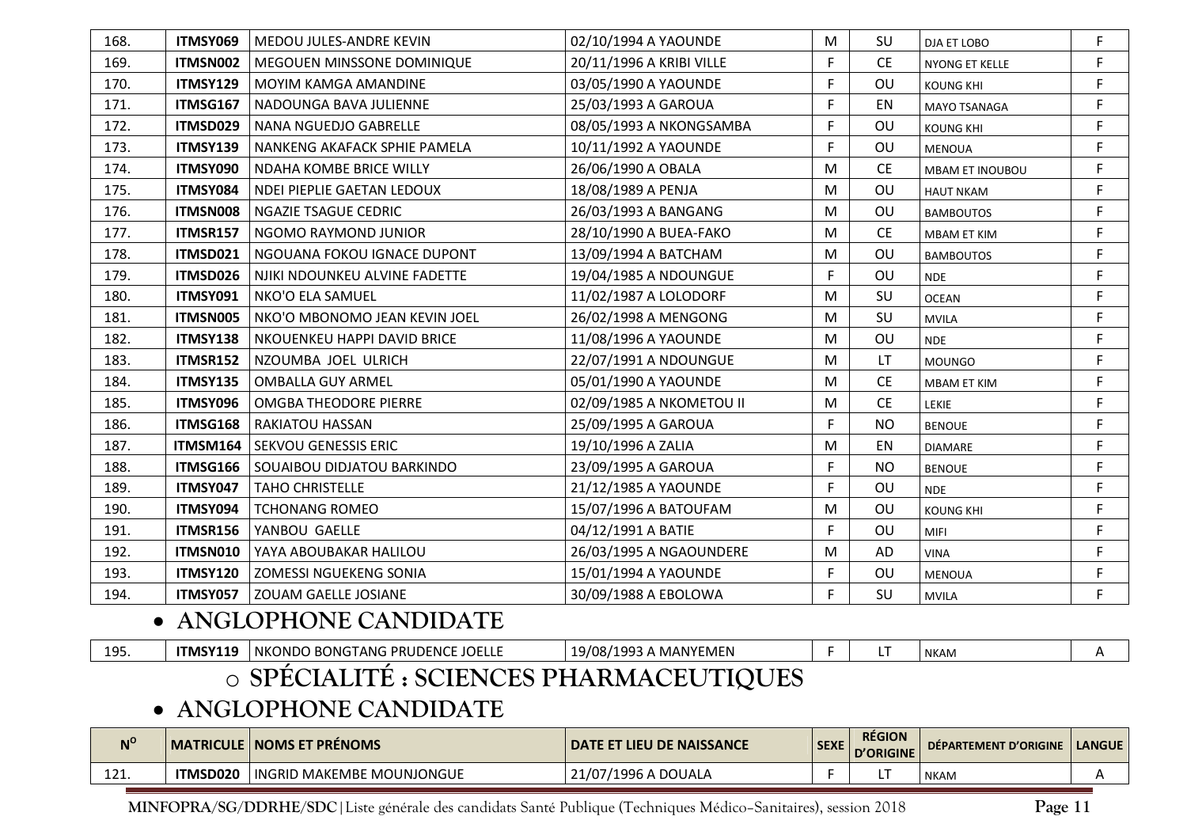| 168. | ITMSY069        | MEDOU JULES-ANDRE KEVIN                                                                                                                                             | 02/10/1994 A YAOUNDE     | M         | SU        | DJA ET LOBO           | F  |
|------|-----------------|---------------------------------------------------------------------------------------------------------------------------------------------------------------------|--------------------------|-----------|-----------|-----------------------|----|
| 169. | ITMSN002        | MEGOUEN MINSSONE DOMINIQUE                                                                                                                                          | 20/11/1996 A KRIBI VILLE | F         | <b>CE</b> | <b>NYONG ET KELLE</b> | F. |
| 170. | <b>ITMSY129</b> | MOYIM KAMGA AMANDINE                                                                                                                                                | 03/05/1990 A YAOUNDE     | F         | OU        | <b>KOUNG KHI</b>      | F  |
| 171. | ITMSG167        | NADOUNGA BAVA JULIENNE                                                                                                                                              | 25/03/1993 A GAROUA      | F         | <b>EN</b> | <b>MAYO TSANAGA</b>   | F  |
| 172. | ITMSD029        | NANA NGUEDJO GABRELLE                                                                                                                                               | 08/05/1993 A NKONGSAMBA  | F         | OU        | <b>KOUNG KHI</b>      | F  |
| 173. | <b>ITMSY139</b> | NANKENG AKAFACK SPHIE PAMELA                                                                                                                                        | 10/11/1992 A YAOUNDE     | F         | OU        | <b>MENOUA</b>         | F  |
| 174. | ITMSY090        | <b>NDAHA KOMBE BRICE WILLY</b>                                                                                                                                      | 26/06/1990 A OBALA       | M         | <b>CE</b> | MBAM ET INOUBOU       | F  |
| 175. | ITMSY084        | NDEI PIEPLIE GAETAN LEDOUX                                                                                                                                          | 18/08/1989 A PENJA       | M         | OU        | <b>HAUT NKAM</b>      | F  |
| 176. | ITMSN008        | NGAZIE TSAGUE CEDRIC                                                                                                                                                | 26/03/1993 A BANGANG     | M         | OU        | <b>BAMBOUTOS</b>      | F  |
| 177. | ITMSR157        | NGOMO RAYMOND JUNIOR                                                                                                                                                | 28/10/1990 A BUEA-FAKO   | M         | <b>CE</b> | <b>MBAM ET KIM</b>    | F  |
| 178. | ITMSD021        | NGOUANA FOKOU IGNACE DUPONT                                                                                                                                         | 13/09/1994 A BATCHAM     | M         | OU        | <b>BAMBOUTOS</b>      | F  |
| 179. | ITMSD026        | NJIKI NDOUNKEU ALVINE FADETTE                                                                                                                                       | 19/04/1985 A NDOUNGUE    | F.        | OU        | <b>NDE</b>            | F. |
| 180. | ITMSY091        | NKO'O ELA SAMUEL                                                                                                                                                    | 11/02/1987 A LOLODORF    | M         | SU        | <b>OCEAN</b>          | F  |
| 181. | ITMSN005        | NKO'O MBONOMO JEAN KEVIN JOEL                                                                                                                                       | 26/02/1998 A MENGONG     | M         | SU        | <b>MVILA</b>          | F  |
| 182. | ITMSY138        | NKOUENKEU HAPPI DAVID BRICE                                                                                                                                         | 11/08/1996 A YAOUNDE     | M         | OU        | <b>NDE</b>            | F  |
| 183. | ITMSR152        | NZOUMBA JOEL ULRICH                                                                                                                                                 | 22/07/1991 A NDOUNGUE    | M         | LT.       | <b>MOUNGO</b>         | F  |
| 184. | <b>ITMSY135</b> | <b>OMBALLA GUY ARMEL</b>                                                                                                                                            | 05/01/1990 A YAOUNDE     | M         | <b>CE</b> | MBAM ET KIM           | F  |
| 185. | ITMSY096        | <b>OMGBA THEODORE PIERRE</b>                                                                                                                                        | 02/09/1985 A NKOMETOU II | M         | <b>CE</b> | <b>LEKIE</b>          | F  |
| 186. | ITMSG168        | <b>RAKIATOU HASSAN</b>                                                                                                                                              | 25/09/1995 A GAROUA      | F         | <b>NO</b> | <b>BENOUE</b>         | F. |
| 187. | ITMSM164        | <b>SEKVOU GENESSIS ERIC</b>                                                                                                                                         | 19/10/1996 A ZALIA       | M         | EN        | <b>DIAMARE</b>        | F  |
| 188. | ITMSG166        | <b>SOUAIBOU DIDJATOU BARKINDO</b>                                                                                                                                   | 23/09/1995 A GAROUA      | F         | <b>NO</b> | <b>BENOUE</b>         | F  |
| 189. | ITMSY047        | <b>TAHO CHRISTELLE</b>                                                                                                                                              | 21/12/1985 A YAOUNDE     | F         | OU        | <b>NDE</b>            | F  |
| 190. | ITMSY094        | <b>TCHONANG ROMEO</b>                                                                                                                                               | 15/07/1996 A BATOUFAM    | M         | OU        | <b>KOUNG KHI</b>      | F  |
| 191. | ITMSR156        | YANBOU GAELLE                                                                                                                                                       | 04/12/1991 A BATIE       | F         | OU        | MIFI                  | F  |
| 192. | ITMSN010        | YAYA ABOUBAKAR HALILOU                                                                                                                                              | 26/03/1995 A NGAOUNDERE  | ${\sf M}$ | <b>AD</b> | <b>VINA</b>           | F  |
| 193. | <b>ITMSY120</b> | ZOMESSI NGUEKENG SONIA                                                                                                                                              | 15/01/1994 A YAOUNDE     | F.        | OU        | <b>MENOUA</b>         | F  |
| 194. | ITMSY057        | <b>ZOUAM GAELLE JOSIANE</b>                                                                                                                                         | 30/09/1988 A EBOLOWA     | F.        | SU        | <b>MVILA</b>          | F  |
|      |                 | • ANGLOPHONE CANDIDATE                                                                                                                                              |                          |           |           |                       |    |
| 195. | <b>ITMSY119</b> | NKONDO BONGTANG PRUDENCE JOELLE<br>$\overline{OMM}$ i true $\overline{OMM}$ ( $\overline{OMM}$ ) $\overline{M}$ i $\overline{M}$ i $\overline{M}$ in $\overline{M}$ | 19/08/1993 A MANYEMEN    | F.        | LT        | <b>NKAM</b>           | A  |

#### o**SPÉCIALITÉ : SCIENCES PHARMACEUTIQUES**

### • **ANGLOPHONE CANDIDATE**

| $N^{\rm o}$  |          | <b>MATRICULE   NOMS ET PRÉNOMS</b> | <b>DATE ET LIEU DE NAISSANCE</b>                          | <b>SEXE</b> | <b>RÉGION</b><br><b>D'ORIGINE</b> | DÉPARTEMENT D'ORIGINE | <b>LANGUE</b> |
|--------------|----------|------------------------------------|-----------------------------------------------------------|-------------|-----------------------------------|-----------------------|---------------|
| 1 7 1<br>ᅶᄼᅶ | ITMSD020 | <b>INGRID MAKEMBE MOUNJONGUE</b>   | $\sqrt{2}$<br>$'1996A$ .<br>\ DOUALA<br>$\mathbf{A}$<br>v |             |                                   | <b>NKAM</b>           |               |
|              |          |                                    |                                                           |             |                                   |                       |               |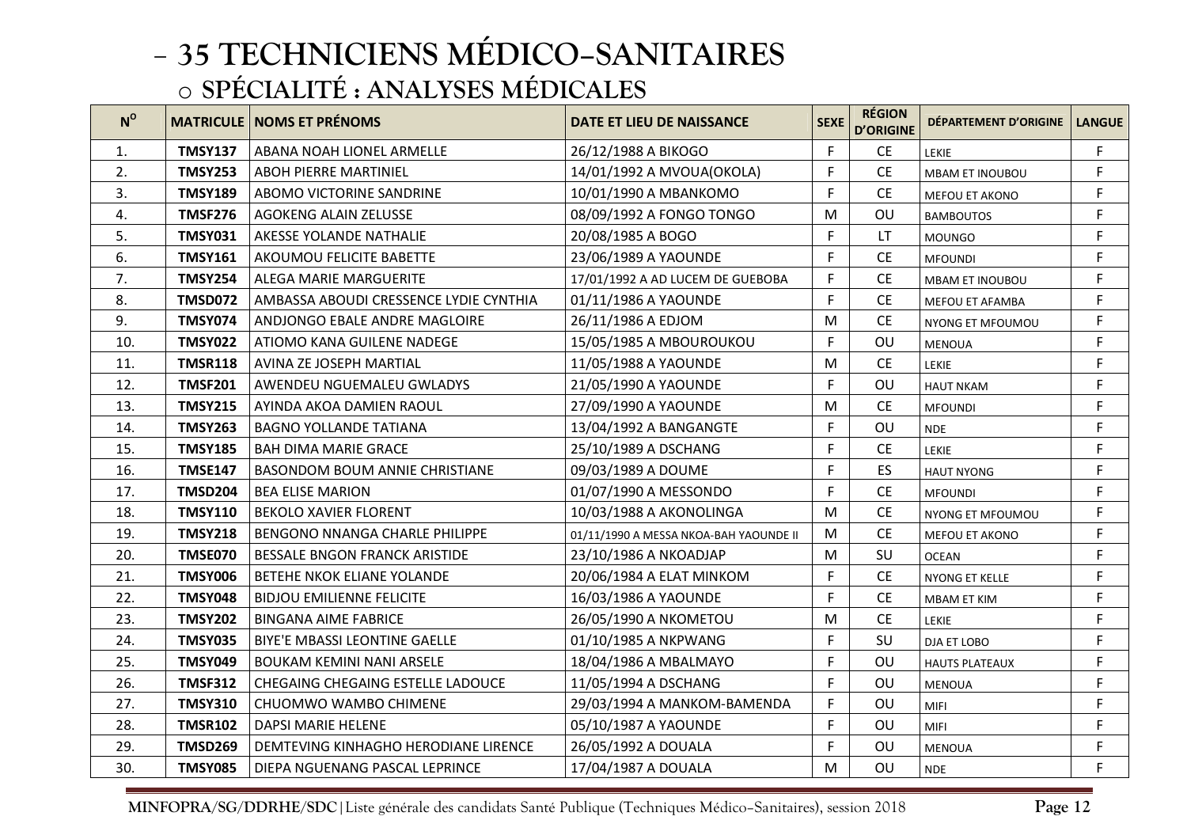| $N^{\rm o}$ |                | <b>MATRICULE   NOMS ET PRÉNOMS</b>     | DATE ET LIEU DE NAISSANCE              | <b>SEXE</b> | <b>RÉGION</b><br><b>D'ORIGINE</b> | DÉPARTEMENT D'ORIGINE  | <b>LANGUE</b> |
|-------------|----------------|----------------------------------------|----------------------------------------|-------------|-----------------------------------|------------------------|---------------|
| 1.          | <b>TMSY137</b> | ABANA NOAH LIONEL ARMELLE              | 26/12/1988 A BIKOGO                    | F.          | <b>CE</b>                         | LEKIE                  | F.            |
| 2.          | <b>TMSY253</b> | <b>ABOH PIERRE MARTINIEL</b>           | 14/01/1992 A MVOUA(OKOLA)              | F           | <b>CE</b>                         | <b>MBAM ET INOUBOU</b> | F             |
| 3.          | <b>TMSY189</b> | <b>ABOMO VICTORINE SANDRINE</b>        | 10/01/1990 A MBANKOMO                  | F.          | <b>CE</b>                         | MEFOU ET AKONO         | F             |
| 4.          | <b>TMSF276</b> | AGOKENG ALAIN ZELUSSE                  | 08/09/1992 A FONGO TONGO               | M           | OU                                | <b>BAMBOUTOS</b>       | F             |
| 5.          | <b>TMSY031</b> | AKESSE YOLANDE NATHALIE                | 20/08/1985 A BOGO                      | F.          | LT.                               | <b>MOUNGO</b>          | F             |
| 6.          | <b>TMSY161</b> | AKOUMOU FELICITE BABETTE               | 23/06/1989 A YAOUNDE                   | F.          | <b>CE</b>                         | <b>MFOUNDI</b>         | F             |
| 7.          | <b>TMSY254</b> | <b>ALEGA MARIE MARGUERITE</b>          | 17/01/1992 A AD LUCEM DE GUEBOBA       | F.          | <b>CE</b>                         | <b>MBAM ET INOUBOU</b> | F             |
| 8.          | <b>TMSD072</b> | AMBASSA ABOUDI CRESSENCE LYDIE CYNTHIA | 01/11/1986 A YAOUNDE                   | F.          | <b>CE</b>                         | <b>MEFOU ET AFAMBA</b> | F             |
| 9.          | <b>TMSY074</b> | ANDJONGO EBALE ANDRE MAGLOIRE          | 26/11/1986 A EDJOM                     | M           | <b>CE</b>                         | NYONG ET MFOUMOU       | F             |
| 10.         | <b>TMSY022</b> | ATIOMO KANA GUILENE NADEGE             | 15/05/1985 A MBOUROUKOU                | F           | OU                                | <b>MENOUA</b>          | F             |
| 11.         | <b>TMSR118</b> | AVINA ZE JOSEPH MARTIAL                | 11/05/1988 A YAOUNDE                   | M           | <b>CE</b>                         | <b>LEKIE</b>           | F             |
| 12.         | <b>TMSF201</b> | AWENDEU NGUEMALEU GWLADYS              | 21/05/1990 A YAOUNDE                   | F           | OU                                | <b>HAUT NKAM</b>       | F             |
| 13.         | <b>TMSY215</b> | AYINDA AKOA DAMIEN RAOUL               | 27/09/1990 A YAOUNDE                   | M           | <b>CE</b>                         | <b>MFOUNDI</b>         | F             |
| 14.         | <b>TMSY263</b> | <b>BAGNO YOLLANDE TATIANA</b>          | 13/04/1992 A BANGANGTE                 | F           | OU                                | <b>NDE</b>             | F             |
| 15.         | <b>TMSY185</b> | <b>BAH DIMA MARIE GRACE</b>            | 25/10/1989 A DSCHANG                   | F           | <b>CE</b>                         | LEKIE                  | F             |
| 16.         | <b>TMSE147</b> | <b>BASONDOM BOUM ANNIE CHRISTIANE</b>  | 09/03/1989 A DOUME                     | F           | ES                                | <b>HAUT NYONG</b>      | F             |
| 17.         | <b>TMSD204</b> | <b>BEA ELISE MARION</b>                | 01/07/1990 A MESSONDO                  | F           | <b>CE</b>                         | <b>MFOUNDI</b>         | F             |
| 18.         | <b>TMSY110</b> | <b>BEKOLO XAVIER FLORENT</b>           | 10/03/1988 A AKONOLINGA                | M           | <b>CE</b>                         | NYONG ET MFOUMOU       | $\mathsf F$   |
| 19.         | <b>TMSY218</b> | <b>BENGONO NNANGA CHARLE PHILIPPE</b>  | 01/11/1990 A MESSA NKOA-BAH YAOUNDE II | M           | <b>CE</b>                         | MEFOU ET AKONO         | F             |
| 20.         | <b>TMSE070</b> | <b>BESSALE BNGON FRANCK ARISTIDE</b>   | 23/10/1986 A NKOADJAP                  | M           | SU                                | <b>OCEAN</b>           | F             |
| 21.         | <b>TMSY006</b> | BETEHE NKOK ELIANE YOLANDE             | 20/06/1984 A ELAT MINKOM               | F           | <b>CE</b>                         | NYONG ET KELLE         | F             |
| 22.         | <b>TMSY048</b> | <b>BIDJOU EMILIENNE FELICITE</b>       | 16/03/1986 A YAOUNDE                   | F           | <b>CE</b>                         | <b>MBAM ET KIM</b>     | F             |
| 23.         | <b>TMSY202</b> | <b>BINGANA AIME FABRICE</b>            | 26/05/1990 A NKOMETOU                  | M           | <b>CE</b>                         | LEKIE                  | F             |
| 24.         | <b>TMSY035</b> | <b>BIYE'E MBASSI LEONTINE GAELLE</b>   | 01/10/1985 A NKPWANG                   | F           | SU                                | <b>DJA ET LOBO</b>     | F             |
| 25.         | <b>TMSY049</b> | <b>BOUKAM KEMINI NANI ARSELE</b>       | 18/04/1986 A MBALMAYO                  | F           | OU                                | <b>HAUTS PLATEAUX</b>  | F             |
| 26.         | <b>TMSF312</b> | CHEGAING CHEGAING ESTELLE LADOUCE      | 11/05/1994 A DSCHANG                   | F           | OU                                | <b>MENOUA</b>          | F             |
| 27.         | <b>TMSY310</b> | CHUOMWO WAMBO CHIMENE                  | 29/03/1994 A MANKOM-BAMENDA            | F           | OU                                | <b>MIFI</b>            | F             |
| 28.         | <b>TMSR102</b> | DAPSI MARIE HELENE                     | 05/10/1987 A YAOUNDE                   | F           | OU                                | <b>MIFI</b>            | F             |
| 29.         | <b>TMSD269</b> | DEMTEVING KINHAGHO HERODIANE LIRENCE   | 26/05/1992 A DOUALA                    | F           | OU                                | <b>MENOUA</b>          | F             |
| 30.         | <b>TMSY085</b> | DIEPA NGUENANG PASCAL LEPRINCE         | 17/04/1987 A DOUALA                    | М           | OU                                | <b>NDE</b>             | F.            |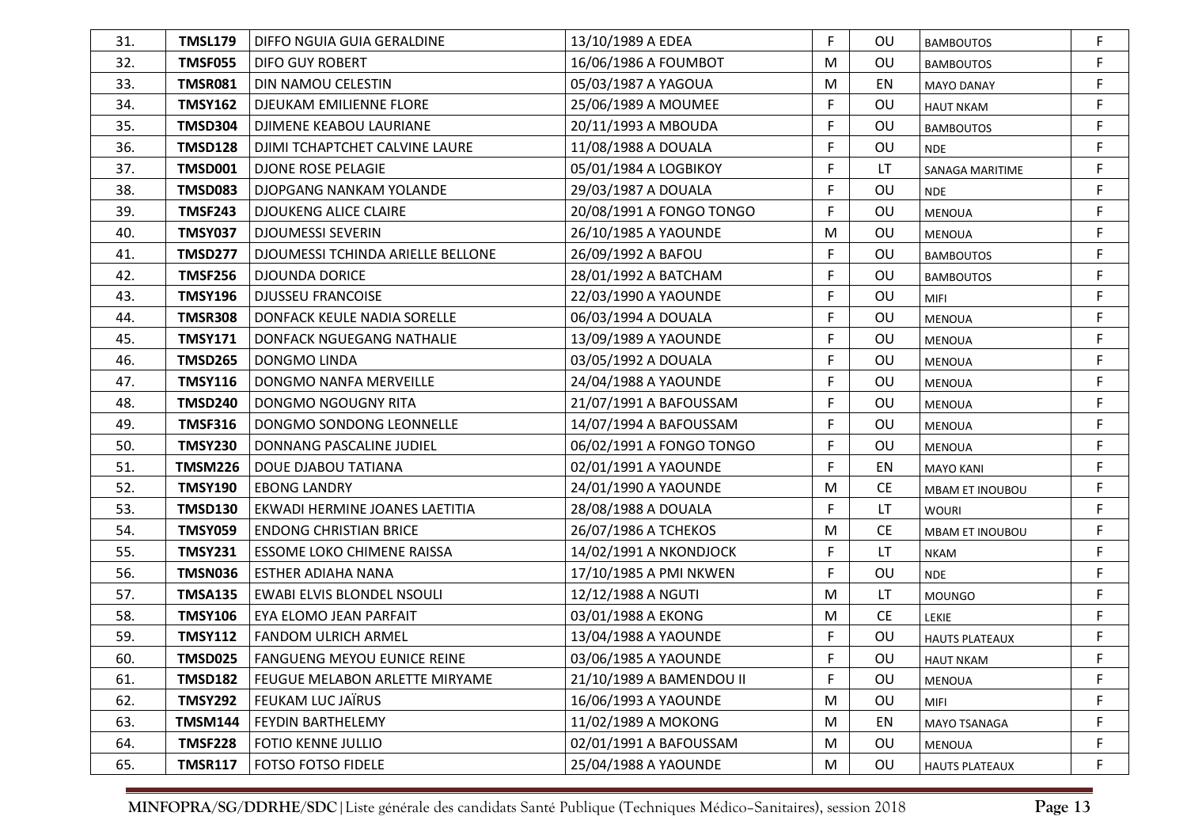| 31. | TMSL179        | DIFFO NGUIA GUIA GERALDINE        | 13/10/1989 A EDEA        | F  | OU        | <b>BAMBOUTOS</b>       | F  |
|-----|----------------|-----------------------------------|--------------------------|----|-----------|------------------------|----|
| 32. | <b>TMSF055</b> | DIFO GUY ROBERT                   | 16/06/1986 A FOUMBOT     | M  | OU        | <b>BAMBOUTOS</b>       | F  |
| 33. | <b>TMSR081</b> | DIN NAMOU CELESTIN                | 05/03/1987 A YAGOUA      | M  | EN        | <b>MAYO DANAY</b>      | F. |
| 34. | <b>TMSY162</b> | <b>DJEUKAM EMILIENNE FLORE</b>    | 25/06/1989 A MOUMEE      | F  | OU        | <b>HAUT NKAM</b>       | F  |
| 35. | TMSD304        | DJIMENE KEABOU LAURIANE           | 20/11/1993 A MBOUDA      | F  | OU        | <b>BAMBOUTOS</b>       | F  |
| 36. | <b>TMSD128</b> | DJIMI TCHAPTCHET CALVINE LAURE    | 11/08/1988 A DOUALA      | F  | OU        | <b>NDE</b>             | F  |
| 37. | <b>TMSD001</b> | <b>DJONE ROSE PELAGIE</b>         | 05/01/1984 A LOGBIKOY    | F  | LT        | <b>SANAGA MARITIME</b> | F  |
| 38. | <b>TMSD083</b> | DJOPGANG NANKAM YOLANDE           | 29/03/1987 A DOUALA      | F  | OU        | <b>NDE</b>             | F  |
| 39. | <b>TMSF243</b> | <b>DJOUKENG ALICE CLAIRE</b>      | 20/08/1991 A FONGO TONGO | F  | OU        | <b>MENOUA</b>          | F  |
| 40. | <b>TMSY037</b> | <b>DJOUMESSI SEVERIN</b>          | 26/10/1985 A YAOUNDE     | M  | OU        | <b>MENOUA</b>          | F  |
| 41. | <b>TMSD277</b> | DJOUMESSI TCHINDA ARIELLE BELLONE | 26/09/1992 A BAFOU       | F  | OU        | <b>BAMBOUTOS</b>       | F  |
| 42. | <b>TMSF256</b> | <b>DJOUNDA DORICE</b>             | 28/01/1992 A BATCHAM     | F  | OU        | <b>BAMBOUTOS</b>       | F  |
| 43. | <b>TMSY196</b> | <b>DJUSSEU FRANCOISE</b>          | 22/03/1990 A YAOUNDE     | F  | OU        | <b>MIFI</b>            | F  |
| 44. | <b>TMSR308</b> | DONFACK KEULE NADIA SORELLE       | 06/03/1994 A DOUALA      | F  | OU        | <b>MENOUA</b>          | F  |
| 45. | <b>TMSY171</b> | DONFACK NGUEGANG NATHALIE         | 13/09/1989 A YAOUNDE     | F  | OU        | <b>MENOUA</b>          | F  |
| 46. | <b>TMSD265</b> | DONGMO LINDA                      | 03/05/1992 A DOUALA      | F  | OU        | <b>MENOUA</b>          | F  |
| 47. | <b>TMSY116</b> | DONGMO NANFA MERVEILLE            | 24/04/1988 A YAOUNDE     | F  | OU        | <b>MENOUA</b>          | F  |
| 48. | <b>TMSD240</b> | DONGMO NGOUGNY RITA               | 21/07/1991 A BAFOUSSAM   | F. | OU        | <b>MENOUA</b>          | F  |
| 49. | <b>TMSF316</b> | DONGMO SONDONG LEONNELLE          | 14/07/1994 A BAFOUSSAM   | F  | OU        | <b>MENOUA</b>          | F  |
| 50. | <b>TMSY230</b> | DONNANG PASCALINE JUDIEL          | 06/02/1991 A FONGO TONGO | F. | OU        | <b>MENOUA</b>          | F  |
| 51. | <b>TMSM226</b> | DOUE DJABOU TATIANA               | 02/01/1991 A YAOUNDE     | F. | EN        | <b>MAYO KANI</b>       | F  |
| 52. | <b>TMSY190</b> | <b>EBONG LANDRY</b>               | 24/01/1990 A YAOUNDE     | M  | <b>CE</b> | <b>MBAM ET INOUBOU</b> | F  |
| 53. | <b>TMSD130</b> | EKWADI HERMINE JOANES LAETITIA    | 28/08/1988 A DOUALA      | F  | LT.       | <b>WOURI</b>           | F  |
| 54. | <b>TMSY059</b> | <b>ENDONG CHRISTIAN BRICE</b>     | 26/07/1986 A TCHEKOS     | M  | <b>CE</b> | MBAM ET INOUBOU        | F  |
| 55. | <b>TMSY231</b> | ESSOME LOKO CHIMENE RAISSA        | 14/02/1991 A NKONDJOCK   | F  | LT        | <b>NKAM</b>            | F  |
| 56. | <b>TMSN036</b> | ESTHER ADIAHA NANA                | 17/10/1985 A PMI NKWEN   | F  | OU        | <b>NDE</b>             | F  |
| 57. | <b>TMSA135</b> | <b>EWABI ELVIS BLONDEL NSOULI</b> | 12/12/1988 A NGUTI       | M  | LT        | <b>MOUNGO</b>          | F  |
| 58. | <b>TMSY106</b> | EYA ELOMO JEAN PARFAIT            | 03/01/1988 A EKONG       | M  | <b>CE</b> | LEKIE                  | F  |
| 59. | <b>TMSY112</b> | <b>FANDOM ULRICH ARMEL</b>        | 13/04/1988 A YAOUNDE     | F. | OU        | <b>HAUTS PLATEAUX</b>  | F  |
| 60. | TMSD025        | FANGUENG MEYOU EUNICE REINE       | 03/06/1985 A YAOUNDE     | F. | OU        | <b>HAUT NKAM</b>       |    |
| 61. | <b>TMSD182</b> | FEUGUE MELABON ARLETTE MIRYAME    | 21/10/1989 A BAMENDOU II | F. | OU        | <b>MENOUA</b>          | F  |
| 62. | <b>TMSY292</b> | FEUKAM LUC JAÏRUS                 | 16/06/1993 A YAOUNDE     | M  | OU        | <b>MIFI</b>            | F  |
| 63. | <b>TMSM144</b> | FEYDIN BARTHELEMY                 | 11/02/1989 A MOKONG      | M  | EN        | <b>MAYO TSANAGA</b>    | F  |
| 64. | <b>TMSF228</b> | <b>FOTIO KENNE JULLIO</b>         | 02/01/1991 A BAFOUSSAM   | M  | OU        | MENOUA                 | F  |
| 65. | <b>TMSR117</b> | <b>FOTSO FOTSO FIDELE</b>         | 25/04/1988 A YAOUNDE     | M  | OU        | <b>HAUTS PLATEAUX</b>  | F  |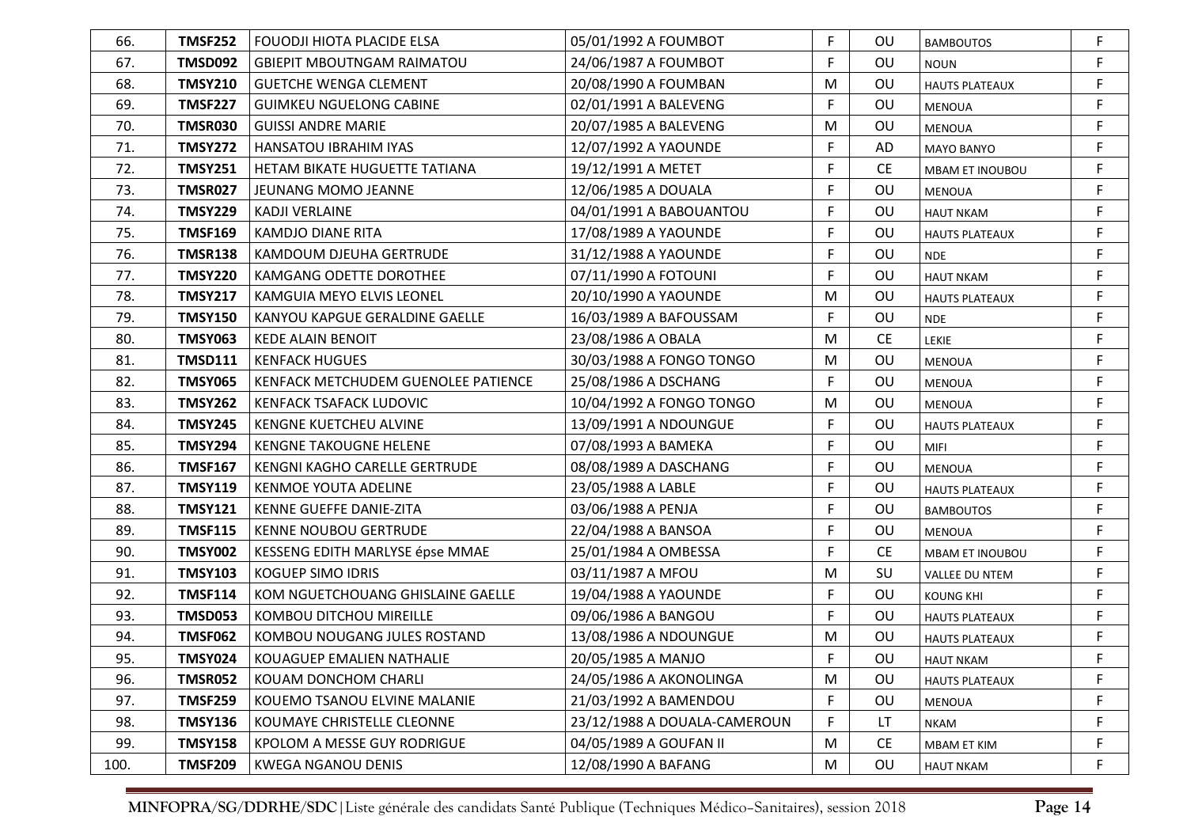| 66.  | <b>TMSF252</b> | <b>FOUODJI HIOTA PLACIDE ELSA</b>     | 05/01/1992 A FOUMBOT         | F  | OU        | <b>BAMBOUTOS</b>      | F           |
|------|----------------|---------------------------------------|------------------------------|----|-----------|-----------------------|-------------|
| 67.  | <b>TMSD092</b> | <b>GBIEPIT MBOUTNGAM RAIMATOU</b>     | 24/06/1987 A FOUMBOT         | F  | OU        | <b>NOUN</b>           | F           |
| 68.  | <b>TMSY210</b> | <b>GUETCHE WENGA CLEMENT</b>          | 20/08/1990 A FOUMBAN         | M  | OU        | <b>HAUTS PLATEAUX</b> | F           |
| 69.  | <b>TMSF227</b> | <b>GUIMKEU NGUELONG CABINE</b>        | 02/01/1991 A BALEVENG        | F  | OU        | <b>MENOUA</b>         | F           |
| 70.  | <b>TMSR030</b> | <b>GUISSI ANDRE MARIE</b>             | 20/07/1985 A BALEVENG        | M  | OU        | <b>MENOUA</b>         | F           |
| 71.  | <b>TMSY272</b> | <b>HANSATOU IBRAHIM IYAS</b>          | 12/07/1992 A YAOUNDE         | F  | AD        | <b>MAYO BANYO</b>     | F           |
| 72.  | <b>TMSY251</b> | HETAM BIKATE HUGUETTE TATIANA         | 19/12/1991 A METET           | F  | <b>CE</b> | MBAM ET INOUBOU       | F           |
| 73.  | <b>TMSR027</b> | JEUNANG MOMO JEANNE                   | 12/06/1985 A DOUALA          | F  | OU        | <b>MENOUA</b>         | F           |
| 74.  | <b>TMSY229</b> | <b>KADJI VERLAINE</b>                 | 04/01/1991 A BABOUANTOU      | F  | OU        | <b>HAUT NKAM</b>      | F           |
| 75.  | <b>TMSF169</b> | <b>KAMDJO DIANE RITA</b>              | 17/08/1989 A YAOUNDE         | F  | OU        | <b>HAUTS PLATEAUX</b> | F           |
| 76.  | <b>TMSR138</b> | KAMDOUM DJEUHA GERTRUDE               | 31/12/1988 A YAOUNDE         | F  | OU        | <b>NDE</b>            | F           |
| 77.  | <b>TMSY220</b> | <b>KAMGANG ODETTE DOROTHEE</b>        | 07/11/1990 A FOTOUNI         | F  | OU        | <b>HAUT NKAM</b>      | F           |
| 78.  | <b>TMSY217</b> | KAMGUIA MEYO ELVIS LEONEL             | 20/10/1990 A YAOUNDE         | M  | OU        | <b>HAUTS PLATEAUX</b> | F           |
| 79.  | <b>TMSY150</b> | <b>KANYOU KAPGUE GERALDINE GAELLE</b> | 16/03/1989 A BAFOUSSAM       | F  | OU        | <b>NDE</b>            | F           |
| 80.  | <b>TMSY063</b> | <b>KEDE ALAIN BENOIT</b>              | 23/08/1986 A OBALA           | M  | <b>CE</b> | <b>LEKIE</b>          | $\mathsf F$ |
| 81.  | <b>TMSD111</b> | <b>KENFACK HUGUES</b>                 | 30/03/1988 A FONGO TONGO     | M  | OU        | <b>MENOUA</b>         | F           |
| 82.  | <b>TMSY065</b> | KENFACK METCHUDEM GUENOLEE PATIENCE   | 25/08/1986 A DSCHANG         | F. | OU        | <b>MENOUA</b>         | F           |
| 83.  | <b>TMSY262</b> | KENFACK TSAFACK LUDOVIC               | 10/04/1992 A FONGO TONGO     | M  | OU        | <b>MENOUA</b>         | F           |
| 84.  | <b>TMSY245</b> | KENGNE KUETCHEU ALVINE                | 13/09/1991 A NDOUNGUE        | F  | OU        | <b>HAUTS PLATEAUX</b> | F           |
| 85.  | <b>TMSY294</b> | <b>KENGNE TAKOUGNE HELENE</b>         | 07/08/1993 A BAMEKA          | F  | OU        | MIFI                  | F           |
| 86.  | <b>TMSF167</b> | KENGNI KAGHO CARELLE GERTRUDE         | 08/08/1989 A DASCHANG        | F  | OU        | <b>MENOUA</b>         | F           |
| 87.  | <b>TMSY119</b> | <b>KENMOE YOUTA ADELINE</b>           | 23/05/1988 A LABLE           | F  | OU        | <b>HAUTS PLATEAUX</b> | F           |
| 88.  | <b>TMSY121</b> | KENNE GUEFFE DANIE-ZITA               | 03/06/1988 A PENJA           | F  | OU        | <b>BAMBOUTOS</b>      | F           |
| 89.  | <b>TMSF115</b> | <b>KENNE NOUBOU GERTRUDE</b>          | 22/04/1988 A BANSOA          | F  | OU        | <b>MENOUA</b>         | F           |
| 90.  | <b>TMSY002</b> | KESSENG EDITH MARLYSE épse MMAE       | 25/01/1984 A OMBESSA         | F  | <b>CE</b> | MBAM ET INOUBOU       | F           |
| 91.  | <b>TMSY103</b> | <b>KOGUEP SIMO IDRIS</b>              | 03/11/1987 A MFOU            | M  | SU        | VALLEE DU NTEM        | F           |
| 92.  | <b>TMSF114</b> | KOM NGUETCHOUANG GHISLAINE GAELLE     | 19/04/1988 A YAOUNDE         | F  | OU        | <b>KOUNG KHI</b>      | F           |
| 93.  | <b>TMSD053</b> | <b>KOMBOU DITCHOU MIREILLE</b>        | 09/06/1986 A BANGOU          | F  | OU        | <b>HAUTS PLATEAUX</b> | $\mathsf F$ |
| 94.  | <b>TMSF062</b> | KOMBOU NOUGANG JULES ROSTAND          | 13/08/1986 A NDOUNGUE        | M  | OU        | <b>HAUTS PLATEAUX</b> | F           |
| 95.  | <b>TMSY024</b> | KOUAGUEP EMALIEN NATHALIE             | 20/05/1985 A MANJO           | F  | OU        | <b>HAUT NKAM</b>      | F           |
| 96.  | <b>TMSR052</b> | KOUAM DONCHOM CHARLI                  | 24/05/1986 A AKONOLINGA      | M  | OU        | <b>HAUTS PLATEAUX</b> | F           |
| 97.  | <b>TMSF259</b> | KOUEMO TSANOU ELVINE MALANIE          | 21/03/1992 A BAMENDOU        | F  | OU        | MENOUA                | F           |
| 98.  | <b>TMSY136</b> | KOUMAYE CHRISTELLE CLEONNE            | 23/12/1988 A DOUALA-CAMEROUN | F  | LT        | <b>NKAM</b>           | F           |
| 99.  | <b>TMSY158</b> | KPOLOM A MESSE GUY RODRIGUE           | 04/05/1989 A GOUFAN II       | M  | <b>CE</b> | MBAM ET KIM           | $\mathsf F$ |
| 100. | <b>TMSF209</b> | <b>KWEGA NGANOU DENIS</b>             | 12/08/1990 A BAFANG          | M  | OU        | <b>HAUT NKAM</b>      | F           |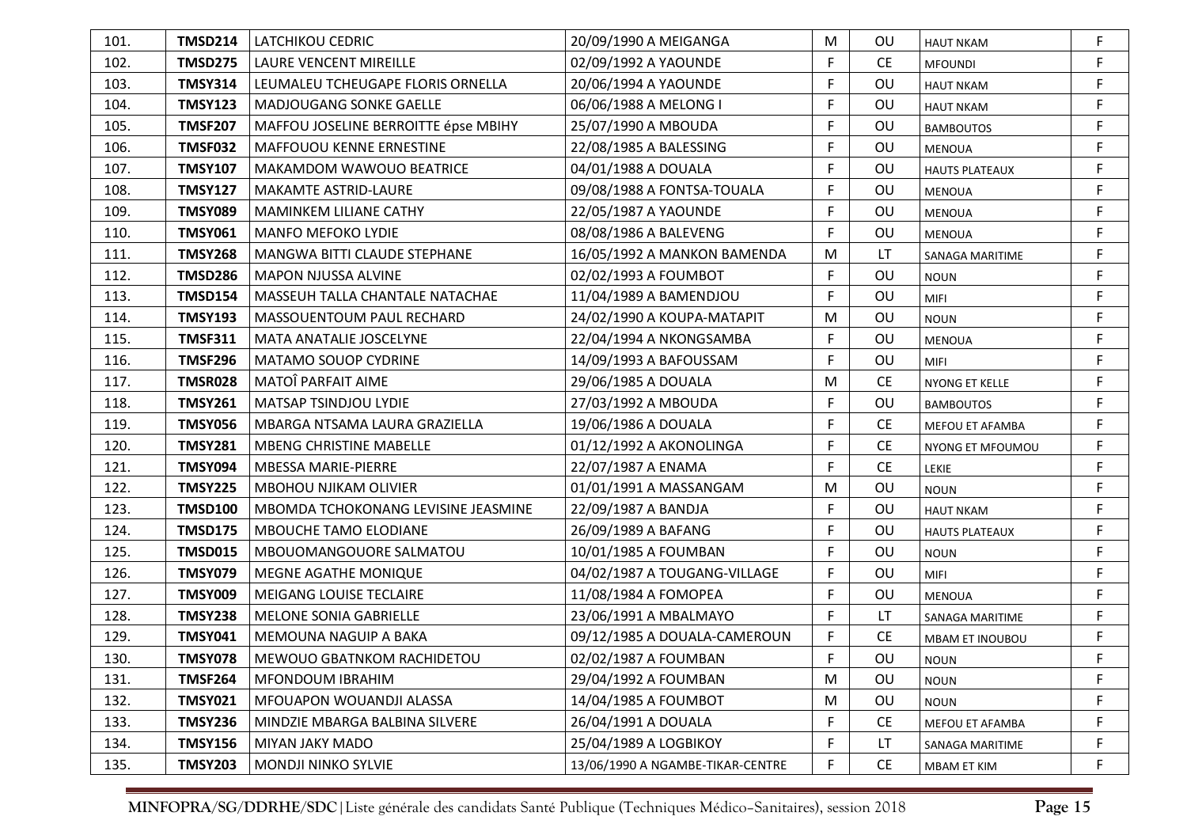| 101. | <b>TMSD214</b> | LATCHIKOU CEDRIC                     | 20/09/1990 A MEIGANGA            | M  | OU        | <b>HAUT NKAM</b>      | F  |
|------|----------------|--------------------------------------|----------------------------------|----|-----------|-----------------------|----|
| 102. | <b>TMSD275</b> | LAURE VENCENT MIREILLE               | 02/09/1992 A YAOUNDE             | F. | <b>CE</b> | <b>MFOUNDI</b>        | F  |
| 103. | <b>TMSY314</b> | LEUMALEU TCHEUGAPE FLORIS ORNELLA    | 20/06/1994 A YAOUNDE             | F  | OU        | <b>HAUT NKAM</b>      | F  |
| 104. | <b>TMSY123</b> | MADJOUGANG SONKE GAELLE              | 06/06/1988 A MELONG I            | F  | OU        | <b>HAUT NKAM</b>      | F  |
| 105. | <b>TMSF207</b> | MAFFOU JOSELINE BERROITTE épse MBIHY | 25/07/1990 A MBOUDA              | F  | OU        | <b>BAMBOUTOS</b>      | F  |
| 106. | <b>TMSF032</b> | MAFFOUOU KENNE ERNESTINE             | 22/08/1985 A BALESSING           | F  | OU        | <b>MENOUA</b>         | F  |
| 107. | <b>TMSY107</b> | <b>MAKAMDOM WAWOUO BEATRICE</b>      | 04/01/1988 A DOUALA              | F  | <b>OU</b> | <b>HAUTS PLATEAUX</b> | F  |
| 108. | <b>TMSY127</b> | MAKAMTE ASTRID-LAURE                 | 09/08/1988 A FONTSA-TOUALA       | F  | OU        | <b>MENOUA</b>         | F  |
| 109. | <b>TMSY089</b> | <b>MAMINKEM LILIANE CATHY</b>        | 22/05/1987 A YAOUNDE             | F  | OU        | <b>MENOUA</b>         | F  |
| 110. | <b>TMSY061</b> | <b>MANFO MEFOKO LYDIE</b>            | 08/08/1986 A BALEVENG            | F  | OU        | <b>MENOUA</b>         | F  |
| 111. | <b>TMSY268</b> | MANGWA BITTI CLAUDE STEPHANE         | 16/05/1992 A MANKON BAMENDA      | М  | LT        | SANAGA MARITIME       | F  |
| 112. | <b>TMSD286</b> | <b>MAPON NJUSSA ALVINE</b>           | 02/02/1993 A FOUMBOT             | F  | OU        | <b>NOUN</b>           | F  |
| 113. | <b>TMSD154</b> | MASSEUH TALLA CHANTALE NATACHAE      | 11/04/1989 A BAMENDJOU           | F  | OU        | <b>MIFI</b>           | F. |
| 114. | <b>TMSY193</b> | MASSOUENTOUM PAUL RECHARD            | 24/02/1990 A KOUPA-MATAPIT       | М  | OU        | <b>NOUN</b>           | F  |
| 115. | <b>TMSF311</b> | <b>MATA ANATALIE JOSCELYNE</b>       | 22/04/1994 A NKONGSAMBA          | F  | OU        | <b>MENOUA</b>         | F  |
| 116. | <b>TMSF296</b> | <b>MATAMO SOUOP CYDRINE</b>          | 14/09/1993 A BAFOUSSAM           | F  | OU        | <b>MIFI</b>           | F  |
| 117. | <b>TMSR028</b> | MATOÎ PARFAIT AIME                   | 29/06/1985 A DOUALA              | M  | <b>CE</b> | NYONG ET KELLE        | F  |
| 118. | <b>TMSY261</b> | MATSAP TSINDJOU LYDIE                | 27/03/1992 A MBOUDA              | F  | OU        | <b>BAMBOUTOS</b>      | F  |
| 119. | <b>TMSY056</b> | MBARGA NTSAMA LAURA GRAZIELLA        | 19/06/1986 A DOUALA              | F  | <b>CE</b> | MEFOU ET AFAMBA       | F  |
| 120. | <b>TMSY281</b> | <b>MBENG CHRISTINE MABELLE</b>       | 01/12/1992 A AKONOLINGA          | F  | <b>CE</b> | NYONG ET MFOUMOU      | F  |
| 121. | <b>TMSY094</b> | <b>MBESSA MARIE-PIERRE</b>           | 22/07/1987 A ENAMA               | F  | <b>CE</b> | LEKIE                 | F  |
| 122. | <b>TMSY225</b> | <b>MBOHOU NJIKAM OLIVIER</b>         | 01/01/1991 A MASSANGAM           | M  | OU        | <b>NOUN</b>           | F  |
| 123. | <b>TMSD100</b> | MBOMDA TCHOKONANG LEVISINE JEASMINE  | 22/09/1987 A BANDJA              | F  | OU        | <b>HAUT NKAM</b>      | F  |
| 124. | <b>TMSD175</b> | MBOUCHE TAMO ELODIANE                | 26/09/1989 A BAFANG              | F  | OU        | <b>HAUTS PLATEAUX</b> | F  |
| 125. | <b>TMSD015</b> | MBOUOMANGOUORE SALMATOU              | 10/01/1985 A FOUMBAN             | F  | OU        | <b>NOUN</b>           | F  |
| 126. | <b>TMSY079</b> | MEGNE AGATHE MONIQUE                 | 04/02/1987 A TOUGANG-VILLAGE     | F  | OU        | <b>MIFI</b>           | F  |
| 127. | <b>TMSY009</b> | <b>MEIGANG LOUISE TECLAIRE</b>       | 11/08/1984 A FOMOPEA             | F  | OU        | <b>MENOUA</b>         | F  |
| 128. | <b>TMSY238</b> | <b>MELONE SONIA GABRIELLE</b>        | 23/06/1991 A MBALMAYO            | F  | LT.       | SANAGA MARITIME       | F  |
| 129. | <b>TMSY041</b> | MEMOUNA NAGUIP A BAKA                | 09/12/1985 A DOUALA-CAMEROUN     | F  | <b>CE</b> | MBAM ET INOUBOU       | F  |
| 130. | <b>TMSY078</b> | MEWOUO GBATNKOM RACHIDETOU           | 02/02/1987 A FOUMBAN             | E  | OU        | <b>NOUN</b>           |    |
| 131. | <b>TMSF264</b> | MFONDOUM IBRAHIM                     | 29/04/1992 A FOUMBAN             | M  | OU        | <b>NOUN</b>           | F  |
| 132. | <b>TMSY021</b> | MFOUAPON WOUANDJI ALASSA             | 14/04/1985 A FOUMBOT             | M  | <b>OU</b> | <b>NOUN</b>           | F  |
| 133. | <b>TMSY236</b> | MINDZIE MBARGA BALBINA SILVERE       | 26/04/1991 A DOUALA              | F  | <b>CE</b> | MEFOU ET AFAMBA       | F  |
| 134. | <b>TMSY156</b> | <b>MIYAN JAKY MADO</b>               | 25/04/1989 A LOGBIKOY            | F  | LT        | SANAGA MARITIME       | F  |
| 135. | <b>TMSY203</b> | <b>MONDJI NINKO SYLVIE</b>           | 13/06/1990 A NGAMBE-TIKAR-CENTRE | F  | <b>CE</b> | <b>MBAM ET KIM</b>    | F  |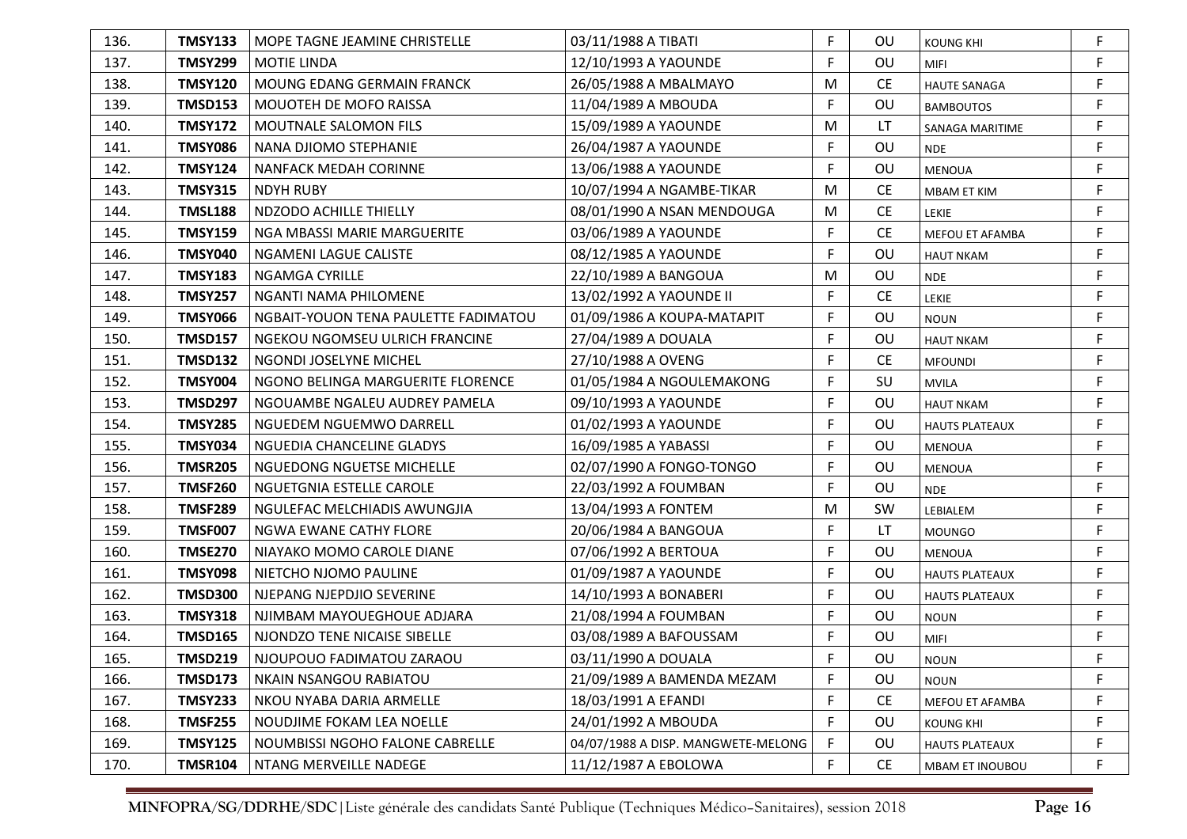| 136. | <b>TMSY133</b> | l MOPE TAGNE JEAMINE CHRISTELLE      | 03/11/1988 A TIBATI                | F | OU        | <b>KOUNG KHI</b>      | F           |
|------|----------------|--------------------------------------|------------------------------------|---|-----------|-----------------------|-------------|
| 137. | <b>TMSY299</b> | <b>MOTIE LINDA</b>                   | 12/10/1993 A YAOUNDE               | F | OU        | MIFI                  | F           |
| 138. | <b>TMSY120</b> | <b>MOUNG EDANG GERMAIN FRANCK</b>    | 26/05/1988 A MBALMAYO              | м | <b>CE</b> | <b>HAUTE SANAGA</b>   | F           |
| 139. | <b>TMSD153</b> | <b>MOUOTEH DE MOFO RAISSA</b>        | 11/04/1989 A MBOUDA                | F | OU        | <b>BAMBOUTOS</b>      | F           |
| 140. | <b>TMSY172</b> | MOUTNALE SALOMON FILS                | 15/09/1989 A YAOUNDE               | м | LT        | SANAGA MARITIME       | F           |
| 141. | <b>TMSY086</b> | NANA DJIOMO STEPHANIE                | 26/04/1987 A YAOUNDE               | F | OU        | <b>NDE</b>            | F           |
| 142. | <b>TMSY124</b> | <b>NANFACK MEDAH CORINNE</b>         | 13/06/1988 A YAOUNDE               | F | OU        | <b>MENOUA</b>         | F           |
| 143. | <b>TMSY315</b> | <b>NDYH RUBY</b>                     | 10/07/1994 A NGAMBE-TIKAR          | M | <b>CE</b> | <b>MBAM ET KIM</b>    | F           |
| 144. | <b>TMSL188</b> | NDZODO ACHILLE THIELLY               | 08/01/1990 A NSAN MENDOUGA         | M | <b>CE</b> | LEKIE                 | F           |
| 145. | <b>TMSY159</b> | NGA MBASSI MARIE MARGUERITE          | 03/06/1989 A YAOUNDE               | F | <b>CE</b> | MEFOU ET AFAMBA       | F           |
| 146. | <b>TMSY040</b> | NGAMENI LAGUE CALISTE                | 08/12/1985 A YAOUNDE               | F | OU        | <b>HAUT NKAM</b>      | F           |
| 147. | <b>TMSY183</b> | <b>NGAMGA CYRILLE</b>                | 22/10/1989 A BANGOUA               | M | OU        | <b>NDE</b>            | F           |
| 148. | <b>TMSY257</b> | NGANTI NAMA PHILOMENE                | 13/02/1992 A YAOUNDE II            | F | <b>CE</b> | LEKIE                 | F           |
| 149. | <b>TMSY066</b> | NGBAIT-YOUON TENA PAULETTE FADIMATOU | 01/09/1986 A KOUPA-MATAPIT         | F | OU        | <b>NOUN</b>           | F           |
| 150. | <b>TMSD157</b> | NGEKOU NGOMSEU ULRICH FRANCINE       | 27/04/1989 A DOUALA                | F | OU        | <b>HAUT NKAM</b>      | F           |
| 151. | <b>TMSD132</b> | NGONDI JOSELYNE MICHEL               | 27/10/1988 A OVENG                 | F | <b>CE</b> | <b>MFOUNDI</b>        | F           |
| 152. | <b>TMSY004</b> | NGONO BELINGA MARGUERITE FLORENCE    | 01/05/1984 A NGOULEMAKONG          | F | SU        | <b>MVILA</b>          | F           |
| 153. | TMSD297        | NGOUAMBE NGALEU AUDREY PAMELA        | 09/10/1993 A YAOUNDE               | F | OU        | <b>HAUT NKAM</b>      | F           |
| 154. | <b>TMSY285</b> | NGUEDEM NGUEMWO DARRELL              | 01/02/1993 A YAOUNDE               | F | OU        | <b>HAUTS PLATEAUX</b> | F           |
| 155. | <b>TMSY034</b> | NGUEDIA CHANCELINE GLADYS            | 16/09/1985 A YABASSI               | F | OU        | <b>MENOUA</b>         | F           |
| 156. | <b>TMSR205</b> | NGUEDONG NGUETSE MICHELLE            | 02/07/1990 A FONGO-TONGO           | F | OU        | <b>MENOUA</b>         | F           |
| 157. | <b>TMSF260</b> | NGUETGNIA ESTELLE CAROLE             | 22/03/1992 A FOUMBAN               | F | OU        | <b>NDE</b>            | F           |
| 158. | <b>TMSF289</b> | NGULEFAC MELCHIADIS AWUNGJIA         | 13/04/1993 A FONTEM                | M | SW        | LEBIALEM              | F           |
| 159. | <b>TMSF007</b> | NGWA EWANE CATHY FLORE               | 20/06/1984 A BANGOUA               | F | <b>LT</b> | <b>MOUNGO</b>         | F           |
| 160. | <b>TMSE270</b> | NIAYAKO MOMO CAROLE DIANE            | 07/06/1992 A BERTOUA               | F | OU        | <b>MENOUA</b>         | F           |
| 161. | <b>TMSY098</b> | NIETCHO NJOMO PAULINE                | 01/09/1987 A YAOUNDE               | F | OU        | <b>HAUTS PLATEAUX</b> | F           |
| 162. | <b>TMSD300</b> | NJEPANG NJEPDJIO SEVERINE            | 14/10/1993 A BONABERI              | F | OU        | <b>HAUTS PLATEAUX</b> | F           |
| 163. | <b>TMSY318</b> | NJIMBAM MAYOUEGHOUE ADJARA           | 21/08/1994 A FOUMBAN               | F | OU        | <b>NOUN</b>           | F           |
| 164. | <b>TMSD165</b> | NJONDZO TENE NICAISE SIBELLE         | 03/08/1989 A BAFOUSSAM             | F | OU        | MIFI                  | $\mathsf F$ |
| 165. | TMSD219        | NJOUPOUO FADIMATOU ZARAOU            | 03/11/1990 A DOUALA                | F | OU        | <b>NOUN</b>           |             |
| 166. | <b>TMSD173</b> | NKAIN NSANGOU RABIATOU               | 21/09/1989 A BAMENDA MEZAM         | F | OU        | <b>NOUN</b>           | F           |
| 167. | <b>TMSY233</b> | NKOU NYABA DARIA ARMELLE             | 18/03/1991 A EFANDI                | F | <b>CE</b> | MEFOU ET AFAMBA       | F           |
| 168. | <b>TMSF255</b> | NOUDJIME FOKAM LEA NOELLE            | 24/01/1992 A MBOUDA                | F | OU        | <b>KOUNG KHI</b>      | F           |
| 169. | <b>TMSY125</b> | NOUMBISSI NGOHO FALONE CABRELLE      | 04/07/1988 A DISP. MANGWETE-MELONG | F | OU        | <b>HAUTS PLATEAUX</b> | F           |
| 170. | <b>TMSR104</b> | NTANG MERVEILLE NADEGE               | 11/12/1987 A EBOLOWA               | F | CE        | MBAM ET INOUBOU       | F           |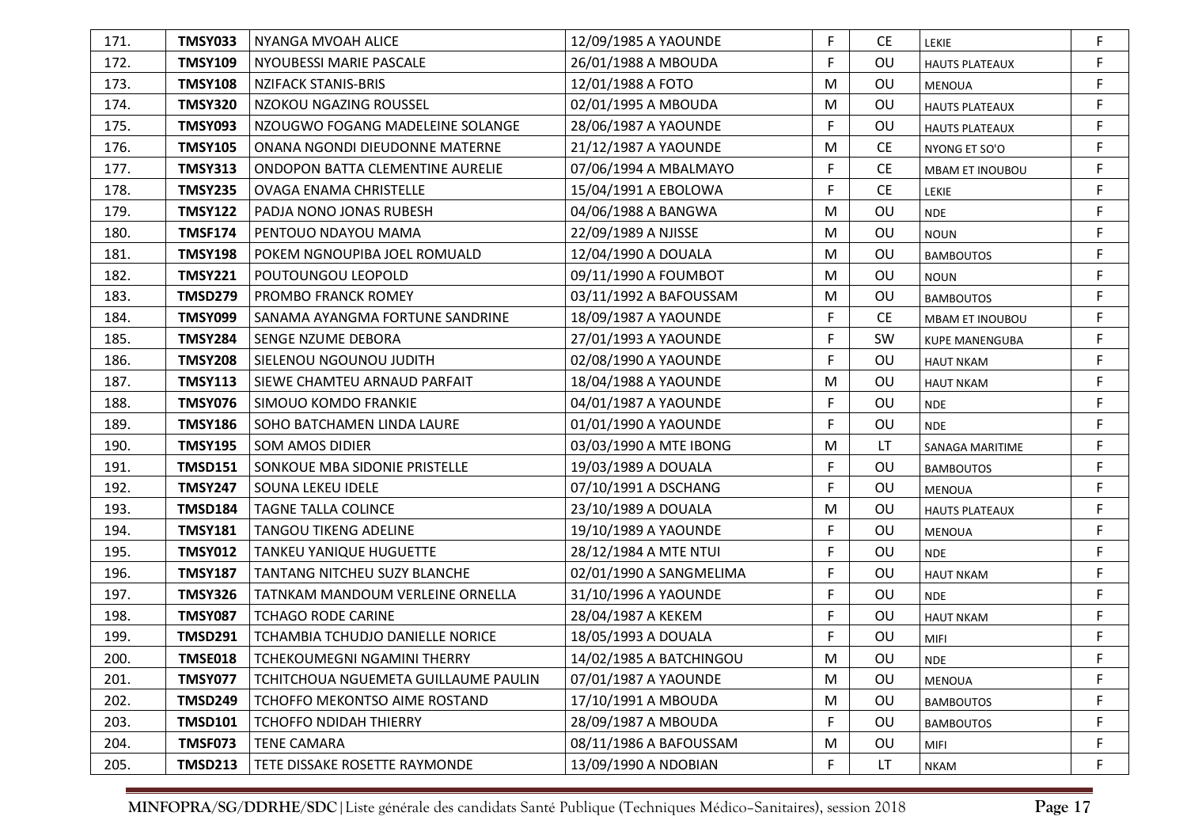| 171. | TMSY033        | NYANGA MVOAH ALICE                   | 12/09/1985 A YAOUNDE    | F           | CE.       | LEKIE                  | F           |
|------|----------------|--------------------------------------|-------------------------|-------------|-----------|------------------------|-------------|
| 172. | <b>TMSY109</b> | NYOUBESSI MARIE PASCALE              | 26/01/1988 A MBOUDA     | F           | OU        | <b>HAUTS PLATEAUX</b>  | F           |
| 173. | <b>TMSY108</b> | <b>NZIFACK STANIS-BRIS</b>           | 12/01/1988 A FOTO       | M           | <b>OU</b> | <b>MENOUA</b>          | F           |
| 174. | <b>TMSY320</b> | NZOKOU NGAZING ROUSSEL               | 02/01/1995 A MBOUDA     | M           | OU        | <b>HAUTS PLATEAUX</b>  | F           |
| 175. | <b>TMSY093</b> | NZOUGWO FOGANG MADELEINE SOLANGE     | 28/06/1987 A YAOUNDE    | F           | <b>OU</b> | <b>HAUTS PLATEAUX</b>  | F           |
| 176. | <b>TMSY105</b> | ONANA NGONDI DIEUDONNE MATERNE       | 21/12/1987 A YAOUNDE    | M           | <b>CE</b> | NYONG ET SO'O          | F           |
| 177. | <b>TMSY313</b> | ONDOPON BATTA CLEMENTINE AURELIE     | 07/06/1994 A MBALMAYO   | F           | <b>CE</b> | MBAM ET INOUBOU        | F.          |
| 178. | <b>TMSY235</b> | <b>OVAGA ENAMA CHRISTELLE</b>        | 15/04/1991 A EBOLOWA    | F           | <b>CE</b> | LEKIE                  | F           |
| 179. | <b>TMSY122</b> | <b>PADJA NONO JONAS RUBESH</b>       | 04/06/1988 A BANGWA     | M           | OU        | <b>NDE</b>             | F           |
| 180. | <b>TMSF174</b> | PENTOUO NDAYOU MAMA                  | 22/09/1989 A NJISSE     | M           | OU        | <b>NOUN</b>            | F           |
| 181. | <b>TMSY198</b> | POKEM NGNOUPIBA JOEL ROMUALD         | 12/04/1990 A DOUALA     | M           | OU        | <b>BAMBOUTOS</b>       | F           |
| 182. | <b>TMSY221</b> | POUTOUNGOU LEOPOLD                   | 09/11/1990 A FOUMBOT    | M           | OU        | <b>NOUN</b>            | F           |
| 183. | <b>TMSD279</b> | <b>PROMBO FRANCK ROMEY</b>           | 03/11/1992 A BAFOUSSAM  | M           | OU        | <b>BAMBOUTOS</b>       | F           |
| 184. | <b>TMSY099</b> | SANAMA AYANGMA FORTUNE SANDRINE      | 18/09/1987 A YAOUNDE    | F           | <b>CE</b> | <b>MBAM ET INOUBOU</b> | F           |
| 185. | <b>TMSY284</b> | SENGE NZUME DEBORA                   | 27/01/1993 A YAOUNDE    | F           | SW        | <b>KUPE MANENGUBA</b>  | F           |
| 186. | <b>TMSY208</b> | SIELENOU NGOUNOU JUDITH              | 02/08/1990 A YAOUNDE    | F           | OU        | <b>HAUT NKAM</b>       | F           |
| 187. | <b>TMSY113</b> | SIEWE CHAMTEU ARNAUD PARFAIT         | 18/04/1988 A YAOUNDE    | M           | OU        | <b>HAUT NKAM</b>       | F           |
| 188. | <b>TMSY076</b> | SIMOUO KOMDO FRANKIE                 | 04/01/1987 A YAOUNDE    | F           | OU        | <b>NDE</b>             | F           |
| 189. | <b>TMSY186</b> | SOHO BATCHAMEN LINDA LAURE           | 01/01/1990 A YAOUNDE    | F           | OU        | <b>NDE</b>             | F           |
| 190. | <b>TMSY195</b> | <b>SOM AMOS DIDIER</b>               | 03/03/1990 A MTE IBONG  | M           | LT        | SANAGA MARITIME        | F           |
| 191. | <b>TMSD151</b> | <b>SONKOUE MBA SIDONIE PRISTELLE</b> | 19/03/1989 A DOUALA     | F           | OU        | <b>BAMBOUTOS</b>       | F           |
| 192. | <b>TMSY247</b> | SOUNA LEKEU IDELE                    | 07/10/1991 A DSCHANG    | $\mathsf F$ | OU        | <b>MENOUA</b>          | F           |
| 193. | <b>TMSD184</b> | TAGNE TALLA COLINCE                  | 23/10/1989 A DOUALA     | M           | OU        | <b>HAUTS PLATEAUX</b>  | F           |
| 194. | <b>TMSY181</b> | <b>TANGOU TIKENG ADELINE</b>         | 19/10/1989 A YAOUNDE    | F.          | OU        | <b>MENOUA</b>          | F           |
| 195. | <b>TMSY012</b> | <b>TANKEU YANIQUE HUGUETTE</b>       | 28/12/1984 A MTE NTUI   | F.          | OU        | <b>NDE</b>             | F           |
| 196. | <b>TMSY187</b> | TANTANG NITCHEU SUZY BLANCHE         | 02/01/1990 A SANGMELIMA | F.          | OU        | <b>HAUT NKAM</b>       | F           |
| 197. | <b>TMSY326</b> | TATNKAM MANDOUM VERLEINE ORNELLA     | 31/10/1996 A YAOUNDE    | F           | OU        | <b>NDE</b>             | F           |
| 198. | <b>TMSY087</b> | <b>TCHAGO RODE CARINE</b>            | 28/04/1987 A KEKEM      | F.          | OU        | <b>HAUT NKAM</b>       | F           |
| 199. | <b>TMSD291</b> | TCHAMBIA TCHUDJO DANIELLE NORICE     | 18/05/1993 A DOUALA     | F.          | OU        | MIFI                   | $\mathsf F$ |
| 200. | <b>TMSE018</b> | TCHEKOUMEGNI NGAMINI THERRY          | 14/02/1985 A BATCHINGOU | м           | OU        | <b>NDE</b>             |             |
| 201. | <b>TMSY077</b> | TCHITCHOUA NGUEMETA GUILLAUME PAULIN | 07/01/1987 A YAOUNDE    | M           | OU        | MENOUA                 | F           |
| 202. | <b>TMSD249</b> | TCHOFFO MEKONTSO AIME ROSTAND        | 17/10/1991 A MBOUDA     | M           | OU        | <b>BAMBOUTOS</b>       | F           |
| 203. | <b>TMSD101</b> | <b>TCHOFFO NDIDAH THIERRY</b>        | 28/09/1987 A MBOUDA     | F           | OU        | <b>BAMBOUTOS</b>       | F           |
| 204. | <b>TMSF073</b> | <b>TENE CAMARA</b>                   | 08/11/1986 A BAFOUSSAM  | M           | OU        | MIFI                   | F           |
| 205. | <b>TMSD213</b> | TETE DISSAKE ROSETTE RAYMONDE        | 13/09/1990 A NDOBIAN    | F           | LT        | <b>NKAM</b>            | F           |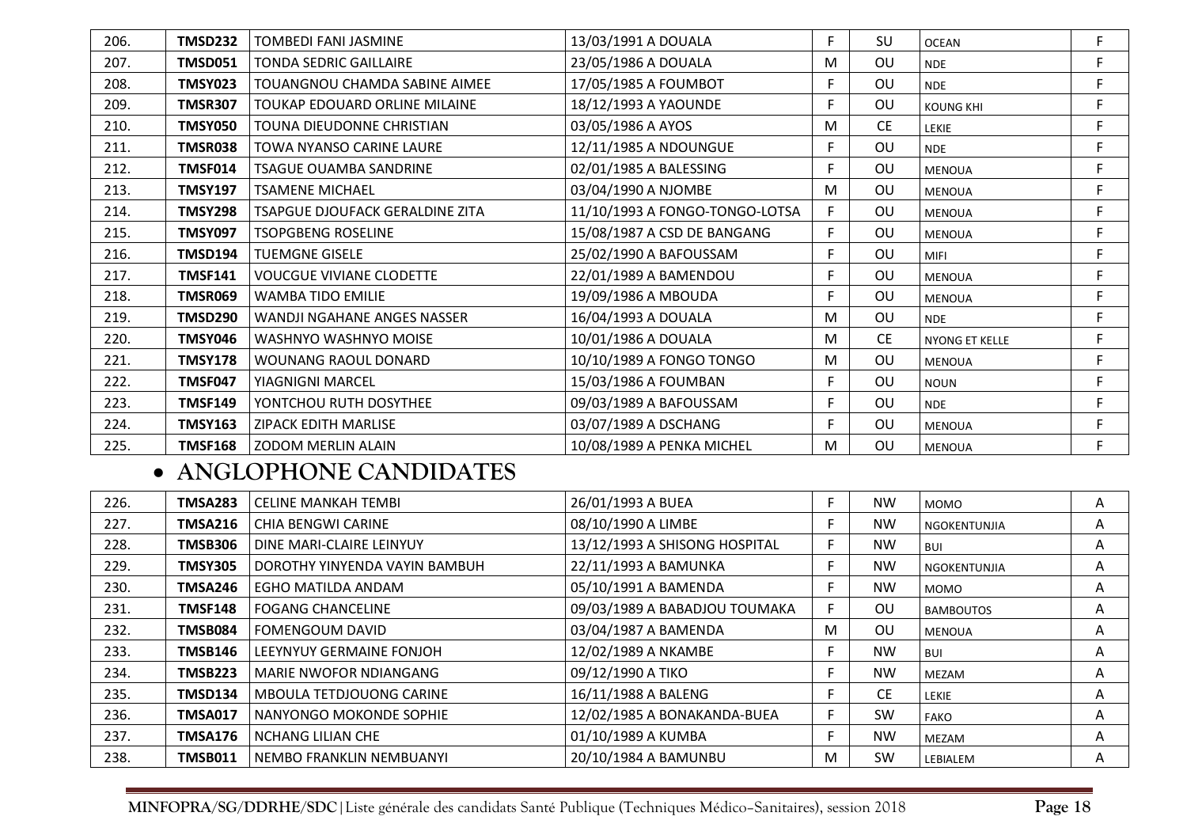| 206. | TMSD232        | <b>TOMBEDI FANI JASMINE</b>        | 13/03/1991 A DOUALA            | F. | SU        | <b>OCEAN</b>          | F  |
|------|----------------|------------------------------------|--------------------------------|----|-----------|-----------------------|----|
| 207. | <b>TMSD051</b> | <b>TONDA SEDRIC GAILLAIRE</b>      | 23/05/1986 A DOUALA            | M  | <b>OU</b> | <b>NDE</b>            | F. |
| 208. | <b>TMSY023</b> | TOUANGNOU CHAMDA SABINE AIMEE      | 17/05/1985 A FOUMBOT           | F. | <b>OU</b> | <b>NDE</b>            | F  |
| 209. | <b>TMSR307</b> | TOUKAP EDOUARD ORLINE MILAINE      | 18/12/1993 A YAOUNDE           |    | OU        | <b>KOUNG KHI</b>      | F  |
| 210. | TMSY050        | TOUNA DIEUDONNE CHRISTIAN          | 03/05/1986 A AYOS              | M  | <b>CE</b> | LEKIE                 | F. |
| 211. | <b>TMSR038</b> | TOWA NYANSO CARINE LAURE           | 12/11/1985 A NDOUNGUE          | F. | OU        | <b>NDE</b>            | F  |
| 212. | <b>TMSF014</b> | <b>TSAGUE OUAMBA SANDRINE</b>      | 02/01/1985 A BALESSING         | F. | OU        | <b>MENOUA</b>         | F  |
| 213. | <b>TMSY197</b> | <b>TSAMENE MICHAEL</b>             | 03/04/1990 A NJOMBE            | M  | OU        | <b>MENOUA</b>         | F  |
| 214. | <b>TMSY298</b> | TSAPGUE DJOUFACK GERALDINE ZITA    | 11/10/1993 A FONGO-TONGO-LOTSA | F. | OU        | <b>MENOUA</b>         | F  |
| 215. | <b>TMSY097</b> | <b>TSOPGBENG ROSELINE</b>          | 15/08/1987 A CSD DE BANGANG    | F. | OU        | <b>MENOUA</b>         | F  |
| 216. | <b>TMSD194</b> | <b>TUEMGNE GISELE</b>              | 25/02/1990 A BAFOUSSAM         | F. | OU        | <b>MIFI</b>           | F. |
| 217. | TMSF141        | <b>VOUCGUE VIVIANE CLODETTE</b>    | 22/01/1989 A BAMENDOU          | F. | OU        | <b>MENOUA</b>         | F. |
| 218. | <b>TMSR069</b> | WAMBA TIDO EMILIE                  | 19/09/1986 A MBOUDA            | F. | OU        | <b>MENOUA</b>         | F  |
| 219. | <b>TMSD290</b> | <b>WANDJI NGAHANE ANGES NASSER</b> | 16/04/1993 A DOUALA            | M  | OU        | <b>NDE</b>            | F  |
| 220. | TMSY046        | WASHNYO WASHNYO MOISE              | 10/01/1986 A DOUALA            | M  | <b>CE</b> | <b>NYONG ET KELLE</b> | F  |
| 221. | <b>TMSY178</b> | WOUNANG RAOUL DONARD               | 10/10/1989 A FONGO TONGO       | M  | OU        | <b>MENOUA</b>         | F  |
| 222. | <b>TMSF047</b> | YIAGNIGNI MARCEL                   | 15/03/1986 A FOUMBAN           | F. | OU        | <b>NOUN</b>           | F  |
| 223. | <b>TMSF149</b> | YONTCHOU RUTH DOSYTHEE             | 09/03/1989 A BAFOUSSAM         | F. | <b>OU</b> | <b>NDE</b>            | F  |
| 224. | <b>TMSY163</b> | ZIPACK EDITH MARLISE               | 03/07/1989 A DSCHANG           | F. | OU        | <b>MENOUA</b>         | F  |
| 225. | <b>TMSF168</b> | <b>ZODOM MERLIN ALAIN</b>          | 10/08/1989 A PENKA MICHEL      | M  | OU        | <b>MENOUA</b>         | F  |

### • **ANGLOPHONE CANDIDATES**

| 226. | <b>TMSA283</b> | l CELINE MANKAH TEMBI           | 26/01/1993 A BUEA             |   | <b>NW</b> | <b>MOMO</b>         | A |
|------|----------------|---------------------------------|-------------------------------|---|-----------|---------------------|---|
| 227. | <b>TMSA216</b> | CHIA BENGWI CARINE              | 08/10/1990 A LIMBE            |   | <b>NW</b> | NGOKENTUNJIA        | A |
| 228. | <b>TMSB306</b> | DINE MARI-CLAIRE LEINYUY        | 13/12/1993 A SHISONG HOSPITAL |   | <b>NW</b> | <b>BUI</b>          | A |
| 229. | <b>TMSY305</b> | DOROTHY YINYENDA VAYIN BAMBUH   | 22/11/1993 A BAMUNKA          |   | <b>NW</b> | <b>NGOKENTUNJIA</b> | A |
| 230. | TMSA246        | l EGHO MATILDA ANDAM            | 05/10/1991 A BAMENDA          |   | <b>NW</b> | MOMO                | A |
| 231. | <b>TMSF148</b> | l FOGANG CHANCELINE             | 09/03/1989 A BABADJOU TOUMAKA |   | .OU       | <b>BAMBOUTOS</b>    | Α |
| 232. | TMSB084        | l FOMENGOUM DAVID               | 03/04/1987 A BAMENDA          | М | 0U        | MENOUA              | A |
| 233. | <b>TMSB146</b> | <b>LEEYNYUY GERMAINE FONJOH</b> | 12/02/1989 A NKAMBE           |   | <b>NW</b> | <b>BUI</b>          | A |
| 234. | TMSB223        | l MARIE NWOFOR NDIANGANG        | 09/12/1990 A TIKO             |   | <b>NW</b> | MEZAM               | A |
| 235. | TMSD134        | MBOULA TETDJOUONG CARINE        | 16/11/1988 A BALENG           |   | <b>CE</b> | LEKIE               | A |
| 236. | <b>TMSA017</b> | NANYONGO MOKONDE SOPHIE         | 12/02/1985 A BONAKANDA-BUEA   |   | <b>SW</b> | <b>FAKO</b>         | A |
| 237. | TMSA176        | I NCHANG LILIAN CHE             | 01/10/1989 A KUMBA            |   | <b>NW</b> | MEZAM               | A |
| 238. | <b>TMSB011</b> | l NEMBO FRANKLIN NEMBUANYI      | 20/10/1984 A BAMUNBU          | м | <b>SW</b> | LEBIALEM            | A |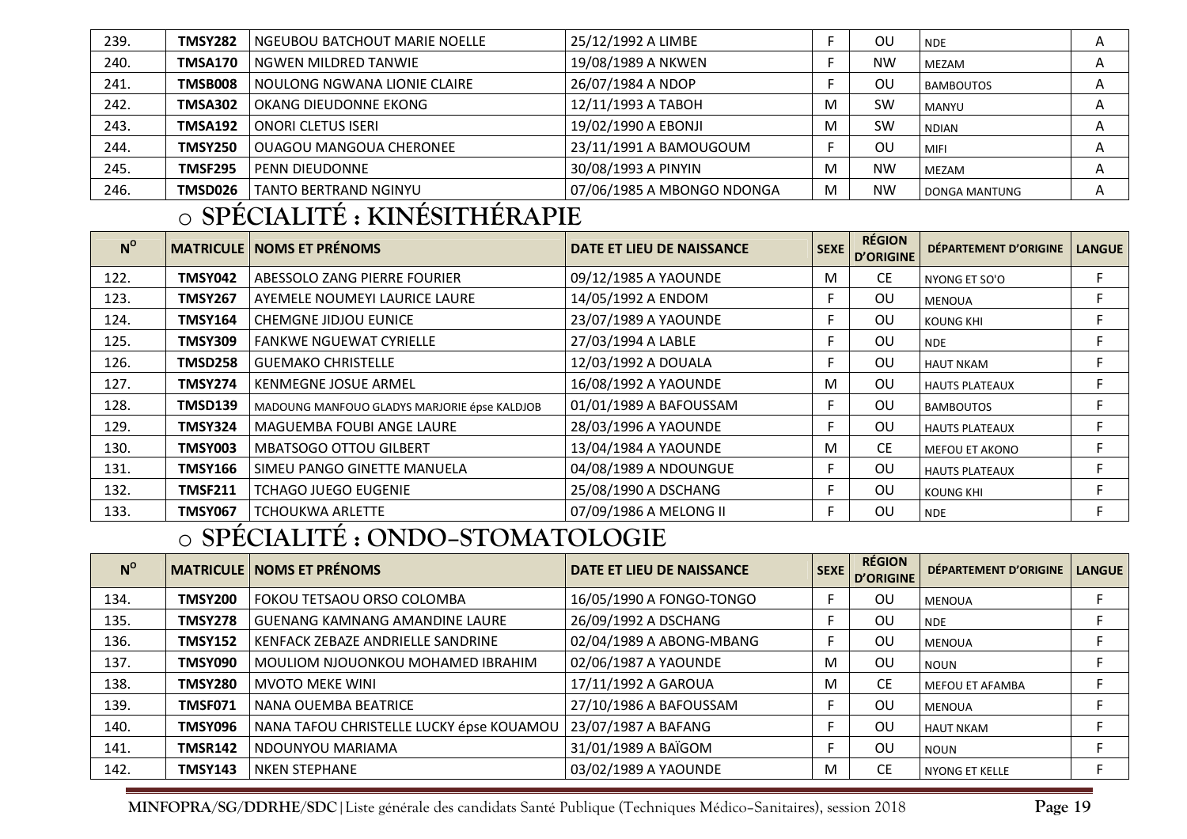| 239. | <b>TMSY282</b> | <b>NGEUBOU BATCHOUT MARIE NOELLE</b> | 25/12/1992 A LIMBE         |   | ΟU        | <b>NDE</b>           | A |
|------|----------------|--------------------------------------|----------------------------|---|-----------|----------------------|---|
| 240. | TMSA170        | NGWEN MILDRED TANWIE                 | 19/08/1989 A NKWEN         |   | NW        | <b>MEZAM</b>         | A |
| 241. | TMSB008        | NOULONG NGWANA LIONIE CLAIRE         | 26/07/1984 A NDOP          |   | OU        | <b>BAMBOUTOS</b>     | A |
| 242. | <b>TMSA302</b> | l OKANG DIEUDONNE EKONG-             | 12/11/1993 A TABOH         | M | <b>SW</b> | <b>MANYU</b>         | A |
| 243. | TMSA192        | ONORI CLETUS ISERI                   | 19/02/1990 A EBONJI        | M | <b>SW</b> | <b>NDIAN</b>         | Α |
| 244. | <b>TMSY250</b> | OUAGOU MANGOUA CHERONEE              | 23/11/1991 A BAMOUGOUM     |   | ΟU        | MIFI                 | A |
| 245. | <b>TMSF295</b> | l PENN DIEUDONNE                     | 30/08/1993 A PINYIN        | M | <b>NW</b> | <b>MEZAM</b>         | A |
| 246. | TMSD026        | <b>TANTO BERTRAND NGINYU</b>         | 07/06/1985 A MBONGO NDONGA | M | <b>NW</b> | <b>DONGA MANTUNG</b> | Α |

#### o**SPÉCIALITÉ : KINÉSITHÉRAPIE**

| $N^{\circ}$ |                | <b>MATRICULE   NOMS ET PRÉNOMS</b>           | DATE ET LIEU DE NAISSANCE | <b>SEXE</b> | <b>RÉGION</b><br><b>D'ORIGINE</b> | DÉPARTEMENT D'ORIGINE | <b>LANGUE</b> |
|-------------|----------------|----------------------------------------------|---------------------------|-------------|-----------------------------------|-----------------------|---------------|
| 122.        | TMSY042        | <b>ABESSOLO ZANG PIERRE FOURIER</b>          | 09/12/1985 A YAOUNDE      | M           | <b>CE</b>                         | NYONG ET SO'O         |               |
| 123.        | <b>TMSY267</b> | <b>AYEMELE NOUMEYI LAURICE LAURE</b>         | 14/05/1992 A ENDOM        |             | <b>OU</b>                         | <b>MENOUA</b>         |               |
| 124.        | <b>TMSY164</b> | <b>CHEMGNE JIDJOU EUNICE</b>                 | 23/07/1989 A YAOUNDE      |             | <b>OU</b>                         | <b>KOUNG KHI</b>      |               |
| 125.        | TMSY309        | l FANKWE NGUEWAT CYRIELLE                    | 27/03/1994 A LABLE        |             | <b>OU</b>                         | <b>NDE</b>            |               |
| 126.        | TMSD258        | GUEMAKO CHRISTELLE                           | 12/03/1992 A DOUALA       |             | <b>OU</b>                         | <b>HAUT NKAM</b>      |               |
| 127.        | <b>TMSY274</b> | <b>KENMEGNE JOSUE ARMEL</b>                  | 16/08/1992 A YAOUNDE      | M           | <b>OU</b>                         | <b>HAUTS PLATEAUX</b> |               |
| 128.        | TMSD139        | MADOUNG MANFOUO GLADYS MARJORIE épse KALDJOB | 01/01/1989 A BAFOUSSAM    |             | <b>OU</b>                         | <b>BAMBOUTOS</b>      | F.            |
| 129.        | <b>TMSY324</b> | MAGUEMBA FOUBI ANGE LAURE                    | 28/03/1996 A YAOUNDE      |             | <b>OU</b>                         | <b>HAUTS PLATEAUX</b> |               |
| 130.        | <b>TMSY003</b> | <b>MBATSOGO OTTOU GILBERT</b>                | 13/04/1984 A YAOUNDE      | М           | CE.                               | <b>MEFOU ET AKONO</b> |               |
| 131.        | <b>TMSY166</b> | SIMEU PANGO GINETTE MANUELA                  | 04/08/1989 A NDOUNGUE     |             | <b>OU</b>                         | <b>HAUTS PLATEAUX</b> |               |
| 132.        | <b>TMSF211</b> | <b>TCHAGO JUEGO EUGENIE</b>                  | 25/08/1990 A DSCHANG      |             | <b>OU</b>                         | <b>KOUNG KHI</b>      |               |
| 133.        | <b>TMSY067</b> | <b>TCHOUKWA ARLETTE</b>                      | 07/09/1986 A MELONG II    |             | <b>OU</b>                         | <b>NDE</b>            |               |

#### o**SPÉCIALITÉ : ONDO–STOMATOLOGIE**

| $N^{\rm o}$ |                | <b>MATRICULE NOMS ET PRÉNOMS</b>         | <b>DATE ET LIEU DE NAISSANCE</b> | <b>SEXE</b> | <b>RÉGION</b><br>D'ORIGINE | DÉPARTEMENT D'ORIGINE  | <b>LANGUE</b> |
|-------------|----------------|------------------------------------------|----------------------------------|-------------|----------------------------|------------------------|---------------|
| 134.        | <b>TMSY200</b> | FOKOU TETSAOU ORSO COLOMBA               | 16/05/1990 A FONGO-TONGO         |             | ΟU                         | <b>MENOUA</b>          |               |
| 135.        | <b>TMSY278</b> | <b>GUENANG KAMNANG AMANDINE LAURE</b>    | 26/09/1992 A DSCHANG             |             | OU                         | <b>NDE</b>             |               |
| 136.        | <b>TMSY152</b> | KENFACK ZEBAZE ANDRIELLE SANDRINE        | 02/04/1989 A ABONG-MBANG         |             | ΟU                         | <b>MENOUA</b>          |               |
| 137.        | <b>TMSY090</b> | MOULIOM NJOUONKOU MOHAMED IBRAHIM        | 02/06/1987 A YAOUNDE             | M           | OU                         | <b>NOUN</b>            |               |
| 138.        | <b>TMSY280</b> | <b>MVOTO MEKE WINI</b>                   | 17/11/1992 A GAROUA              | M           | <b>CE</b>                  | <b>MEFOU ET AFAMBA</b> |               |
| 139.        | <b>TMSF071</b> | NANA OUEMBA BEATRICE                     | 27/10/1986 A BAFOUSSAM           |             | OU                         | <b>MENOUA</b>          |               |
| 140.        | TMSY096        | NANA TAFOU CHRISTELLE LUCKY épse KOUAMOU | 23/07/1987 A BAFANG              |             | OU                         | <b>HAUT NKAM</b>       |               |
| 141.        | <b>TMSR142</b> | NDOUNYOU MARIAMA                         | 31/01/1989 A BAÏGOM              |             | OU                         | <b>NOUN</b>            |               |
| 142.        | <b>TMSY143</b> | <b>NKEN STEPHANE</b>                     | 03/02/1989 A YAOUNDE             | M           | CE.                        | <b>NYONG ET KELLE</b>  |               |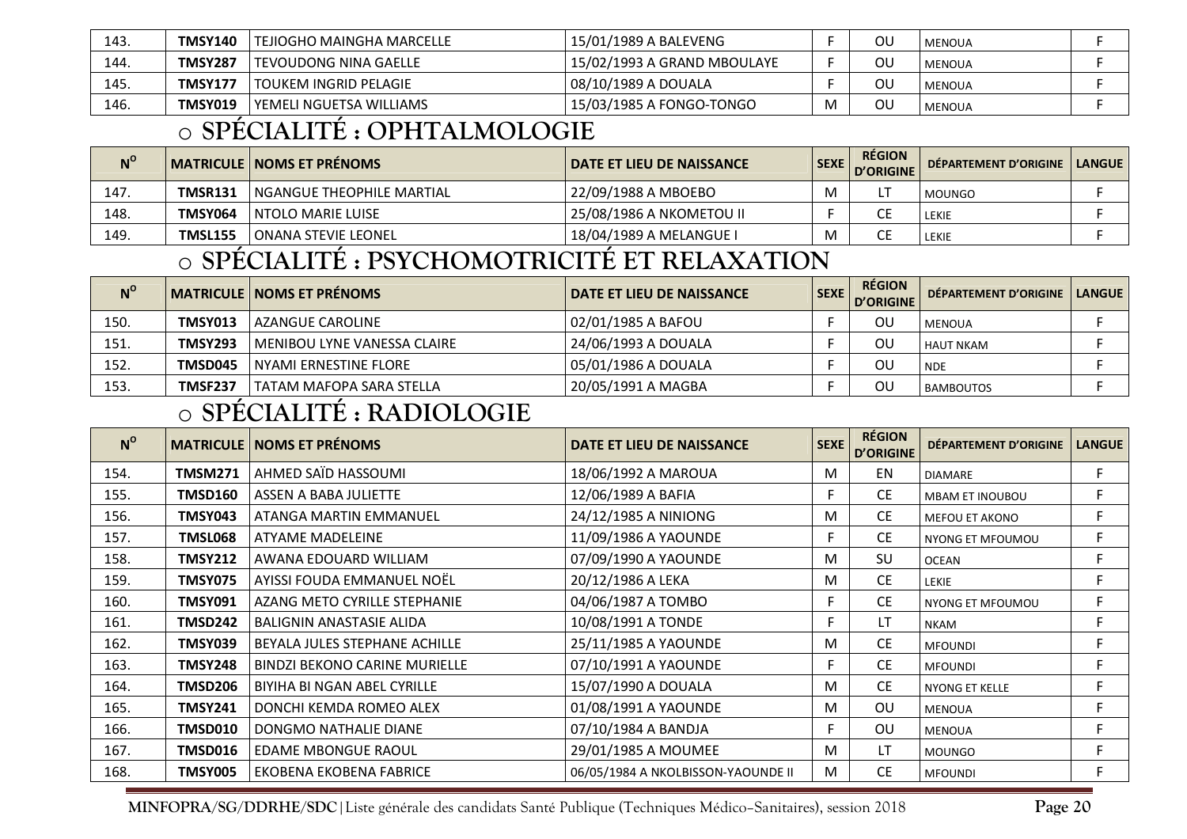| 143. | <b>TMSY140</b> | <b>TEJIOGHO MAINGHA MARCELLE</b> | 15/01/1989 A BALEVENG       |   | ου | <b>MENOUA</b> |  |
|------|----------------|----------------------------------|-----------------------------|---|----|---------------|--|
| 144. | TMSY287        | I TEVOUDONG NINA GAELLE          | 15/02/1993 A GRAND MBOULAYE |   | ΟU | <b>MENOUA</b> |  |
| 145. | TMSY177        | I TOUKEM INGRID PELAGIE          | 08/10/1989 A DOUALA         |   | ου | <b>MENOUA</b> |  |
| 146. | TMSY019        | l YEMELI NGUETSA WILLIAMS        | 15/03/1985 A FONGO-TONGO    | M | ΟU | <b>MENOUA</b> |  |

#### o**SPÉCIALITÉ : OPHTALMOLOGIE**

| $N^{\rm o}$ |                | MATRICULE   NOMS ET PRÉNOMS | I DATE ET LIEU DE NAISSANCE | <b>SEXE</b> | <b>RÉGION</b><br>D'ORIGINE | DEPARTEMENT D'ORIGINE   LANGUE |  |
|-------------|----------------|-----------------------------|-----------------------------|-------------|----------------------------|--------------------------------|--|
| 147.        | TMSR131        | I NGANGUE THEOPHILE MARTIAL | 22/09/1988 A MBOEBO         | M           |                            | MOUNGO                         |  |
| 148.        | TMSY064        | <b>INTOLO MARIE LUISE</b>   | 25/08/1986 A NKOMETOU II    |             |                            | LEKIE                          |  |
| 149.        | <b>TMSL155</b> | <b>JONANA STEVIE LEONEL</b> | 18/04/1989 A MELANGUE I     | M           |                            | <b>EKIE</b>                    |  |

#### o**SPÉCIALITÉ : PSYCHOMOTRICITÉ ET RELAXATION**

| $N^{\rm o}$ |                | MATRICULE   NOMS ET PRÉNOMS   | DATE ET LIEU DE NAISSANCE | SEXE | <b>RÉGION</b><br>D'ORIGINE | DÉPARTEMENT D'ORIGINE   LANGUE |  |
|-------------|----------------|-------------------------------|---------------------------|------|----------------------------|--------------------------------|--|
| 150.        | TMSY013        | I AZANGUE CAROLINE            | 02/01/1985 A BAFOU        |      | OU                         | MENOUA                         |  |
| 151.        | <b>TMSY293</b> | l MENIBOU LYNE VANESSA CLAIRE | 24/06/1993 A DOUALA       |      | ΟL                         | <b>HAUT NKAM</b>               |  |
| 152.        | TMSD045        | l NYAMI ERNESTINE FLORE       | 05/01/1986 A DOUALA       |      | ΟL                         | <b>NDE</b>                     |  |
| 153.        | <b>TMSF237</b> | TATAM MAFOPA SARA STELLA      | 20/05/1991 A MAGBA        |      | ΟL                         | <b>BAMBOUTOS</b>               |  |

#### o**SPÉCIALITÉ : RADIOLOGIE**

| $N^{\rm o}$ |                | <b>MATRICULE   NOMS ET PRÉNOMS</b>   | DATE ET LIEU DE NAISSANCE          | <b>SEXE</b> | <b>RÉGION</b><br><b>D'ORIGINE</b> | DÉPARTEMENT D'ORIGINE  | <b>LANGUE</b> |
|-------------|----------------|--------------------------------------|------------------------------------|-------------|-----------------------------------|------------------------|---------------|
| 154.        | <b>TMSM271</b> | AHMED SAÏD HASSOUMI                  | 18/06/1992 A MAROUA                | M           | EN                                | <b>DIAMARE</b>         | F             |
| 155.        | TMSD160        | ASSEN A BABA JULIETTE                | 12/06/1989 A BAFIA                 | F.          | <b>CE</b>                         | <b>MBAM ET INOUBOU</b> | F             |
| 156.        | TMSY043        | ATANGA MARTIN EMMANUEL               | 24/12/1985 A NINIONG               | M           | <b>CE</b>                         | <b>MEFOU ET AKONO</b>  | F             |
| 157.        | <b>TMSL068</b> | ATYAME MADELEINE                     | 11/09/1986 A YAOUNDE               | F           | CE.                               | NYONG ET MFOUMOU       | F             |
| 158.        | <b>TMSY212</b> | AWANA EDOUARD WILLIAM                | 07/09/1990 A YAOUNDE               | M           | <b>SU</b>                         | <b>OCEAN</b>           | F             |
| 159.        | <b>TMSY075</b> | AYISSI FOUDA EMMANUEL NOËL           | 20/12/1986 A LEKA                  | M           | <b>CE</b>                         | <b>LEKIE</b>           | F             |
| 160.        | TMSY091        | AZANG METO CYRILLE STEPHANIE         | 04/06/1987 A TOMBO                 | F.          | <b>CE</b>                         | NYONG ET MFOUMOU       | F             |
| 161.        | TMSD242        | <b>BALIGNIN ANASTASIE ALIDA</b>      | 10/08/1991 A TONDE                 | F           | LΤ                                | <b>NKAM</b>            |               |
| 162.        | TMSY039        | BEYALA JULES STEPHANE ACHILLE        | 25/11/1985 A YAOUNDE               | M           | <b>CE</b>                         | <b>MFOUNDI</b>         | Е             |
| 163.        | <b>TMSY248</b> | <b>BINDZI BEKONO CARINE MURIELLE</b> | 07/10/1991 A YAOUNDE               | F.          | <b>CE</b>                         | <b>MFOUNDI</b>         | F             |
| 164.        | <b>TMSD206</b> | BIYIHA BI NGAN ABEL CYRILLE          | 15/07/1990 A DOUALA                | M           | <b>CE</b>                         | <b>NYONG ET KELLE</b>  | F             |
| 165.        | TMSY241        | DONCHI KEMDA ROMEO ALEX              | 01/08/1991 A YAOUNDE               | M           | <b>OU</b>                         | <b>MENOUA</b>          | F             |
| 166.        | TMSD010        | DONGMO NATHALIE DIANE                | 07/10/1984 A BANDJA                | F           | <b>OU</b>                         | MENOUA                 | F             |
| 167.        | TMSD016        | EDAME MBONGUE RAOUL                  | 29/01/1985 A MOUMEE                | M           | LT                                | <b>MOUNGO</b>          | F             |
| 168.        | TMSY005        | EKOBENA EKOBENA FABRICE              | 06/05/1984 A NKOLBISSON-YAOUNDE II | M           | <b>CE</b>                         | <b>MFOUNDI</b>         | F             |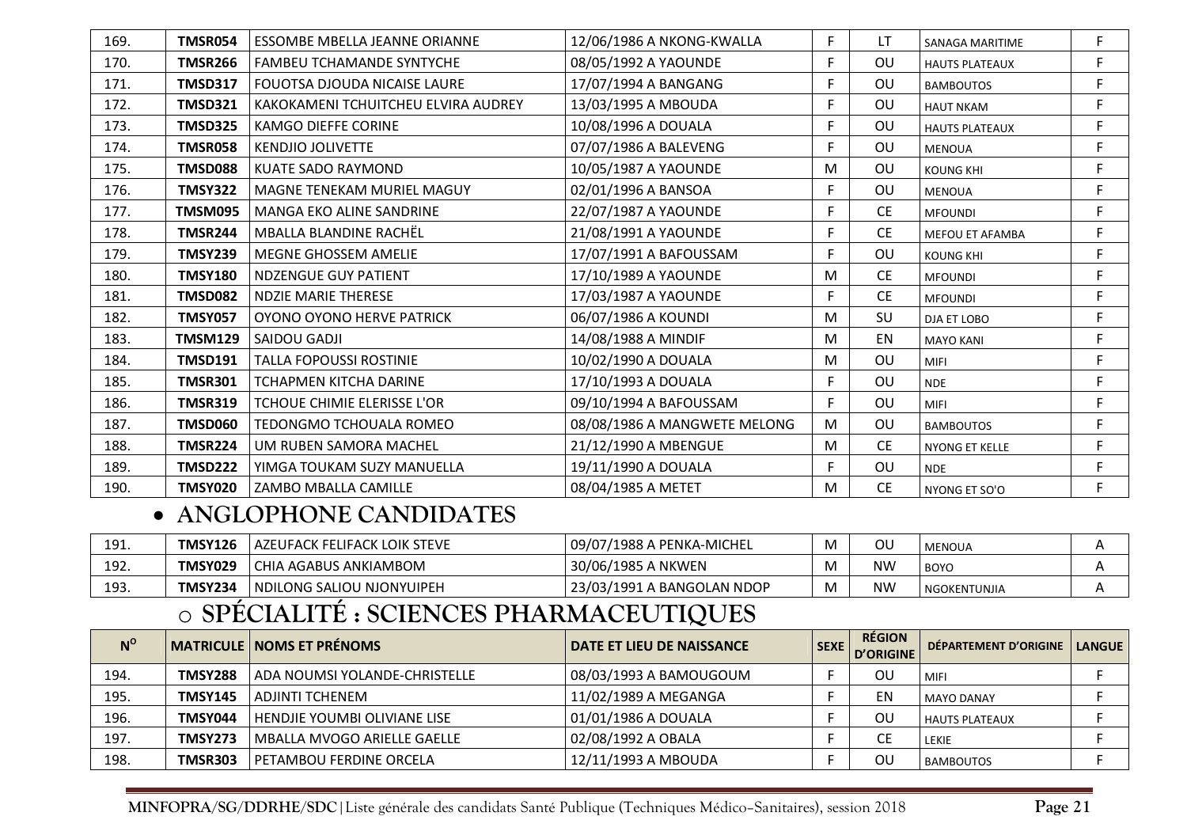| 169. | <b>TMSR054</b> | ESSOMBE MBELLA JEANNE ORIANNE       | 12/06/1986 A NKONG-KWALLA    | F. | LT        | <b>SANAGA MARITIME</b> | F |
|------|----------------|-------------------------------------|------------------------------|----|-----------|------------------------|---|
| 170. | <b>TMSR266</b> | <b>FAMBEU TCHAMANDE SYNTYCHE</b>    | 08/05/1992 A YAOUNDE         | F  | <b>OU</b> | <b>HAUTS PLATEAUX</b>  | F |
| 171. | <b>TMSD317</b> | <b>FOUOTSA DJOUDA NICAISE LAURE</b> | 17/07/1994 A BANGANG         | F. | <b>OU</b> | <b>BAMBOUTOS</b>       | F |
| 172. | <b>TMSD321</b> | KAKOKAMENI TCHUITCHEU ELVIRA AUDREY | 13/03/1995 A MBOUDA          | F. | <b>OU</b> | <b>HAUT NKAM</b>       | F |
| 173. | <b>TMSD325</b> | <b>KAMGO DIEFFE CORINE</b>          | 10/08/1996 A DOUALA          | F  | <b>OU</b> | <b>HAUTS PLATEAUX</b>  | F |
| 174. | <b>TMSR058</b> | <b>KENDJIO JOLIVETTE</b>            | 07/07/1986 A BALEVENG        | F. | <b>OU</b> | <b>MENOUA</b>          | F |
| 175. | <b>TMSD088</b> | <b>KUATE SADO RAYMOND</b>           | 10/05/1987 A YAOUNDE         | M  | <b>OU</b> | <b>KOUNG KHI</b>       | F |
| 176. | <b>TMSY322</b> | MAGNE TENEKAM MURIEL MAGUY          | 02/01/1996 A BANSOA          | F. | OU        | <b>MENOUA</b>          | F |
| 177. | TMSM095        | MANGA EKO ALINE SANDRINE            | 22/07/1987 A YAOUNDE         | F  | <b>CE</b> | <b>MFOUNDI</b>         | F |
| 178. | <b>TMSR244</b> | MBALLA BLANDINE RACHËL              | 21/08/1991 A YAOUNDE         | F  | <b>CE</b> | <b>MEFOU ET AFAMBA</b> | F |
| 179. | <b>TMSY239</b> | MEGNE GHOSSEM AMELIE                | 17/07/1991 A BAFOUSSAM       | F. | OU        | <b>KOUNG KHI</b>       | F |
| 180. | <b>TMSY180</b> | <b>NDZENGUE GUY PATIENT</b>         | 17/10/1989 A YAOUNDE         | M  | <b>CE</b> | <b>MFOUNDI</b>         | F |
| 181. | <b>TMSD082</b> | <b>NDZIE MARIE THERESE</b>          | 17/03/1987 A YAOUNDE         | F. | <b>CE</b> | <b>MFOUNDI</b>         | F |
| 182. | <b>TMSY057</b> | OYONO OYONO HERVE PATRICK           | 06/07/1986 A KOUNDI          | M  | SU        | <b>DJA ET LOBO</b>     | F |
| 183. | <b>TMSM129</b> | SAIDOU GADJI                        | 14/08/1988 A MINDIF          | M  | EN        | <b>MAYO KANI</b>       | F |
| 184. | <b>TMSD191</b> | <b>TALLA FOPOUSSI ROSTINIE</b>      | 10/02/1990 A DOUALA          | M  | <b>OU</b> | <b>MIFI</b>            | F |
| 185. | <b>TMSR301</b> | <b>TCHAPMEN KITCHA DARINE</b>       | 17/10/1993 A DOUALA          | F. | <b>OU</b> | <b>NDE</b>             | F |
| 186. | <b>TMSR319</b> | TCHOUE CHIMIE ELERISSE L'OR         | 09/10/1994 A BAFOUSSAM       | F. | OU        | <b>MIFI</b>            | F |
| 187. | <b>TMSD060</b> | TEDONGMO TCHOUALA ROMEO             | 08/08/1986 A MANGWETE MELONG | M  | OU        | <b>BAMBOUTOS</b>       | F |
| 188. | <b>TMSR224</b> | UM RUBEN SAMORA MACHEL              | 21/12/1990 A MBENGUE         | M  | <b>CE</b> | <b>NYONG ET KELLE</b>  | F |
| 189. | <b>TMSD222</b> | YIMGA TOUKAM SUZY MANUELLA          | 19/11/1990 A DOUALA          | F. | <b>OU</b> | <b>NDE</b>             | F |
| 190. | <b>TMSY020</b> | ZAMBO MBALLA CAMILLE                | 08/04/1985 A METET           | M  | <b>CE</b> | NYONG ET SO'O          | F |

### • **ANGLOPHONE CANDIDATES**

| 191. | <b>TMSY126</b> | I AZEUFACK FELIFACK LOIK STEVE | l 09/07/1988 A PENKA-MICHEL | ου | MENOUA       |  |
|------|----------------|--------------------------------|-----------------------------|----|--------------|--|
| 192. | TMSY029        | CHIA AGABUS ANKIAMBOM          | 30/06/1985 A NKWEN          | ΝW | <b>BOYC</b>  |  |
| 193. | TMSY234        | I NDILONG SALIOU NJONYUIPEH    | 23/03/1991 A BANGOLAN NDOP  | ΝW | NGOKENTUNJIA |  |

#### o**SPÉCIALITÉ : SCIENCES PHARMACEUTIQUES**

| $N^{\circ}$ |                | MATRICULE   NOMS ET PRÉNOMS         | DATE ET LIEU DE NAISSANCE | SEXE I | <b>RÉGION</b><br>D'ORIGINE | <b>DÉPARTEMENT D'ORIGINE</b> | <b>LANGUE</b> |
|-------------|----------------|-------------------------------------|---------------------------|--------|----------------------------|------------------------------|---------------|
| 194.        | <b>TMSY288</b> | ADA NOUMSI YOLANDE-CHRISTELLE       | 08/03/1993 A BAMOUGOUM    |        | ου                         | <b>MIFI</b>                  |               |
| 195.        | <b>TMSY145</b> | ADJINTI TCHENEM                     | 11/02/1989 A MEGANGA      |        | ΕN                         | <b>MAYO DANAY</b>            |               |
| 196.        | TMSY044        | <b>HENDJIE YOUMBI OLIVIANE LISE</b> | 01/01/1986 A DOUALA       |        | ΟU                         | <b>HAUTS PLATEAUX</b>        |               |
| 197.        | TMSY273        | MBALLA MVOGO ARIELLE GAELLE         | 02/08/1992 A OBALA        |        |                            | LEKIE                        |               |
| 198.        | TMSR303        | <b>PETAMBOU FERDINE ORCELA</b>      | 12/11/1993 A MBOUDA       |        | ΟU                         | <b>BAMBOUTOS</b>             |               |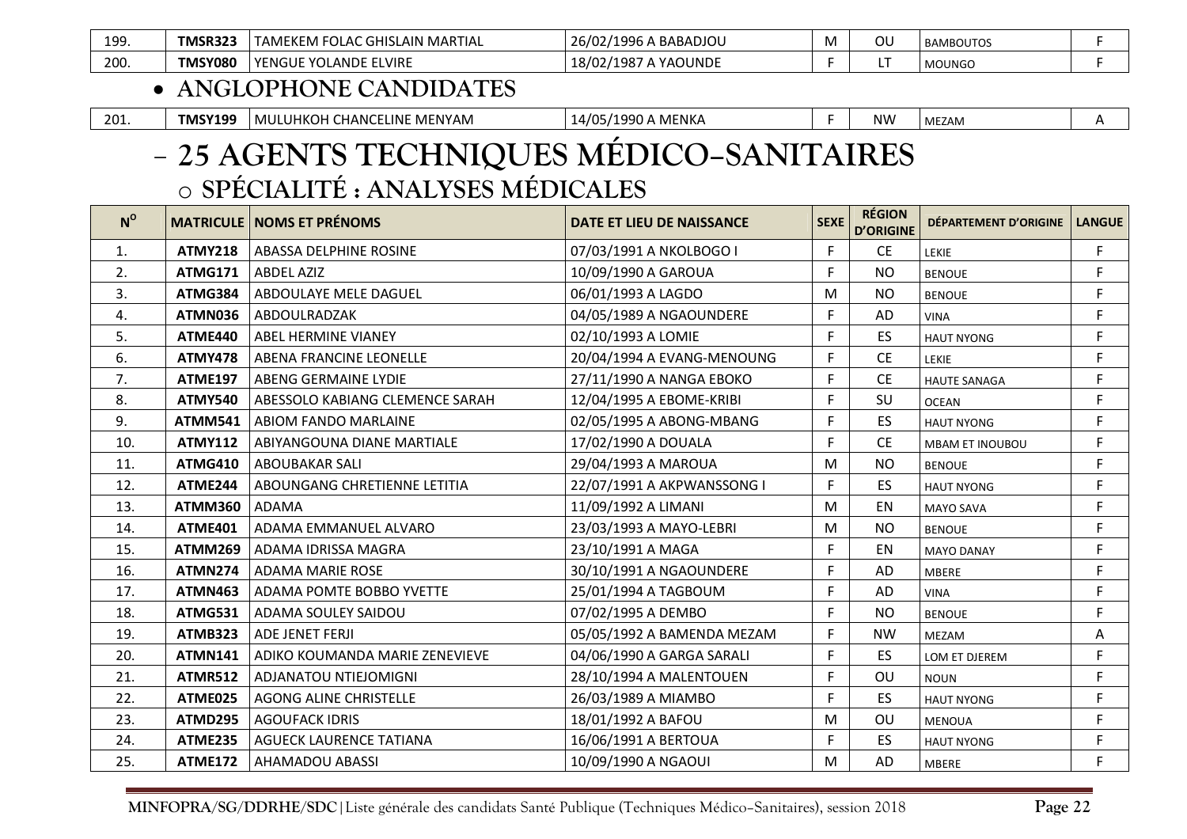| $\sqrt{2}$ | 199  | :MSR32  | MARTIAL<br><b>FOLAL</b><br>. GHISLAIN<br>-<br>AMEREM | 26/02/1996<br>$\sim$<br>ىBABADJOU ، |  | <b>BAMBOUTOS</b> |  |
|------------|------|---------|------------------------------------------------------|-------------------------------------|--|------------------|--|
|            | 200. | TMSY080 | LVIRE<br><b>YENGU.</b><br>. AND'                     | .98<br>YAOUNDI<br>18/02             |  | <b>MOUNGO</b>    |  |

### • **ANGLOPHONE CANDIDATES**

| 201 | TMSY199 | MENYAM<br>$\mathbf{1}$ $\mathbf{2}$ $\mathbf{1}$<br><b>MUL</b><br>ELINE<br>11701<br>CHANCF'<br><b>HNUI</b> | ⊐۱∆ ا<br>) A MENKA<br>11990/<br>. |  | N٧<br>. . | MEZAM |  |
|-----|---------|------------------------------------------------------------------------------------------------------------|-----------------------------------|--|-----------|-------|--|
|-----|---------|------------------------------------------------------------------------------------------------------------|-----------------------------------|--|-----------|-------|--|

### **25 AGENTS TECHNIQUES MÉDICO–SANITAIRES**  o**SPÉCIALITÉ : ANALYSES MÉDICALES**

| $N^{\circ}$ |                | <b>MATRICULE   NOMS ET PRÉNOMS</b> | DATE ET LIEU DE NAISSANCE  | <b>SEXE</b> | <b>RÉGION</b><br><b>D'ORIGINE</b> | DÉPARTEMENT D'ORIGINE  | <b>LANGUE</b> |
|-------------|----------------|------------------------------------|----------------------------|-------------|-----------------------------------|------------------------|---------------|
| 1.          | <b>ATMY218</b> | ABASSA DELPHINE ROSINE             | 07/03/1991 A NKOLBOGO I    | F.          | <b>CE</b>                         | LEKIE                  | F             |
| 2.          | <b>ATMG171</b> | <b>ABDEL AZIZ</b>                  | 10/09/1990 A GAROUA        | F.          | <b>NO</b>                         | <b>BENOUE</b>          | F             |
| 3.          | ATMG384        | ABDOULAYE MELE DAGUEL              | 06/01/1993 A LAGDO         | M           | <b>NO</b>                         | <b>BENOUE</b>          | F             |
| 4.          | ATMN036        | ABDOULRADZAK                       | 04/05/1989 A NGAOUNDERE    | F.          | AD                                | <b>VINA</b>            | F             |
| 5.          | ATME440        | ABEL HERMINE VIANEY                | 02/10/1993 A LOMIE         | F.          | <b>ES</b>                         | <b>HAUT NYONG</b>      | F.            |
| 6.          | <b>ATMY478</b> | ABENA FRANCINE LEONELLE            | 20/04/1994 A EVANG-MENOUNG | F.          | <b>CE</b>                         | LEKIE                  | F             |
| 7.          | <b>ATME197</b> | ABENG GERMAINE LYDIE               | 27/11/1990 A NANGA EBOKO   | F.          | <b>CE</b>                         | <b>HAUTE SANAGA</b>    | F.            |
| 8.          | <b>ATMY540</b> | ABESSOLO KABIANG CLEMENCE SARAH    | 12/04/1995 A EBOME-KRIBI   | F.          | SU                                | <b>OCEAN</b>           | F             |
| 9.          | <b>ATMM541</b> | ABIOM FANDO MARLAINE               | 02/05/1995 A ABONG-MBANG   | F.          | ES                                | <b>HAUT NYONG</b>      | F             |
| 10.         | <b>ATMY112</b> | ABIYANGOUNA DIANE MARTIALE         | 17/02/1990 A DOUALA        | F           | <b>CE</b>                         | <b>MBAM ET INOUBOU</b> | F             |
| 11.         | <b>ATMG410</b> | <b>ABOUBAKAR SALI</b>              | 29/04/1993 A MAROUA        | M           | <b>NO</b>                         | <b>BENOUE</b>          | F             |
| 12.         | ATME244        | ABOUNGANG CHRETIENNE LETITIA       | 22/07/1991 A AKPWANSSONG I | F.          | ES                                | <b>HAUT NYONG</b>      | F.            |
| 13.         | <b>ATMM360</b> | <b>ADAMA</b>                       | 11/09/1992 A LIMANI        | M           | EN                                | <b>MAYO SAVA</b>       | F             |
| 14.         | ATME401        | ADAMA EMMANUEL ALVARO              | 23/03/1993 A MAYO-LEBRI    | M           | <b>NO</b>                         | <b>BENOUE</b>          | F             |
| 15.         | ATMM269        | ADAMA IDRISSA MAGRA                | 23/10/1991 A MAGA          | F.          | EN                                | <b>MAYO DANAY</b>      | F             |
| 16.         | <b>ATMN274</b> | <b>ADAMA MARIE ROSE</b>            | 30/10/1991 A NGAOUNDERE    | F.          | AD                                | <b>MBERE</b>           | $\mathsf F$   |
| 17.         | <b>ATMN463</b> | <b>ADAMA POMTE BOBBO YVETTE</b>    | 25/01/1994 A TAGBOUM       | F.          | <b>AD</b>                         | <b>VINA</b>            | F.            |
| 18.         | <b>ATMG531</b> | ADAMA SOULEY SAIDOU                | 07/02/1995 A DEMBO         | F.          | <b>NO</b>                         | <b>BENOUE</b>          | F             |
| 19.         | <b>ATMB323</b> | <b>ADE JENET FERJI</b>             | 05/05/1992 A BAMENDA MEZAM | F.          | <b>NW</b>                         | <b>MEZAM</b>           | Α             |
| 20.         | <b>ATMN141</b> | ADIKO KOUMANDA MARIE ZENEVIEVE     | 04/06/1990 A GARGA SARALI  | F.          | ES                                | LOM ET DJEREM          | F             |
| 21.         | <b>ATMR512</b> | ADJANATOU NTIEJOMIGNI              | 28/10/1994 A MALENTOUEN    | F.          | OU                                | <b>NOUN</b>            | $\mathsf F$   |
| 22.         | ATME025        | <b>AGONG ALINE CHRISTELLE</b>      | 26/03/1989 A MIAMBO        | F.          | ES                                | <b>HAUT NYONG</b>      | F             |
| 23.         | <b>ATMD295</b> | <b>AGOUFACK IDRIS</b>              | 18/01/1992 A BAFOU         | M           | OU                                | <b>MENOUA</b>          | F.            |
| 24.         | <b>ATME235</b> | AGUECK LAURENCE TATIANA            | 16/06/1991 A BERTOUA       | F.          | ES                                | <b>HAUT NYONG</b>      | F             |
| 25.         | <b>ATME172</b> | <b>AHAMADOU ABASSI</b>             | 10/09/1990 A NGAOUI        | M           | <b>AD</b>                         | <b>MBERE</b>           | F             |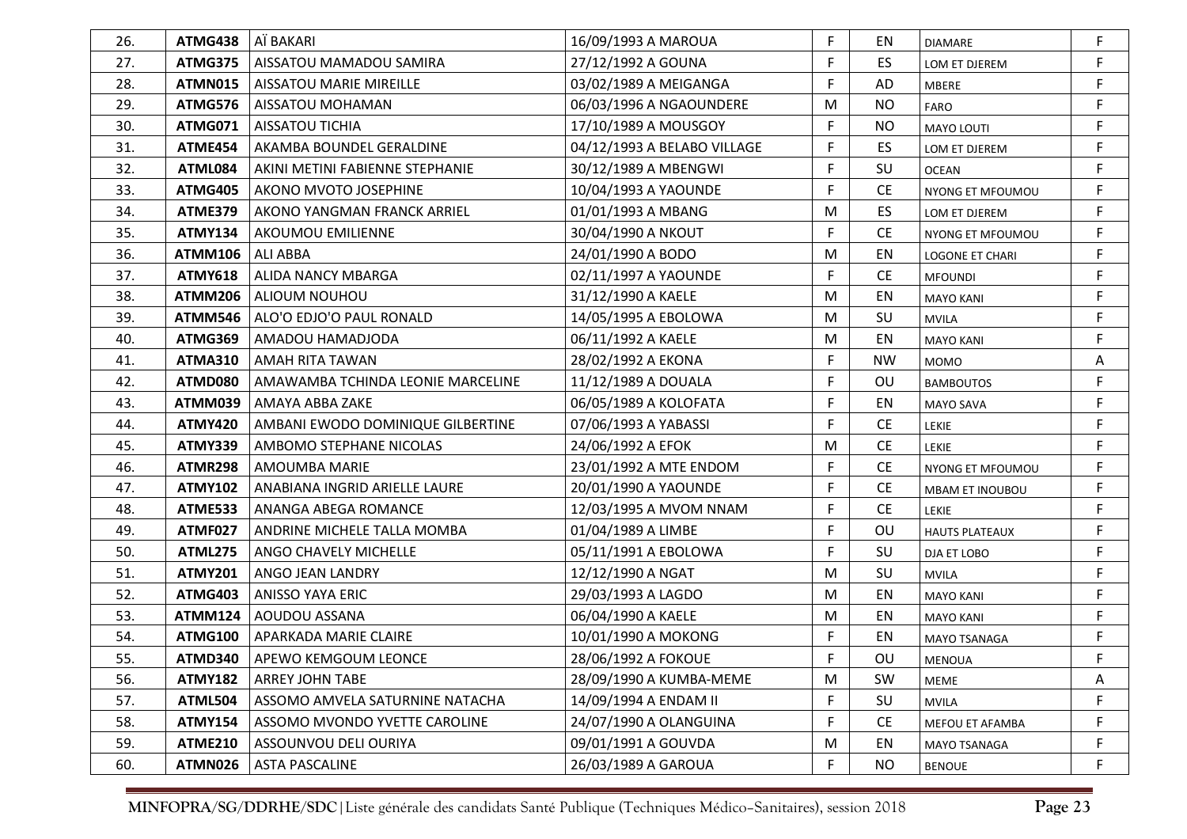| 26. | ATMG438        | AÏ BAKARI                         | 16/09/1993 A MAROUA         | F  | EN        | <b>DIAMARE</b>        | F           |
|-----|----------------|-----------------------------------|-----------------------------|----|-----------|-----------------------|-------------|
| 27. | <b>ATMG375</b> | AISSATOU MAMADOU SAMIRA           | 27/12/1992 A GOUNA          | F  | <b>ES</b> | LOM ET DJEREM         | F           |
| 28. | ATMN015        | <b>AISSATOU MARIE MIREILLE</b>    | 03/02/1989 A MEIGANGA       | F  | AD        | <b>MBERE</b>          | F           |
| 29. | ATMG576        | <b>AISSATOU MOHAMAN</b>           | 06/03/1996 A NGAOUNDERE     | M  | <b>NO</b> | <b>FARO</b>           | $\mathsf F$ |
| 30. | ATMG071        | <b>AISSATOU TICHIA</b>            | 17/10/1989 A MOUSGOY        | F  | <b>NO</b> | <b>MAYO LOUTI</b>     | F           |
| 31. | ATME454        | AKAMBA BOUNDEL GERALDINE          | 04/12/1993 A BELABO VILLAGE | F  | <b>ES</b> | LOM ET DJEREM         | F           |
| 32. | ATML084        | AKINI METINI FABIENNE STEPHANIE   | 30/12/1989 A MBENGWI        | F  | SU        | <b>OCEAN</b>          | F           |
| 33. | ATMG405        | <b>AKONO MVOTO JOSEPHINE</b>      | 10/04/1993 A YAOUNDE        | F  | <b>CE</b> | NYONG ET MFOUMOU      | F           |
| 34. | <b>ATME379</b> | AKONO YANGMAN FRANCK ARRIEL       | 01/01/1993 A MBANG          | M  | ES.       | LOM ET DJEREM         | F           |
| 35. | <b>ATMY134</b> | AKOUMOU EMILIENNE                 | 30/04/1990 A NKOUT          | F. | <b>CE</b> | NYONG ET MFOUMOU      | F           |
| 36. | <b>ATMM106</b> | <b>ALI ABBA</b>                   | 24/01/1990 A BODO           | M  | EN        | LOGONE ET CHARI       | F           |
| 37. | <b>ATMY618</b> | <b>ALIDA NANCY MBARGA</b>         | 02/11/1997 A YAOUNDE        | F  | <b>CE</b> | <b>MFOUNDI</b>        | F           |
| 38. | <b>ATMM206</b> | ALIOUM NOUHOU                     | 31/12/1990 A KAELE          | M  | EN        | <b>MAYO KANI</b>      | F           |
| 39. | <b>ATMM546</b> | ALO'O EDJO'O PAUL RONALD          | 14/05/1995 A EBOLOWA        | M  | SU        | <b>MVILA</b>          | F           |
| 40. | <b>ATMG369</b> | AMADOU HAMADJODA                  | 06/11/1992 A KAELE          | M  | EN        | <b>MAYO KANI</b>      | F           |
| 41. | <b>ATMA310</b> | AMAH RITA TAWAN                   | 28/02/1992 A EKONA          | F  | <b>NW</b> | <b>MOMO</b>           | Α           |
| 42. | ATMD080        | AMAWAMBA TCHINDA LEONIE MARCELINE | 11/12/1989 A DOUALA         | F  | OU        | <b>BAMBOUTOS</b>      | F           |
| 43. | ATMM039        | AMAYA ABBA ZAKE                   | 06/05/1989 A KOLOFATA       | F  | EN        | MAYO SAVA             | F           |
| 44. | <b>ATMY420</b> | AMBANI EWODO DOMINIQUE GILBERTINE | 07/06/1993 A YABASSI        | F  | <b>CE</b> | <b>LEKIE</b>          | F           |
| 45. | <b>ATMY339</b> | AMBOMO STEPHANE NICOLAS           | 24/06/1992 A EFOK           | M  | <b>CE</b> | LEKIE                 | F           |
| 46. | <b>ATMR298</b> | AMOUMBA MARIE                     | 23/01/1992 A MTE ENDOM      | F  | <b>CE</b> | NYONG ET MFOUMOU      | F           |
| 47. | <b>ATMY102</b> | ANABIANA INGRID ARIELLE LAURE     | 20/01/1990 A YAOUNDE        | F  | <b>CE</b> | MBAM ET INOUBOU       | $\mathsf F$ |
| 48. | <b>ATME533</b> | ANANGA ABEGA ROMANCE              | 12/03/1995 A MVOM NNAM      | F  | <b>CE</b> | <b>LEKIE</b>          | F           |
| 49. | <b>ATMF027</b> | ANDRINE MICHELE TALLA MOMBA       | 01/04/1989 A LIMBE          | F  | OU        | <b>HAUTS PLATEAUX</b> | $\mathsf F$ |
| 50. | <b>ATML275</b> | ANGO CHAVELY MICHELLE             | 05/11/1991 A EBOLOWA        | F  | SU        | DJA ET LOBO           | F           |
| 51. | <b>ATMY201</b> | ANGO JEAN LANDRY                  | 12/12/1990 A NGAT           | M  | SU        | <b>MVILA</b>          | F           |
| 52. | ATMG403        | <b>ANISSO YAYA ERIC</b>           | 29/03/1993 A LAGDO          | M  | EN        | <b>MAYO KANI</b>      | $\mathsf F$ |
| 53. | <b>ATMM124</b> | AOUDOU ASSANA                     | 06/04/1990 A KAELE          | M  | EN        | <b>MAYO KANI</b>      | $\mathsf F$ |
| 54. | <b>ATMG100</b> | APARKADA MARIE CLAIRE             | 10/01/1990 A MOKONG         | F. | EN        | MAYO TSANAGA          | $\mathsf F$ |
| 55. | ATMD340        | <b>APEWO KEMGOUM LEONCE</b>       | 28/06/1992 A FOKOUE         | E  | OU        | <b>MENOUA</b>         | F           |
| 56. | <b>ATMY182</b> | <b>ARREY JOHN TABE</b>            | 28/09/1990 A KUMBA-MEME     | M  | SW        | MEME                  | A           |
| 57. | <b>ATML504</b> | ASSOMO AMVELA SATURNINE NATACHA   | 14/09/1994 A ENDAM II       | F  | SU        | <b>MVILA</b>          | F           |
| 58. | <b>ATMY154</b> | ASSOMO MVONDO YVETTE CAROLINE     | 24/07/1990 A OLANGUINA      | F  | <b>CE</b> | MEFOU ET AFAMBA       | F           |
| 59. | <b>ATME210</b> | ASSOUNVOU DELI OURIYA             | 09/01/1991 A GOUVDA         | M  | EN        | MAYO TSANAGA          | F           |
| 60. | ATMN026        | <b>ASTA PASCALINE</b>             | 26/03/1989 A GAROUA         | F  | <b>NO</b> | <b>BENOUE</b>         | F           |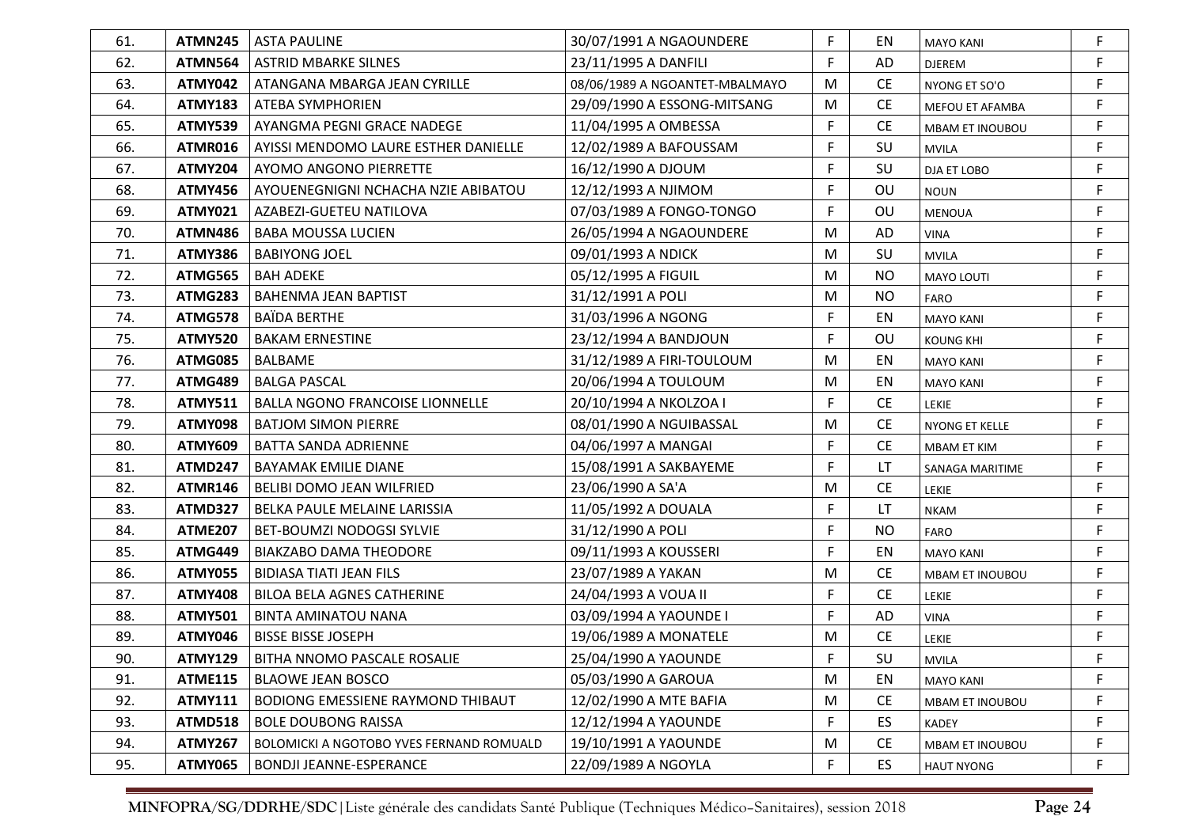| 61. | ATMN245        | <b>ASTA PAULINE</b>                             | 30/07/1991 A NGAOUNDERE        | F | ΕN        | <b>MAYO KANI</b>       | F  |
|-----|----------------|-------------------------------------------------|--------------------------------|---|-----------|------------------------|----|
| 62. | <b>ATMN564</b> | <b>ASTRID MBARKE SILNES</b>                     | 23/11/1995 A DANFILI           | F | AD        | <b>DJEREM</b>          | F  |
| 63. | ATMY042        | ATANGANA MBARGA JEAN CYRILLE                    | 08/06/1989 A NGOANTET-MBALMAYO | M | <b>CE</b> | NYONG ET SO'O          | F  |
| 64. | <b>ATMY183</b> | <b>ATEBA SYMPHORIEN</b>                         | 29/09/1990 A ESSONG-MITSANG    | M | <b>CE</b> | MEFOU ET AFAMBA        | F  |
| 65. | <b>ATMY539</b> | AYANGMA PEGNI GRACE NADEGE                      | 11/04/1995 A OMBESSA           | F | <b>CE</b> | <b>MBAM ET INOUBOU</b> | F. |
| 66. | ATMR016        | AYISSI MENDOMO LAURE ESTHER DANIELLE            | 12/02/1989 A BAFOUSSAM         | F | SU        | <b>MVILA</b>           | F  |
| 67. | <b>ATMY204</b> | AYOMO ANGONO PIERRETTE                          | 16/12/1990 A DJOUM             | F | SU        | <b>DJA ET LOBO</b>     | F  |
| 68. | ATMY456        | AYOUENEGNIGNI NCHACHA NZIE ABIBATOU             | 12/12/1993 A NJIMOM            | F | OU        | <b>NOUN</b>            | F  |
| 69. | ATMY021        | AZABEZI-GUETEU NATILOVA                         | 07/03/1989 A FONGO-TONGO       | F | OU        | <b>MENOUA</b>          | F  |
| 70. | ATMN486        | <b>BABA MOUSSA LUCIEN</b>                       | 26/05/1994 A NGAOUNDERE        | M | AD        | <b>VINA</b>            | F  |
| 71. | <b>ATMY386</b> | <b>BABIYONG JOEL</b>                            | 09/01/1993 A NDICK             | M | SU        | <b>MVILA</b>           | F  |
| 72. | ATMG565        | <b>BAH ADEKE</b>                                | 05/12/1995 A FIGUIL            | M | <b>NO</b> | MAYO LOUTI             | F  |
| 73. | ATMG283        | <b>BAHENMA JEAN BAPTIST</b>                     | 31/12/1991 A POLI              | M | NO.       | FARO                   | F  |
| 74. | <b>ATMG578</b> | <b>BAÏDA BERTHE</b>                             | 31/03/1996 A NGONG             | F | EN        | <b>MAYO KANI</b>       | F  |
| 75. | <b>ATMY520</b> | <b>BAKAM ERNESTINE</b>                          | 23/12/1994 A BANDJOUN          | F | OU        | <b>KOUNG KHI</b>       | F  |
| 76. | ATMG085        | <b>BALBAME</b>                                  | 31/12/1989 A FIRI-TOULOUM      | M | EN        | <b>MAYO KANI</b>       | F  |
| 77. | ATMG489        | <b>BALGA PASCAL</b>                             | 20/06/1994 A TOULOUM           | M | EN        | <b>MAYO KANI</b>       | F  |
| 78. | <b>ATMY511</b> | <b>BALLA NGONO FRANCOISE LIONNELLE</b>          | 20/10/1994 A NKOLZOA I         | F | <b>CE</b> | LEKIE                  | F  |
| 79. | <b>ATMY098</b> | <b>BATJOM SIMON PIERRE</b>                      | 08/01/1990 A NGUIBASSAL        | M | <b>CE</b> | NYONG ET KELLE         | F  |
| 80. | <b>ATMY609</b> | <b>BATTA SANDA ADRIENNE</b>                     | 04/06/1997 A MANGAI            | F | <b>CE</b> | <b>MBAM ET KIM</b>     | F  |
| 81. | <b>ATMD247</b> | <b>BAYAMAK EMILIE DIANE</b>                     | 15/08/1991 A SAKBAYEME         | F | LT        | SANAGA MARITIME        | F  |
| 82. | <b>ATMR146</b> | <b>BELIBI DOMO JEAN WILFRIED</b>                | 23/06/1990 A SA'A              | M | <b>CE</b> | LEKIE                  | F  |
| 83. | <b>ATMD327</b> | BELKA PAULE MELAINE LARISSIA                    | 11/05/1992 A DOUALA            | F | LT        | <b>NKAM</b>            | F  |
| 84. | <b>ATME207</b> | BET-BOUMZI NODOGSI SYLVIE                       | 31/12/1990 A POLI              | F | <b>NO</b> | <b>FARO</b>            | F  |
| 85. | ATMG449        | <b>BIAKZABO DAMA THEODORE</b>                   | 09/11/1993 A KOUSSERI          | F | EN        | <b>MAYO KANI</b>       | F  |
| 86. | <b>ATMY055</b> | <b>BIDIASA TIATI JEAN FILS</b>                  | 23/07/1989 A YAKAN             | M | <b>CE</b> | MBAM ET INOUBOU        | F  |
| 87. | <b>ATMY408</b> | <b>BILOA BELA AGNES CATHERINE</b>               | 24/04/1993 A VOUA II           | F | <b>CE</b> | LEKIE                  | F  |
| 88. | <b>ATMY501</b> | <b>BINTA AMINATOU NANA</b>                      | 03/09/1994 A YAOUNDE I         | F | AD        | <b>VINA</b>            | F  |
| 89. | ATMY046        | <b>BISSE BISSE JOSEPH</b>                       | 19/06/1989 A MONATELE          | M | <b>CE</b> | LEKIE                  | F  |
| 90. | <b>ATMY129</b> | BITHA NNOMO PASCALE ROSALIE                     | 25/04/1990 A YAOUNDE           | F | SU        | <b>MVILA</b>           |    |
| 91. | <b>ATME115</b> | <b>BLAOWE JEAN BOSCO</b>                        | 05/03/1990 A GAROUA            | M | EN        | <b>MAYO KANI</b>       | F  |
| 92. | <b>ATMY111</b> | BODIONG EMESSIENE RAYMOND THIBAUT               | 12/02/1990 A MTE BAFIA         | M | <b>CE</b> | <b>MBAM ET INOUBOU</b> | F  |
| 93. | <b>ATMD518</b> | <b>BOLE DOUBONG RAISSA</b>                      | 12/12/1994 A YAOUNDE           | F | <b>ES</b> | KADEY                  | F  |
| 94. | <b>ATMY267</b> | <b>BOLOMICKI A NGOTOBO YVES FERNAND ROMUALD</b> | 19/10/1991 A YAOUNDE           | M | <b>CE</b> | MBAM ET INOUBOU        | F  |
| 95. | <b>ATMY065</b> | <b>BONDJI JEANNE-ESPERANCE</b>                  | 22/09/1989 A NGOYLA            | F | ES        | <b>HAUT NYONG</b>      | F  |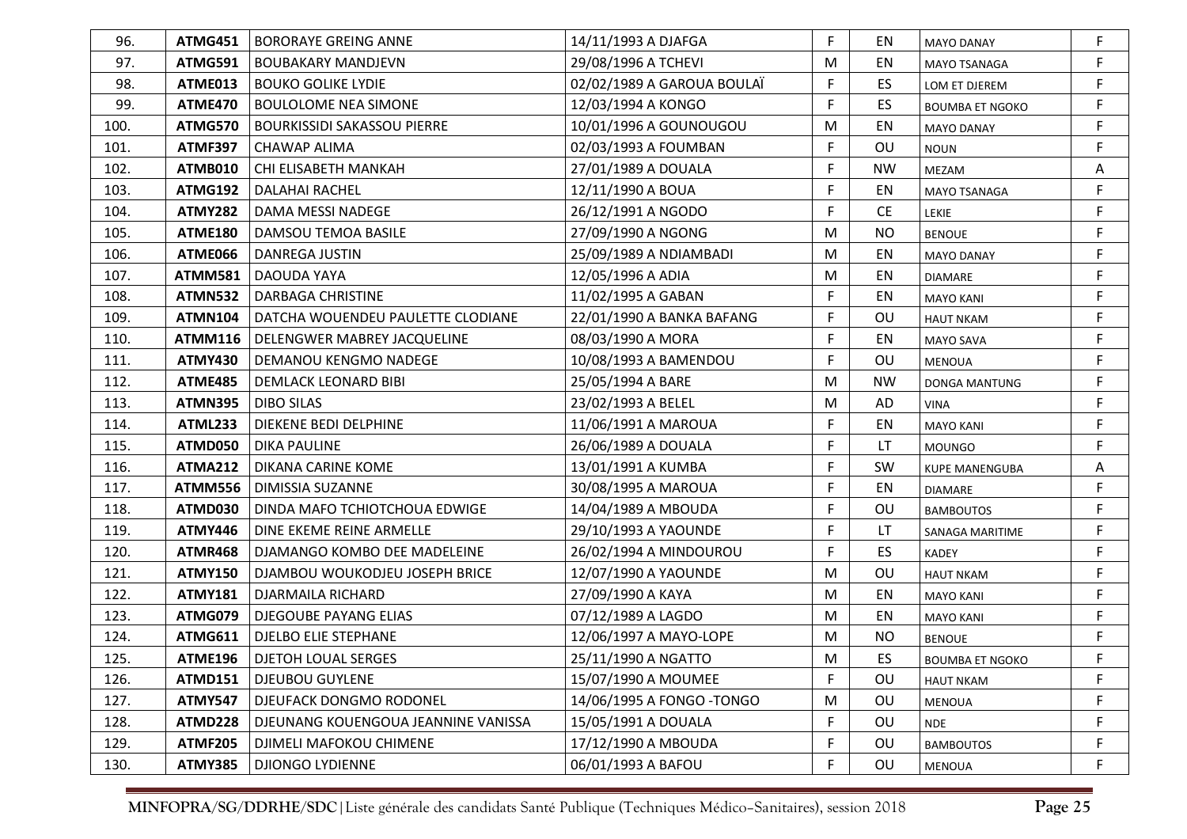| 96.  | ATMG451        | <b>BORORAYE GREING ANNE</b>         | 14/11/1993 A DJAFGA        | F  | ΕN        | <b>MAYO DANAY</b>      | F |
|------|----------------|-------------------------------------|----------------------------|----|-----------|------------------------|---|
| 97.  | ATMG591        | <b>BOUBAKARY MANDJEVN</b>           | 29/08/1996 A TCHEVI        | M  | EN        | <b>MAYO TSANAGA</b>    | F |
| 98.  | ATME013        | <b>BOUKO GOLIKE LYDIE</b>           | 02/02/1989 A GAROUA BOULAÏ | F  | ES        | LOM ET DJEREM          | F |
| 99.  | <b>ATME470</b> | <b>BOULOLOME NEA SIMONE</b>         | 12/03/1994 A KONGO         | F  | <b>ES</b> | <b>BOUMBA ET NGOKO</b> | F |
| 100. | ATMG570        | <b>BOURKISSIDI SAKASSOU PIERRE</b>  | 10/01/1996 A GOUNOUGOU     | M  | EN        | <b>MAYO DANAY</b>      | F |
| 101. | <b>ATMF397</b> | <b>CHAWAP ALIMA</b>                 | 02/03/1993 A FOUMBAN       | F  | OU        | <b>NOUN</b>            | F |
| 102. | ATMB010        | CHI ELISABETH MANKAH                | 27/01/1989 A DOUALA        | F  | <b>NW</b> | MEZAM                  | Α |
| 103. | <b>ATMG192</b> | <b>DALAHAI RACHEL</b>               | 12/11/1990 A BOUA          | F  | EN        | <b>MAYO TSANAGA</b>    | F |
| 104. | ATMY282        | DAMA MESSI NADEGE                   | 26/12/1991 A NGODO         | F  | <b>CE</b> | LEKIE                  | F |
| 105. | <b>ATME180</b> | DAMSOU TEMOA BASILE                 | 27/09/1990 A NGONG         | M  | <b>NO</b> | <b>BENOUE</b>          | F |
| 106. | ATME066        | DANREGA JUSTIN                      | 25/09/1989 A NDIAMBADI     | M  | EN        | <b>MAYO DANAY</b>      | F |
| 107. | ATMM581        | DAOUDA YAYA                         | 12/05/1996 A ADIA          | M  | EN        | <b>DIAMARE</b>         | F |
| 108. | ATMN532        | <b>DARBAGA CHRISTINE</b>            | 11/02/1995 A GABAN         | F  | EN        | <b>MAYO KANI</b>       | F |
| 109. | <b>ATMN104</b> | DATCHA WOUENDEU PAULETTE CLODIANE   | 22/01/1990 A BANKA BAFANG  | F  | OU        | <b>HAUT NKAM</b>       | F |
| 110. | <b>ATMM116</b> | DELENGWER MABREY JACQUELINE         | 08/03/1990 A MORA          | F  | EN        | <b>MAYO SAVA</b>       | F |
| 111. | <b>ATMY430</b> | <b>DEMANOU KENGMO NADEGE</b>        | 10/08/1993 A BAMENDOU      | F  | OU        | <b>MENOUA</b>          | F |
| 112. | ATME485        | <b>DEMLACK LEONARD BIBI</b>         | 25/05/1994 A BARE          | M  | <b>NW</b> | DONGA MANTUNG          | F |
| 113. | ATMN395        | <b>DIBO SILAS</b>                   | 23/02/1993 A BELEL         | M  | AD        | <b>VINA</b>            | F |
| 114. | <b>ATML233</b> | <b>DIEKENE BEDI DELPHINE</b>        | 11/06/1991 A MAROUA        | F  | EN        | <b>MAYO KANI</b>       | F |
| 115. | ATMD050        | <b>DIKA PAULINE</b>                 | 26/06/1989 A DOUALA        | F  | LT        | <b>MOUNGO</b>          | F |
| 116. | <b>ATMA212</b> | DIKANA CARINE KOME                  | 13/01/1991 A KUMBA         | F  | <b>SW</b> | <b>KUPE MANENGUBA</b>  | Α |
| 117. | <b>ATMM556</b> | <b>DIMISSIA SUZANNE</b>             | 30/08/1995 A MAROUA        | F. | EN        | <b>DIAMARE</b>         | F |
| 118. | ATMD030        | DINDA MAFO TCHIOTCHOUA EDWIGE       | 14/04/1989 A MBOUDA        | F  | OU        | <b>BAMBOUTOS</b>       | F |
| 119. | ATMY446        | DINE EKEME REINE ARMELLE            | 29/10/1993 A YAOUNDE       | F  | LT        | SANAGA MARITIME        | F |
| 120. | <b>ATMR468</b> | DJAMANGO KOMBO DEE MADELEINE        | 26/02/1994 A MINDOUROU     | F. | ES        | <b>KADEY</b>           | F |
| 121. | <b>ATMY150</b> | DJAMBOU WOUKODJEU JOSEPH BRICE      | 12/07/1990 A YAOUNDE       | M  | OU        | <b>HAUT NKAM</b>       | F |
| 122. | <b>ATMY181</b> | <b>DJARMAILA RICHARD</b>            | 27/09/1990 A KAYA          | M  | EN        | <b>MAYO KANI</b>       | F |
| 123. | ATMG079        | DJEGOUBE PAYANG ELIAS               | 07/12/1989 A LAGDO         | M  | EN        | <b>MAYO KANI</b>       | F |
| 124. | <b>ATMG611</b> | <b>DJELBO ELIE STEPHANE</b>         | 12/06/1997 A MAYO-LOPE     | M  | <b>NO</b> | <b>BENOUE</b>          | F |
| 125. |                | ATME196   DJETOH LOUAL SERGES       | 25/11/1990 A NGATTO        | м  | ES        | <b>BOUMBA ET NGOKO</b> | F |
| 126. | <b>ATMD151</b> | <b>DJEUBOU GUYLENE</b>              | 15/07/1990 A MOUMEE        | F  | OU        | <b>HAUT NKAM</b>       | F |
| 127. | <b>ATMY547</b> | DJEUFACK DONGMO RODONEL             | 14/06/1995 A FONGO - TONGO | M  | OU        | MENOUA                 | F |
| 128. | ATMD228        | DJEUNANG KOUENGOUA JEANNINE VANISSA | 15/05/1991 A DOUALA        | F  | OU        | <b>NDE</b>             | F |
| 129. | <b>ATMF205</b> | DJIMELI MAFOKOU CHIMENE             | 17/12/1990 A MBOUDA        | F  | OU        | <b>BAMBOUTOS</b>       | F |
| 130. | <b>ATMY385</b> | <b>DJIONGO LYDIENNE</b>             | 06/01/1993 A BAFOU         | F  | OU        | MENOUA                 | F |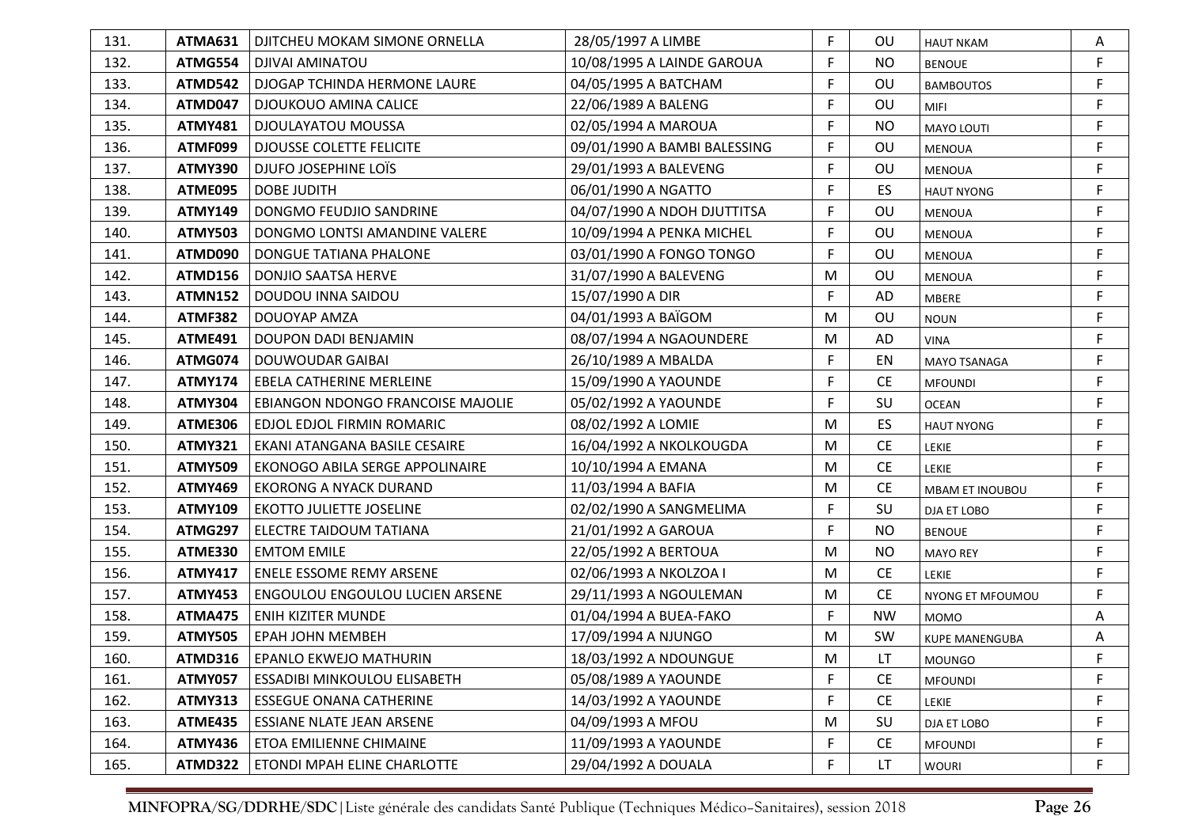| 131. | ATMA631        | DJITCHEU MOKAM SIMONE ORNELLA          | 28/05/1997 A LIMBE           | F  | <b>OU</b> | <b>HAUT NKAM</b>       | A |
|------|----------------|----------------------------------------|------------------------------|----|-----------|------------------------|---|
| 132. | ATMG554        | <b>DJIVAI AMINATOU</b>                 | 10/08/1995 A LAINDE GAROUA   | F  | <b>NO</b> | <b>BENOUE</b>          | F |
| 133. | <b>ATMD542</b> | DJOGAP TCHINDA HERMONE LAURE           | 04/05/1995 A BATCHAM         | F  | OU        | <b>BAMBOUTOS</b>       | F |
| 134. | ATMD047        | <b>DJOUKOUO AMINA CALICE</b>           | 22/06/1989 A BALENG          | F  | OU        | <b>MIFI</b>            | F |
| 135. | <b>ATMY481</b> | <b>DJOULAYATOU MOUSSA</b>              | 02/05/1994 A MAROUA          | F  | <b>NO</b> | MAYO LOUTI             | F |
| 136. | ATMF099        | <b>DJOUSSE COLETTE FELICITE</b>        | 09/01/1990 A BAMBI BALESSING | F  | OU        | <b>MENOUA</b>          | F |
| 137. | <b>ATMY390</b> | DJUFO JOSEPHINE LOIS                   | 29/01/1993 A BALEVENG        | F  | OU        | <b>MENOUA</b>          | F |
| 138. | ATME095        | <b>DOBE JUDITH</b>                     | 06/01/1990 A NGATTO          | F  | ES.       | <b>HAUT NYONG</b>      | F |
| 139. | <b>ATMY149</b> | DONGMO FEUDJIO SANDRINE                | 04/07/1990 A NDOH DJUTTITSA  | F  | OU        | <b>MENOUA</b>          | F |
| 140. | <b>ATMY503</b> | DONGMO LONTSI AMANDINE VALERE          | 10/09/1994 A PENKA MICHEL    | F. | OU        | <b>MENOUA</b>          | F |
| 141. | ATMD090        | DONGUE TATIANA PHALONE                 | 03/01/1990 A FONGO TONGO     | F  | OU        | <b>MENOUA</b>          | F |
| 142. | <b>ATMD156</b> | <b>DONJIO SAATSA HERVE</b>             | 31/07/1990 A BALEVENG        | M  | OU        | <b>MENOUA</b>          | F |
| 143. | <b>ATMN152</b> | DOUDOU INNA SAIDOU                     | 15/07/1990 A DIR             | F  | AD        | MBERE                  | F |
| 144. | <b>ATMF382</b> | DOUOYAP AMZA                           | 04/01/1993 A BAÏGOM          | M  | OU        | <b>NOUN</b>            | F |
| 145. | <b>ATME491</b> | DOUPON DADI BENJAMIN                   | 08/07/1994 A NGAOUNDERE      | M  | AD        | <b>VINA</b>            | F |
| 146. | ATMG074        | DOUWOUDAR GAIBAI                       | 26/10/1989 A MBALDA          | F  | EN        | <b>MAYO TSANAGA</b>    | F |
| 147. | <b>ATMY174</b> | EBELA CATHERINE MERLEINE               | 15/09/1990 A YAOUNDE         | F  | <b>CE</b> | <b>MFOUNDI</b>         | F |
| 148. | <b>ATMY304</b> | EBIANGON NDONGO FRANCOISE MAJOLIE      | 05/02/1992 A YAOUNDE         | F  | SU        | <b>OCEAN</b>           | F |
| 149. | <b>ATME306</b> | EDJOL EDJOL FIRMIN ROMARIC             | 08/02/1992 A LOMIE           | M  | <b>ES</b> | <b>HAUT NYONG</b>      | F |
| 150. | <b>ATMY321</b> | EKANI ATANGANA BASILE CESAIRE          | 16/04/1992 A NKOLKOUGDA      | M  | <b>CE</b> | LEKIE                  | F |
| 151. | <b>ATMY509</b> | EKONOGO ABILA SERGE APPOLINAIRE        | 10/10/1994 A EMANA           | M  | <b>CE</b> | LEKIE                  | F |
| 152. | <b>ATMY469</b> | <b>EKORONG A NYACK DURAND</b>          | 11/03/1994 A BAFIA           | M  | <b>CE</b> | <b>MBAM ET INOUBOU</b> | F |
| 153. | <b>ATMY109</b> | <b>EKOTTO JULIETTE JOSELINE</b>        | 02/02/1990 A SANGMELIMA      | F  | SU        | DJA ET LOBO            | F |
| 154. | ATMG297        | <b>ELECTRE TAIDOUM TATIANA</b>         | 21/01/1992 A GAROUA          | F  | <b>NO</b> | <b>BENOUE</b>          | F |
| 155. | <b>ATME330</b> | <b>EMTOM EMILE</b>                     | 22/05/1992 A BERTOUA         | M  | <b>NO</b> | <b>MAYO REY</b>        | F |
| 156. | <b>ATMY417</b> | <b>ENELE ESSOME REMY ARSENE</b>        | 02/06/1993 A NKOLZOA I       | M  | <b>CE</b> | LEKIE                  | F |
| 157. | <b>ATMY453</b> | <b>ENGOULOU ENGOULOU LUCIEN ARSENE</b> | 29/11/1993 A NGOULEMAN       | M  | <b>CE</b> | NYONG ET MFOUMOU       | F |
| 158. | <b>ATMA475</b> | ENIH KIZITER MUNDE                     | 01/04/1994 A BUEA-FAKO       | F  | <b>NW</b> | <b>MOMO</b>            | Α |
| 159. | <b>ATMY505</b> | <b>EPAH JOHN MEMBEH</b>                | 17/09/1994 A NJUNGO          | M  | SW        | <b>KUPE MANENGUBA</b>  | Α |
| 160. |                | ATMD316   EPANLO EKWEJO MATHURIN       | 18/03/1992 A NDOUNGUE        | М  | LT.       | <b>MOUNGO</b>          |   |
| 161. | <b>ATMY057</b> | <b>ESSADIBI MINKOULOU ELISABETH</b>    | 05/08/1989 A YAOUNDE         | F  | <b>CE</b> | <b>MFOUNDI</b>         | F |
| 162. | <b>ATMY313</b> | <b>ESSEGUE ONANA CATHERINE</b>         | 14/03/1992 A YAOUNDE         | F  | <b>CE</b> | LEKIE                  | F |
| 163. | <b>ATME435</b> | ESSIANE NLATE JEAN ARSENE              | 04/09/1993 A MFOU            | M  | SU        | DJA ET LOBO            | F |
| 164. | <b>ATMY436</b> | ETOA EMILIENNE CHIMAINE                | 11/09/1993 A YAOUNDE         | F  | <b>CE</b> | <b>MFOUNDI</b>         | F |
| 165. | ATMD322        | ETONDI MPAH ELINE CHARLOTTE            | 29/04/1992 A DOUALA          | F  | <b>LT</b> | <b>WOURI</b>           | F |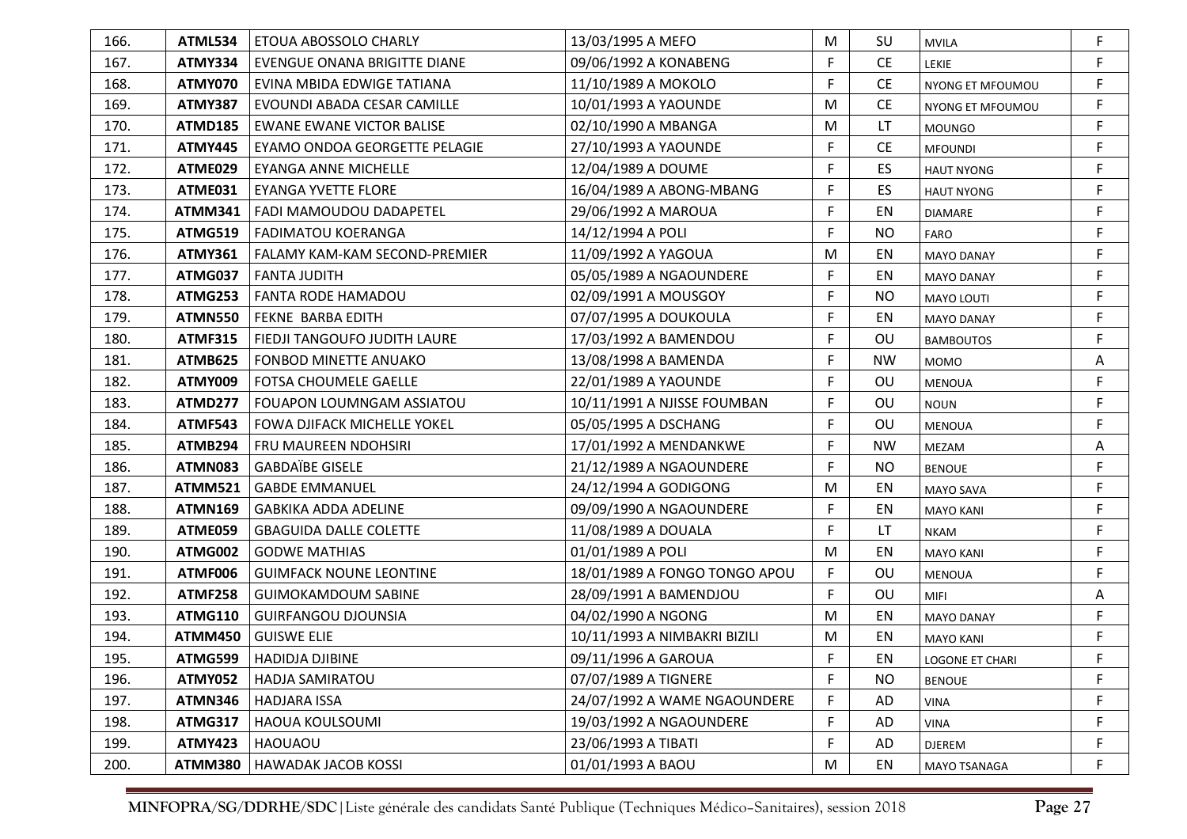| 166. | ATML534        | ETOUA ABOSSOLO CHARLY                | 13/03/1995 A MEFO             | M  | SU        | <b>MVILA</b>           | F |
|------|----------------|--------------------------------------|-------------------------------|----|-----------|------------------------|---|
| 167. | <b>ATMY334</b> | <b>EVENGUE ONANA BRIGITTE DIANE</b>  | 09/06/1992 A KONABENG         | F  | <b>CE</b> | LEKIE                  | F |
| 168. | ATMY070        | EVINA MBIDA EDWIGE TATIANA           | 11/10/1989 A MOKOLO           | F  | <b>CE</b> | NYONG ET MFOUMOU       | F |
| 169. | <b>ATMY387</b> | EVOUNDI ABADA CESAR CAMILLE          | 10/01/1993 A YAOUNDE          | м  | <b>CE</b> | NYONG ET MFOUMOU       | F |
| 170. | ATMD185        | <b>EWANE EWANE VICTOR BALISE</b>     | 02/10/1990 A MBANGA           | M  | LT        | <b>MOUNGO</b>          | F |
| 171. | <b>ATMY445</b> | EYAMO ONDOA GEORGETTE PELAGIE        | 27/10/1993 A YAOUNDE          | F  | <b>CE</b> | <b>MFOUNDI</b>         | F |
| 172. | ATME029        | EYANGA ANNE MICHELLE                 | 12/04/1989 A DOUME            | F  | ES        | <b>HAUT NYONG</b>      | F |
| 173. | ATME031        | <b>EYANGA YVETTE FLORE</b>           | 16/04/1989 A ABONG-MBANG      | F  | ES        | <b>HAUT NYONG</b>      | F |
| 174. | ATMM341        | FADI MAMOUDOU DADAPETEL              | 29/06/1992 A MAROUA           | F  | EN        | DIAMARE                | F |
| 175. | ATMG519        | FADIMATOU KOERANGA                   | 14/12/1994 A POLI             | F  | <b>NO</b> | <b>FARO</b>            | F |
| 176. | <b>ATMY361</b> | <b>FALAMY KAM-KAM SECOND-PREMIER</b> | 11/09/1992 A YAGOUA           | M  | EN        | <b>MAYO DANAY</b>      | F |
| 177. | ATMG037        | l FANTA JUDITH                       | 05/05/1989 A NGAOUNDERE       | F. | EN        | <b>MAYO DANAY</b>      | F |
| 178. | ATMG253        | <b>FANTA RODE HAMADOU</b>            | 02/09/1991 A MOUSGOY          | F  | NO.       | MAYO LOUTI             | F |
| 179. | ATMN550        | <b>FEKNE BARBA EDITH</b>             | 07/07/1995 A DOUKOULA         | F  | EN        | <b>MAYO DANAY</b>      | F |
| 180. | <b>ATMF315</b> | <b>FIEDJI TANGOUFO JUDITH LAURE</b>  | 17/03/1992 A BAMENDOU         | F  | OU        | <b>BAMBOUTOS</b>       | F |
| 181. | <b>ATMB625</b> | <b>FONBOD MINETTE ANUAKO</b>         | 13/08/1998 A BAMENDA          | F. | <b>NW</b> | <b>MOMO</b>            | Α |
| 182. | <b>ATMY009</b> | <b>FOTSA CHOUMELE GAELLE</b>         | 22/01/1989 A YAOUNDE          | F  | OU        | <b>MENOUA</b>          | F |
| 183. | ATMD277        | FOUAPON LOUMNGAM ASSIATOU            | 10/11/1991 A NJISSE FOUMBAN   | F  | OU        | <b>NOUN</b>            | F |
| 184. | <b>ATMF543</b> | FOWA DJIFACK MICHELLE YOKEL          | 05/05/1995 A DSCHANG          | F  | OU        | <b>MENOUA</b>          | F |
| 185. | ATMB294        | <b>FRU MAUREEN NDOHSIRI</b>          | 17/01/1992 A MENDANKWE        | F  | <b>NW</b> | MEZAM                  | A |
| 186. | ATMN083        | <b>GABDAÏBE GISELE</b>               | 21/12/1989 A NGAOUNDERE       | F  | <b>NO</b> | <b>BENOUE</b>          | F |
| 187. | <b>ATMM521</b> | <b>GABDE EMMANUEL</b>                | 24/12/1994 A GODIGONG         | M  | EN        | <b>MAYO SAVA</b>       | F |
| 188. | <b>ATMN169</b> | <b>GABKIKA ADDA ADELINE</b>          | 09/09/1990 A NGAOUNDERE       | F  | EN        | <b>MAYO KANI</b>       | F |
| 189. | ATME059        | <b>GBAGUIDA DALLE COLETTE</b>        | 11/08/1989 A DOUALA           | F  | LT.       | NKAM                   | F |
| 190. | ATMG002        | <b>GODWE MATHIAS</b>                 | 01/01/1989 A POLI             | M  | EN        | <b>MAYO KANI</b>       | F |
| 191. | ATMF006        | <b>GUIMFACK NOUNE LEONTINE</b>       | 18/01/1989 A FONGO TONGO APOU | F  | OU        | <b>MENOUA</b>          | F |
| 192. | <b>ATMF258</b> | <b>GUIMOKAMDOUM SABINE</b>           | 28/09/1991 A BAMENDJOU        | F  | OU        | MIFI                   | Α |
| 193. | <b>ATMG110</b> | <b>GUIRFANGOU DJOUNSIA</b>           | 04/02/1990 A NGONG            | M  | EN        | <b>MAYO DANAY</b>      | F |
| 194. | <b>ATMM450</b> | <b>GUISWE ELIE</b>                   | 10/11/1993 A NIMBAKRI BIZILI  | M  | EN        | <b>MAYO KANI</b>       | F |
| 195. |                | ATMG599   HADIDJA DJIBINE            | 09/11/1996 A GAROUA           | F  | EN        | <b>LOGONE ET CHARI</b> |   |
| 196. | <b>ATMY052</b> | <b>HADJA SAMIRATOU</b>               | 07/07/1989 A TIGNERE          | F  | <b>NO</b> | <b>BENOUE</b>          | F |
| 197. | <b>ATMN346</b> | <b>HADJARA ISSA</b>                  | 24/07/1992 A WAME NGAOUNDERE  | F  | AD        | <b>VINA</b>            | F |
| 198. | <b>ATMG317</b> | <b>HAOUA KOULSOUMI</b>               | 19/03/1992 A NGAOUNDERE       | F  | AD        | <b>VINA</b>            | F |
| 199. | <b>ATMY423</b> | <b>HAOUAOU</b>                       | 23/06/1993 A TIBATI           | F  | AD        | <b>DJEREM</b>          | F |
| 200. | <b>ATMM380</b> | <b>HAWADAK JACOB KOSSI</b>           | 01/01/1993 A BAOU             | M  | EN        | <b>MAYO TSANAGA</b>    | F |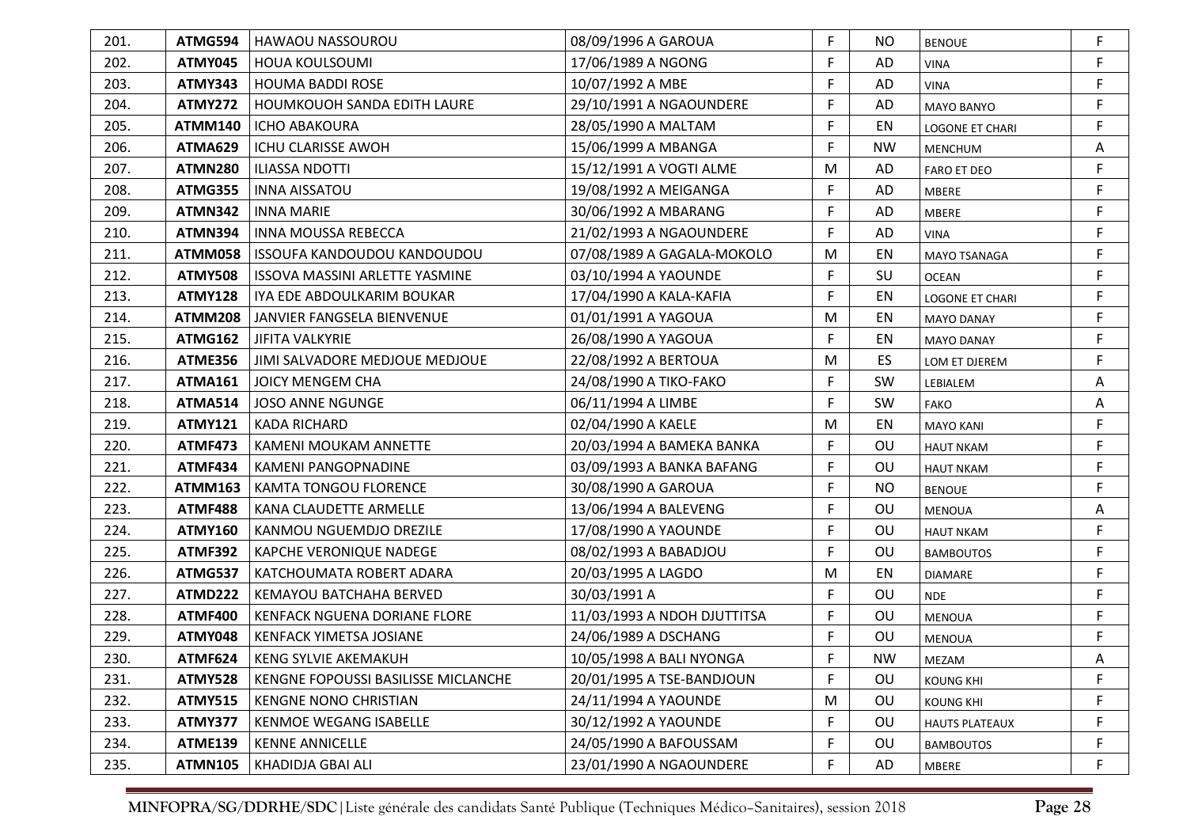| 201. | ATMG594        | <b>HAWAOU NASSOUROU</b>               | 08/09/1996 A GAROUA         | F  | NO        | <b>BENOUE</b>         | F           |
|------|----------------|---------------------------------------|-----------------------------|----|-----------|-----------------------|-------------|
| 202. | ATMY045        | <b>HOUA KOULSOUMI</b>                 | 17/06/1989 A NGONG          | F  | AD        | <b>VINA</b>           | F           |
| 203. | <b>ATMY343</b> | <b>HOUMA BADDI ROSE</b>               | 10/07/1992 A MBE            | F  | AD        | <b>VINA</b>           | F           |
| 204. | <b>ATMY272</b> | <b>HOUMKOUOH SANDA EDITH LAURE</b>    | 29/10/1991 A NGAOUNDERE     | F  | AD        | <b>MAYO BANYO</b>     | F           |
| 205. | <b>ATMM140</b> | <b>ICHO ABAKOURA</b>                  | 28/05/1990 A MALTAM         | F  | EN        | LOGONE ET CHARI       | F           |
| 206. | <b>ATMA629</b> | ICHU CLARISSE AWOH                    | 15/06/1999 A MBANGA         | F  | <b>NW</b> | <b>MENCHUM</b>        | Α           |
| 207. | <b>ATMN280</b> | <b>ILIASSA NDOTTI</b>                 | 15/12/1991 A VOGTI ALME     | M  | AD        | <b>FARO ET DEO</b>    | F.          |
| 208. | ATMG355        | <b>INNA AISSATOU</b>                  | 19/08/1992 A MEIGANGA       | F  | AD        | <b>MBERE</b>          | F           |
| 209. | <b>ATMN342</b> | <b>INNA MARIE</b>                     | 30/06/1992 A MBARANG        | F  | AD        | MBERE                 | F           |
| 210. | <b>ATMN394</b> | <b>INNA MOUSSA REBECCA</b>            | 21/02/1993 A NGAOUNDERE     | F  | AD        | <b>VINA</b>           | F           |
| 211. | <b>ATMM058</b> | ISSOUFA KANDOUDOU KANDOUDOU           | 07/08/1989 A GAGALA-MOKOLO  | M  | EN        | <b>MAYO TSANAGA</b>   | F           |
| 212. | <b>ATMY508</b> | <b>ISSOVA MASSINI ARLETTE YASMINE</b> | 03/10/1994 A YAOUNDE        | F. | SU        | <b>OCEAN</b>          | F           |
| 213. | <b>ATMY128</b> | IYA EDE ABDOULKARIM BOUKAR            | 17/04/1990 A KALA-KAFIA     | F. | EN        | LOGONE ET CHARI       | F           |
| 214. | <b>ATMM208</b> | JANVIER FANGSELA BIENVENUE            | 01/01/1991 A YAGOUA         | M  | EN        | <b>MAYO DANAY</b>     | F           |
| 215. | <b>ATMG162</b> | <b>JIFITA VALKYRIE</b>                | 26/08/1990 A YAGOUA         | F  | EN        | <b>MAYO DANAY</b>     | F           |
| 216. | <b>ATME356</b> | JIMI SALVADORE MEDJOUE MEDJOUE        | 22/08/1992 A BERTOUA        | M  | ES        | LOM ET DJEREM         | F           |
| 217. | <b>ATMA161</b> | JOICY MENGEM CHA                      | 24/08/1990 A TIKO-FAKO      | F  | SW        | LEBIALEM              | Α           |
| 218. | <b>ATMA514</b> | <b>JOSO ANNE NGUNGE</b>               | 06/11/1994 A LIMBE          | F  | SW        | <b>FAKO</b>           | Α           |
| 219. | <b>ATMY121</b> | <b>KADA RICHARD</b>                   | 02/04/1990 A KAELE          | M  | EN        | <b>MAYO KANI</b>      | F           |
| 220. | <b>ATMF473</b> | KAMENI MOUKAM ANNETTE                 | 20/03/1994 A BAMEKA BANKA   | F. | OU        | <b>HAUT NKAM</b>      | F           |
| 221. | <b>ATMF434</b> | <b>KAMENI PANGOPNADINE</b>            | 03/09/1993 A BANKA BAFANG   | F. | OU        | <b>HAUT NKAM</b>      | F           |
| 222. | <b>ATMM163</b> | <b>KAMTA TONGOU FLORENCE</b>          | 30/08/1990 A GAROUA         | F  | <b>NO</b> | <b>BENOUE</b>         | F           |
| 223. | <b>ATMF488</b> | KANA CLAUDETTE ARMELLE                | 13/06/1994 A BALEVENG       | F  | OU        | <b>MENOUA</b>         | A           |
| 224. | <b>ATMY160</b> | KANMOU NGUEMDJO DREZILE               | 17/08/1990 A YAOUNDE        | F  | OU        | <b>HAUT NKAM</b>      | F           |
| 225. | <b>ATMF392</b> | KAPCHE VERONIQUE NADEGE               | 08/02/1993 A BABADJOU       | F  | OU        | <b>BAMBOUTOS</b>      | F           |
| 226. | <b>ATMG537</b> | KATCHOUMATA ROBERT ADARA              | 20/03/1995 A LAGDO          | M  | EN        | <b>DIAMARE</b>        | F           |
| 227. | <b>ATMD222</b> | KEMAYOU BATCHAHA BERVED               | 30/03/1991 A                | F. | OU        | <b>NDE</b>            | F           |
| 228. | <b>ATMF400</b> | KENFACK NGUENA DORIANE FLORE          | 11/03/1993 A NDOH DJUTTITSA | F  | OU        | MENOUA                | F           |
| 229. | ATMY048        | KENFACK YIMETSA JOSIANE               | 24/06/1989 A DSCHANG        | F  | OU        | <b>MENOUA</b>         | $\mathsf F$ |
| 230. | ATMF624        | <b>KENG SYLVIE AKEMAKUH</b>           | 10/05/1998 A BALI NYONGA    | F  | <b>NW</b> | MEZAM                 | Α           |
| 231. | <b>ATMY528</b> | KENGNE FOPOUSSI BASILISSE MICLANCHE   | 20/01/1995 A TSE-BANDJOUN   | F  | OU        | <b>KOUNG KHI</b>      | F           |
| 232. | <b>ATMY515</b> | <b>KENGNE NONO CHRISTIAN</b>          | 24/11/1994 A YAOUNDE        | M  | <b>OU</b> | <b>KOUNG KHI</b>      | F           |
| 233. | ATMY377        | <b>KENMOE WEGANG ISABELLE</b>         | 30/12/1992 A YAOUNDE        | F  | OU        | <b>HAUTS PLATEAUX</b> | F           |
| 234. | <b>ATME139</b> | <b>KENNE ANNICELLE</b>                | 24/05/1990 A BAFOUSSAM      | F  | OU        | <b>BAMBOUTOS</b>      | F           |
| 235. | <b>ATMN105</b> | KHADIDJA GBAI ALI                     | 23/01/1990 A NGAOUNDERE     | F  | AD        | MBERE                 | F           |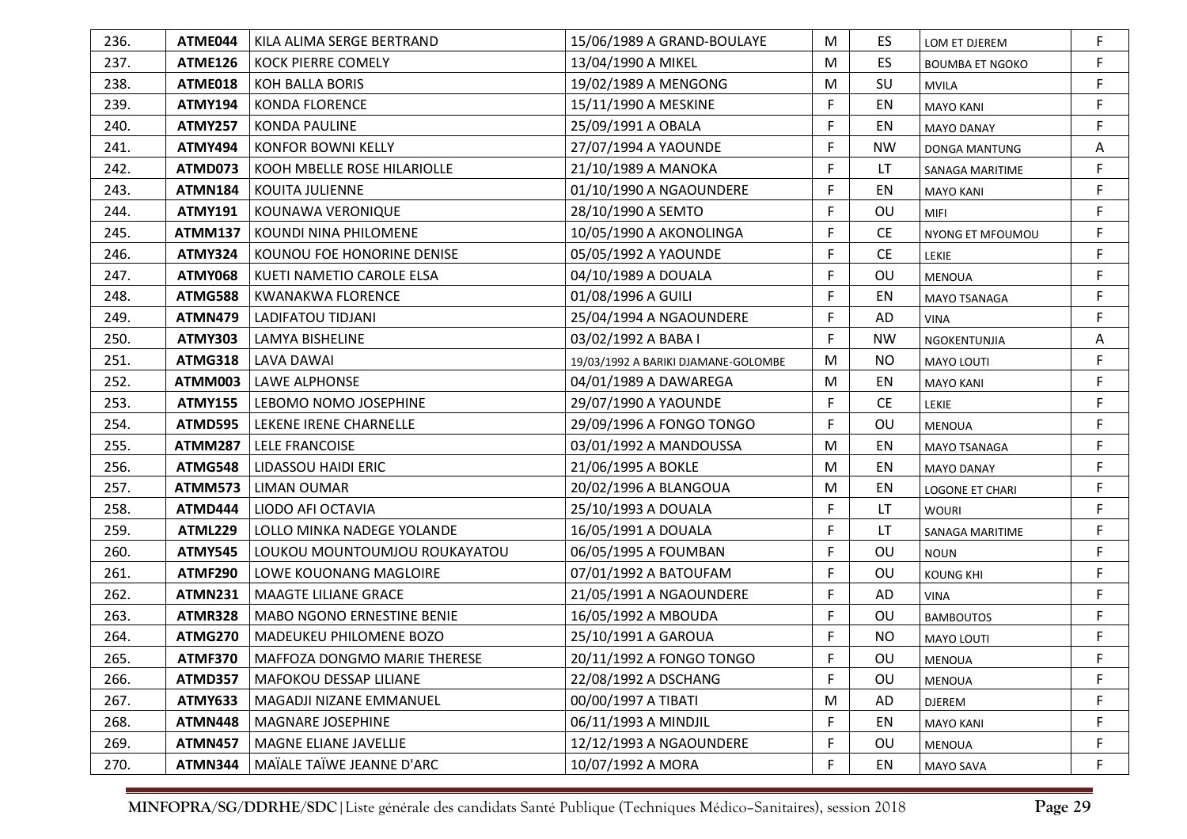| 236. | ATME044        | KILA ALIMA SERGE BERTRAND     | 15/06/1989 A GRAND-BOULAYE          | M           | ES        | LOM ET DJEREM          | F |
|------|----------------|-------------------------------|-------------------------------------|-------------|-----------|------------------------|---|
| 237. | <b>ATME126</b> | <b>KOCK PIERRE COMELY</b>     | 13/04/1990 A MIKEL                  | M           | <b>ES</b> | <b>BOUMBA ET NGOKO</b> | F |
| 238. | ATME018        | KOH BALLA BORIS               | 19/02/1989 A MENGONG                | M           | SU        | <b>MVILA</b>           | F |
| 239. | <b>ATMY194</b> | <b>KONDA FLORENCE</b>         | 15/11/1990 A MESKINE                | F           | EN        | <b>MAYO KANI</b>       | F |
| 240. | <b>ATMY257</b> | KONDA PAULINE                 | 25/09/1991 A OBALA                  | F           | EN        | <b>MAYO DANAY</b>      | F |
| 241. | <b>ATMY494</b> | KONFOR BOWNI KELLY            | 27/07/1994 A YAOUNDE                | F           | <b>NW</b> | DONGA MANTUNG          | Α |
| 242. | ATMD073        | KOOH MBELLE ROSE HILARIOLLE   | 21/10/1989 A MANOKA                 | F           | LT.       | SANAGA MARITIME        | F |
| 243. | <b>ATMN184</b> | KOUITA JULIENNE               | 01/10/1990 A NGAOUNDERE             | F           | EN        | <b>MAYO KANI</b>       | F |
| 244. | <b>ATMY191</b> | KOUNAWA VERONIQUE             | 28/10/1990 A SEMTO                  | F           | OU        | <b>MIFI</b>            | F |
| 245. | <b>ATMM137</b> | l KOUNDI NINA PHILOMENE       | 10/05/1990 A AKONOLINGA             | F           | <b>CE</b> | NYONG ET MFOUMOU       | F |
| 246. | <b>ATMY324</b> | KOUNOU FOE HONORINE DENISE    | 05/05/1992 A YAOUNDE                | F           | <b>CE</b> | LEKIE                  | F |
| 247. | <b>ATMY068</b> | KUETI NAMETIO CAROLE ELSA     | 04/10/1989 A DOUALA                 | F           | OU        | <b>MENOUA</b>          | F |
| 248. | <b>ATMG588</b> | KWANAKWA FLORENCE             | 01/08/1996 A GUILI                  | F           | EN        | <b>MAYO TSANAGA</b>    | F |
| 249. | <b>ATMN479</b> | LADIFATOU TIDJANI             | 25/04/1994 A NGAOUNDERE             | F           | AD        | VINA                   | F |
| 250. | <b>ATMY303</b> | <b>LAMYA BISHELINE</b>        | 03/02/1992 A BABA I                 | F           | <b>NW</b> | <b>NGOKENTUNJIA</b>    | Α |
| 251. | <b>ATMG318</b> | <b>LAVA DAWAI</b>             | 19/03/1992 A BARIKI DJAMANE-GOLOMBE | M           | <b>NO</b> | MAYO LOUTI             | F |
| 252. | ATMM003        | LAWE ALPHONSE                 | 04/01/1989 A DAWAREGA               | M           | EN        | <b>MAYO KANI</b>       | F |
| 253. | <b>ATMY155</b> | LEBOMO NOMO JOSEPHINE         | 29/07/1990 A YAOUNDE                | F.          | <b>CE</b> | LEKIE                  | F |
| 254. | <b>ATMD595</b> | LEKENE IRENE CHARNELLE        | 29/09/1996 A FONGO TONGO            | F.          | OU        | <b>MENOUA</b>          | F |
| 255. | <b>ATMM287</b> | <b>LELE FRANCOISE</b>         | 03/01/1992 A MANDOUSSA              | M           | EN        | MAYO TSANAGA           | F |
| 256. | ATMG548        | <b>LIDASSOU HAIDI ERIC</b>    | 21/06/1995 A BOKLE                  | M           | EN        | <b>MAYO DANAY</b>      | F |
| 257. | <b>ATMM573</b> | <b>LIMAN OUMAR</b>            | 20/02/1996 A BLANGOUA               | M           | EN        | <b>LOGONE ET CHARI</b> | F |
| 258. | ATMD444        | LIODO AFI OCTAVIA             | 25/10/1993 A DOUALA                 | F           | LT        | <b>WOURI</b>           | F |
| 259. | ATML229        | LOLLO MINKA NADEGE YOLANDE    | 16/05/1991 A DOUALA                 | $\mathsf F$ | LT        | SANAGA MARITIME        | F |
| 260. | <b>ATMY545</b> | LOUKOU MOUNTOUMJOU ROUKAYATOU | 06/05/1995 A FOUMBAN                | F.          | OU        | <b>NOUN</b>            | F |
| 261. | <b>ATMF290</b> | LOWE KOUONANG MAGLOIRE        | 07/01/1992 A BATOUFAM               | $\mathsf F$ | OU        | <b>KOUNG KHI</b>       | F |
| 262. | <b>ATMN231</b> | <b>MAAGTE LILIANE GRACE</b>   | 21/05/1991 A NGAOUNDERE             | F.          | AD        | <b>VINA</b>            | F |
| 263. | <b>ATMR328</b> | MABO NGONO ERNESTINE BENIE    | 16/05/1992 A MBOUDA                 | F           | OU        | <b>BAMBOUTOS</b>       | F |
| 264. | <b>ATMG270</b> | MADEUKEU PHILOMENE BOZO       | 25/10/1991 A GAROUA                 | F           | <b>NO</b> | MAYO LOUTI             | F |
| 265. | ATMF370        | MAFFOZA DONGMO MARIE THERESE  | 20/11/1992 A FONGO TONGO            | F           | OU        | MENOUA                 |   |
| 266. | <b>ATMD357</b> | <b>MAFOKOU DESSAP LILIANE</b> | 22/08/1992 A DSCHANG                | F.          | OU        | <b>MENOUA</b>          | F |
| 267. | <b>ATMY633</b> | MAGADJI NIZANE EMMANUEL       | 00/00/1997 A TIBATI                 | M           | AD        | <b>DJEREM</b>          | F |
| 268. | <b>ATMN448</b> | MAGNARE JOSEPHINE             | 06/11/1993 A MINDJIL                | F           | EN        | <b>MAYO KANI</b>       | F |
| 269. | <b>ATMN457</b> | MAGNE ELIANE JAVELLIE         | 12/12/1993 A NGAOUNDERE             | F           | <b>OU</b> | <b>MENOUA</b>          | F |
| 270. | <b>ATMN344</b> | MAÏALE TAÏWE JEANNE D'ARC     | 10/07/1992 A MORA                   | F           | EN        | <b>MAYO SAVA</b>       | F |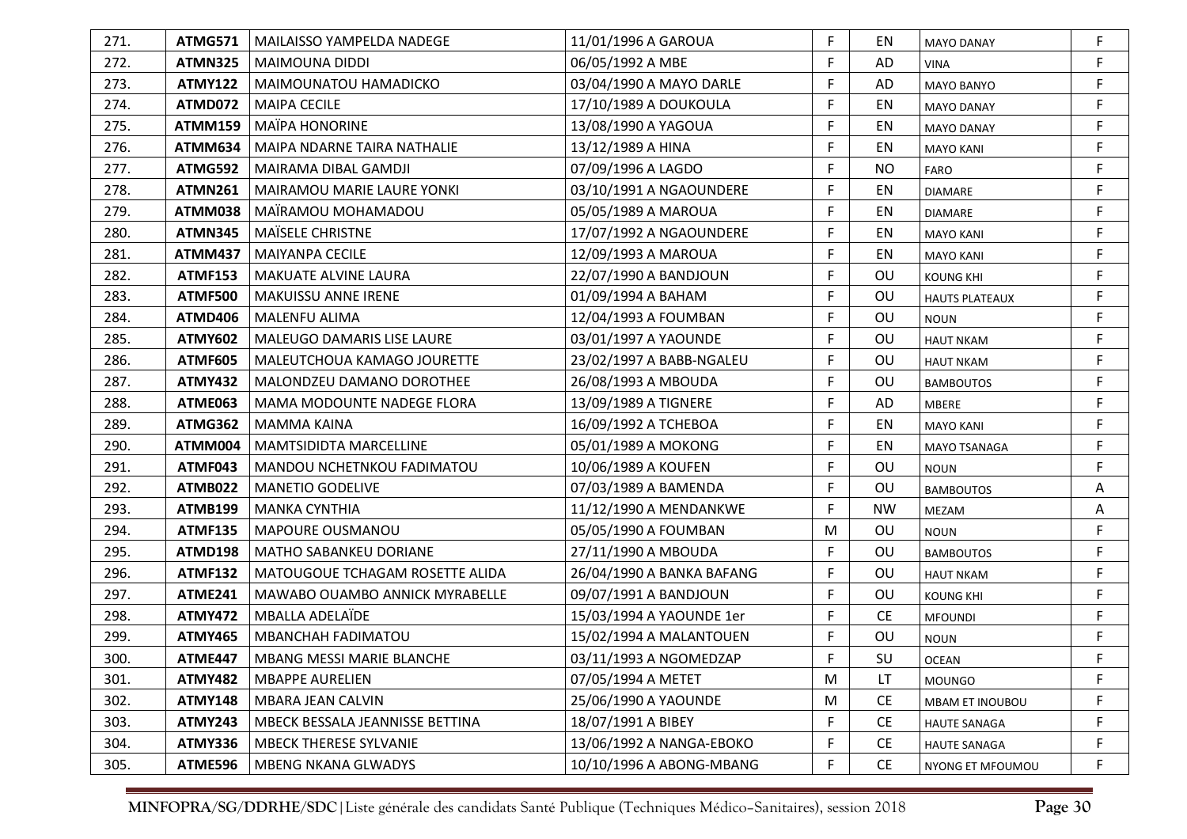| 271. | ATMG571        | MAILAISSO YAMPELDA NADEGE         | 11/01/1996 A GAROUA       | F           | EN        | <b>MAYO DANAY</b>     | F           |
|------|----------------|-----------------------------------|---------------------------|-------------|-----------|-----------------------|-------------|
| 272. | <b>ATMN325</b> | MAIMOUNA DIDDI                    | 06/05/1992 A MBE          | F           | AD        | <b>VINA</b>           | F           |
| 273. | <b>ATMY122</b> | MAIMOUNATOU HAMADICKO             | 03/04/1990 A MAYO DARLE   | F           | AD        | MAYO BANYO            | F           |
| 274. | ATMD072        | <b>MAIPA CECILE</b>               | 17/10/1989 A DOUKOULA     | F           | EN        | <b>MAYO DANAY</b>     | F           |
| 275. | <b>ATMM159</b> | <b>MAÏPA HONORINE</b>             | 13/08/1990 A YAGOUA       | F           | EN        | <b>MAYO DANAY</b>     | F           |
| 276. | ATMM634        | MAIPA NDARNE TAIRA NATHALIE       | 13/12/1989 A HINA         | F           | EN        | <b>MAYO KANI</b>      | F           |
| 277. | ATMG592        | MAIRAMA DIBAL GAMDJI              | 07/09/1996 A LAGDO        | F           | <b>NO</b> | FARO                  | F           |
| 278. | <b>ATMN261</b> | MAIRAMOU MARIE LAURE YONKI        | 03/10/1991 A NGAOUNDERE   | F           | EN        | <b>DIAMARE</b>        | F           |
| 279. | ATMM038        | MAÏRAMOU MOHAMADOU                | 05/05/1989 A MAROUA       | F           | EN        | <b>DIAMARE</b>        | F           |
| 280. | ATMN345        | MAÏSELE CHRISTNE                  | 17/07/1992 A NGAOUNDERE   | F           | EN        | <b>MAYO KANI</b>      | F           |
| 281. | <b>ATMM437</b> | <b>MAIYANPA CECILE</b>            | 12/09/1993 A MAROUA       | F           | EN        | <b>MAYO KANI</b>      | F           |
| 282. | <b>ATMF153</b> | <b>MAKUATE ALVINE LAURA</b>       | 22/07/1990 A BANDJOUN     | F           | OU        | <b>KOUNG KHI</b>      | F           |
| 283. | <b>ATMF500</b> | <b>MAKUISSU ANNE IRENE</b>        | 01/09/1994 A BAHAM        | F           | OU        | <b>HAUTS PLATEAUX</b> | F           |
| 284. | ATMD406        | <b>MALENFU ALIMA</b>              | 12/04/1993 A FOUMBAN      | F           | OU        | <b>NOUN</b>           | F           |
| 285. | <b>ATMY602</b> | <b>MALEUGO DAMARIS LISE LAURE</b> | 03/01/1997 A YAOUNDE      | F           | OU        | <b>HAUT NKAM</b>      | F           |
| 286. | <b>ATMF605</b> | MALEUTCHOUA KAMAGO JOURETTE       | 23/02/1997 A BABB-NGALEU  | F           | OU        | <b>HAUT NKAM</b>      | F           |
| 287. | <b>ATMY432</b> | MALONDZEU DAMANO DOROTHEE         | 26/08/1993 A MBOUDA       | F           | OU        | <b>BAMBOUTOS</b>      | F           |
| 288. | ATME063        | MAMA MODOUNTE NADEGE FLORA        | 13/09/1989 A TIGNERE      | F           | AD        | <b>MBERE</b>          | F           |
| 289. | <b>ATMG362</b> | <b>MAMMA KAINA</b>                | 16/09/1992 A TCHEBOA      | F           | EN        | <b>MAYO KANI</b>      | F           |
| 290. | ATMM004        | MAMTSIDIDTA MARCELLINE            | 05/01/1989 A MOKONG       | F           | EN        | MAYO TSANAGA          | F           |
| 291. | ATMF043        | MANDOU NCHETNKOU FADIMATOU        | 10/06/1989 A KOUFEN       | F           | OU        | <b>NOUN</b>           | F           |
| 292. | <b>ATMB022</b> | <b>MANETIO GODELIVE</b>           | 07/03/1989 A BAMENDA      | $\mathsf F$ | OU        | <b>BAMBOUTOS</b>      | A           |
| 293. | <b>ATMB199</b> | <b>MANKA CYNTHIA</b>              | 11/12/1990 A MENDANKWE    | F           | <b>NW</b> | <b>MEZAM</b>          | Α           |
| 294. | <b>ATMF135</b> | <b>MAPOURE OUSMANOU</b>           | 05/05/1990 A FOUMBAN      | M           | OU        | <b>NOUN</b>           | F           |
| 295. | ATMD198        | MATHO SABANKEU DORIANE            | 27/11/1990 A MBOUDA       | F.          | OU        | <b>BAMBOUTOS</b>      | F           |
| 296. | <b>ATMF132</b> | MATOUGOUE TCHAGAM ROSETTE ALIDA   | 26/04/1990 A BANKA BAFANG | F.          | OU        | <b>HAUT NKAM</b>      | F           |
| 297. | <b>ATME241</b> | MAWABO OUAMBO ANNICK MYRABELLE    | 09/07/1991 A BANDJOUN     | F.          | OU        | <b>KOUNG KHI</b>      | F           |
| 298. | <b>ATMY472</b> | <b>MBALLA ADELAÏDE</b>            | 15/03/1994 A YAOUNDE 1er  | F.          | <b>CE</b> | <b>MFOUNDI</b>        | F           |
| 299. | <b>ATMY465</b> | <b>MBANCHAH FADIMATOU</b>         | 15/02/1994 A MALANTOUEN   | F.          | OU        | <b>NOUN</b>           | $\mathsf F$ |
| 300. | ATME447        | MBANG MESSI MARIE BLANCHE         | 03/11/1993 A NGOMEDZAP    | E           | SU        | <b>OCEAN</b>          |             |
| 301. | <b>ATMY482</b> | <b>MBAPPE AURELIEN</b>            | 07/05/1994 A METET        | M           | LT        | <b>MOUNGO</b>         | F           |
| 302. | <b>ATMY148</b> | <b>MBARA JEAN CALVIN</b>          | 25/06/1990 A YAOUNDE      | M           | <b>CE</b> | MBAM ET INOUBOU       | F           |
| 303. | <b>ATMY243</b> | MBECK BESSALA JEANNISSE BETTINA   | 18/07/1991 A BIBEY        | F           | <b>CE</b> | <b>HAUTE SANAGA</b>   | F           |
| 304. | <b>ATMY336</b> | <b>MBECK THERESE SYLVANIE</b>     | 13/06/1992 A NANGA-EBOKO  | F           | <b>CE</b> | <b>HAUTE SANAGA</b>   | F           |
| 305. | <b>ATME596</b> | <b>MBENG NKANA GLWADYS</b>        | 10/10/1996 A ABONG-MBANG  | F           | <b>CE</b> | NYONG ET MFOUMOU      | F           |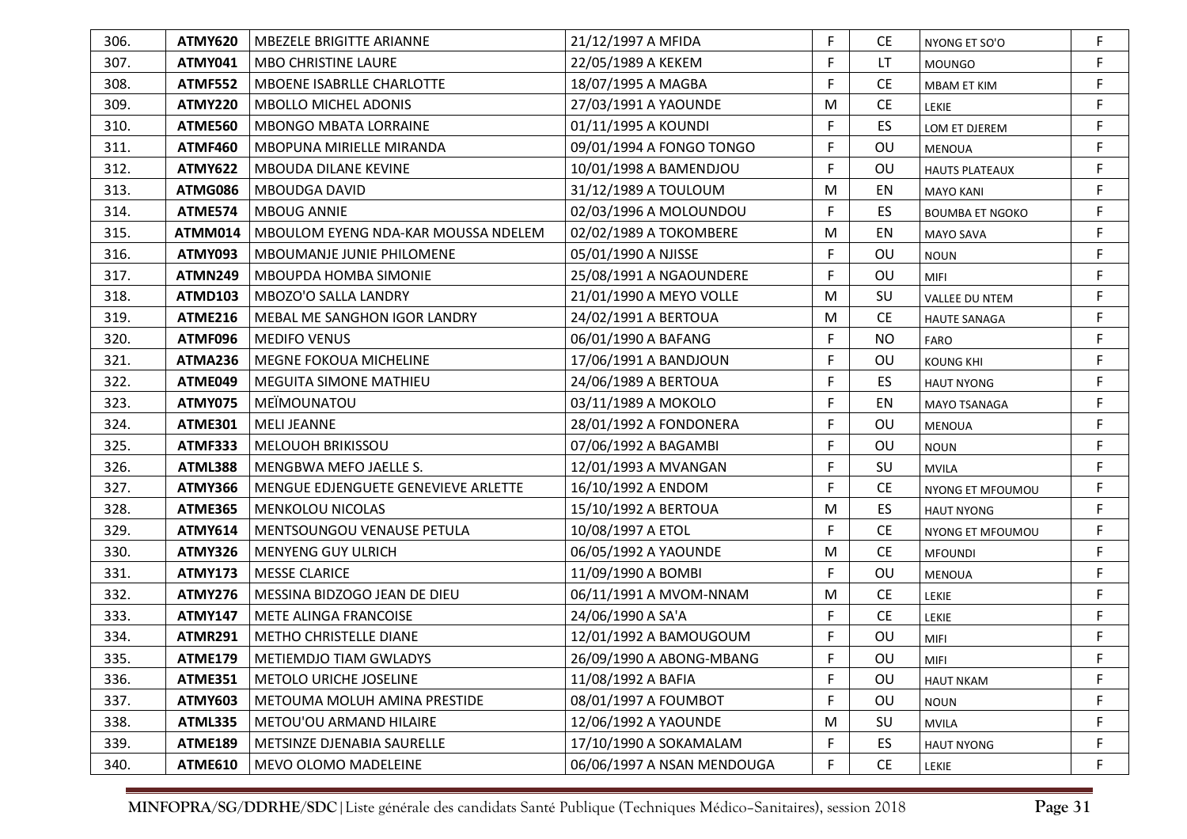| 306. | <b>ATMY620</b> | <b>MBEZELE BRIGITTE ARIANNE</b>     | 21/12/1997 A MFIDA         | F | <b>CE</b> | NYONG ET SO'O          | F           |
|------|----------------|-------------------------------------|----------------------------|---|-----------|------------------------|-------------|
| 307. | <b>ATMY041</b> | <b>MBO CHRISTINE LAURE</b>          | 22/05/1989 A KEKEM         | F | LT.       | <b>MOUNGO</b>          | F           |
| 308. | <b>ATMF552</b> | MBOENE ISABRLLE CHARLOTTE           | 18/07/1995 A MAGBA         | F | <b>CE</b> | <b>MBAM ET KIM</b>     | F           |
| 309. | <b>ATMY220</b> | <b>MBOLLO MICHEL ADONIS</b>         | 27/03/1991 A YAOUNDE       | М | <b>CE</b> | LEKIE                  | F           |
| 310. | ATME560        | <b>MBONGO MBATA LORRAINE</b>        | 01/11/1995 A KOUNDI        | F | ES        | LOM ET DJEREM          | F           |
| 311. | <b>ATMF460</b> | MBOPUNA MIRIELLE MIRANDA            | 09/01/1994 A FONGO TONGO   | F | OU        | <b>MENOUA</b>          | F           |
| 312. | <b>ATMY622</b> | <b>MBOUDA DILANE KEVINE</b>         | 10/01/1998 A BAMENDJOU     | F | <b>OU</b> | <b>HAUTS PLATEAUX</b>  | F           |
| 313. | ATMG086        | MBOUDGA DAVID                       | 31/12/1989 A TOULOUM       | M | EN        | <b>MAYO KANI</b>       | F           |
| 314. | ATME574        | <b>MBOUG ANNIE</b>                  | 02/03/1996 A MOLOUNDOU     | F | ES        | <b>BOUMBA ET NGOKO</b> | F           |
| 315. | <b>ATMM014</b> | MBOULOM EYENG NDA-KAR MOUSSA NDELEM | 02/02/1989 A TOKOMBERE     | M | EN        | <b>MAYO SAVA</b>       | F           |
| 316. | ATMY093        | <b>MBOUMANJE JUNIE PHILOMENE</b>    | 05/01/1990 A NJISSE        | F | OU        | <b>NOUN</b>            | F           |
| 317. | <b>ATMN249</b> | <b>MBOUPDA HOMBA SIMONIE</b>        | 25/08/1991 A NGAOUNDERE    | F | OU        | <b>MIFI</b>            | F           |
| 318. | <b>ATMD103</b> | MBOZO'O SALLA LANDRY                | 21/01/1990 A MEYO VOLLE    | M | SU        | VALLEE DU NTEM         | F           |
| 319. | <b>ATME216</b> | MEBAL ME SANGHON IGOR LANDRY        | 24/02/1991 A BERTOUA       | M | <b>CE</b> | <b>HAUTE SANAGA</b>    | F           |
| 320. | ATMF096        | <b>MEDIFO VENUS</b>                 | 06/01/1990 A BAFANG        | F | <b>NO</b> | FARO                   | F           |
| 321. | ATMA236        | <b>MEGNE FOKOUA MICHELINE</b>       | 17/06/1991 A BANDJOUN      | F | OU        | <b>KOUNG KHI</b>       | F           |
| 322. | ATME049        | <b>MEGUITA SIMONE MATHIEU</b>       | 24/06/1989 A BERTOUA       | F | ES        | <b>HAUT NYONG</b>      | F           |
| 323. | <b>ATMY075</b> | MEIMOUNATOU                         | 03/11/1989 A MOKOLO        | F | EN        | <b>MAYO TSANAGA</b>    | F           |
| 324. | <b>ATME301</b> | <b>MELI JEANNE</b>                  | 28/01/1992 A FONDONERA     | F | OU        | MENOUA                 | F           |
| 325. | <b>ATMF333</b> | <b>MELOUOH BRIKISSOU</b>            | 07/06/1992 A BAGAMBI       | F | OU        | <b>NOUN</b>            | F           |
| 326. | <b>ATML388</b> | MENGBWA MEFO JAELLE S.              | 12/01/1993 A MVANGAN       | F | SU        | <b>MVILA</b>           | F           |
| 327. | <b>ATMY366</b> | MENGUE EDJENGUETE GENEVIEVE ARLETTE | 16/10/1992 A ENDOM         | F | <b>CE</b> | NYONG ET MFOUMOU       | F           |
| 328. | <b>ATME365</b> | <b>MENKOLOU NICOLAS</b>             | 15/10/1992 A BERTOUA       | M | ES        | <b>HAUT NYONG</b>      | F           |
| 329. | <b>ATMY614</b> | MENTSOUNGOU VENAUSE PETULA          | 10/08/1997 A ETOL          | F | <b>CE</b> | NYONG ET MFOUMOU       | F           |
| 330. | <b>ATMY326</b> | <b>MENYENG GUY ULRICH</b>           | 06/05/1992 A YAOUNDE       | M | <b>CE</b> | <b>MFOUNDI</b>         | F           |
| 331. | <b>ATMY173</b> | <b>MESSE CLARICE</b>                | 11/09/1990 A BOMBI         | F | OU        | <b>MENOUA</b>          | F           |
| 332. | <b>ATMY276</b> | MESSINA BIDZOGO JEAN DE DIEU        | 06/11/1991 A MVOM-NNAM     | M | <b>CE</b> | LEKIE                  | F           |
| 333. | <b>ATMY147</b> | METE ALINGA FRANCOISE               | 24/06/1990 A SA'A          | F | <b>CE</b> | LEKIE                  | F           |
| 334. | <b>ATMR291</b> | METHO CHRISTELLE DIANE              | 12/01/1992 A BAMOUGOUM     | F | OU        | MIFI                   | $\mathsf F$ |
| 335. | ATME179        | METIEMDJO TIAM GWLADYS              | 26/09/1990 A ABONG-MBANG   | F | OU        | MIFI                   |             |
| 336. | <b>ATME351</b> | <b>METOLO URICHE JOSELINE</b>       | 11/08/1992 A BAFIA         | F | OU        | <b>HAUT NKAM</b>       | F           |
| 337. | <b>ATMY603</b> | METOUMA MOLUH AMINA PRESTIDE        | 08/01/1997 A FOUMBOT       | F | OU        | <b>NOUN</b>            | F           |
| 338. | <b>ATML335</b> | METOU'OU ARMAND HILAIRE             | 12/06/1992 A YAOUNDE       | M | SU        | <b>MVILA</b>           | F           |
| 339. | <b>ATME189</b> | METSINZE DJENABIA SAURELLE          | 17/10/1990 A SOKAMALAM     | F | ES        | <b>HAUT NYONG</b>      | F           |
| 340. | <b>ATME610</b> | MEVO OLOMO MADELEINE                | 06/06/1997 A NSAN MENDOUGA | F | <b>CE</b> | LEKIE                  | F           |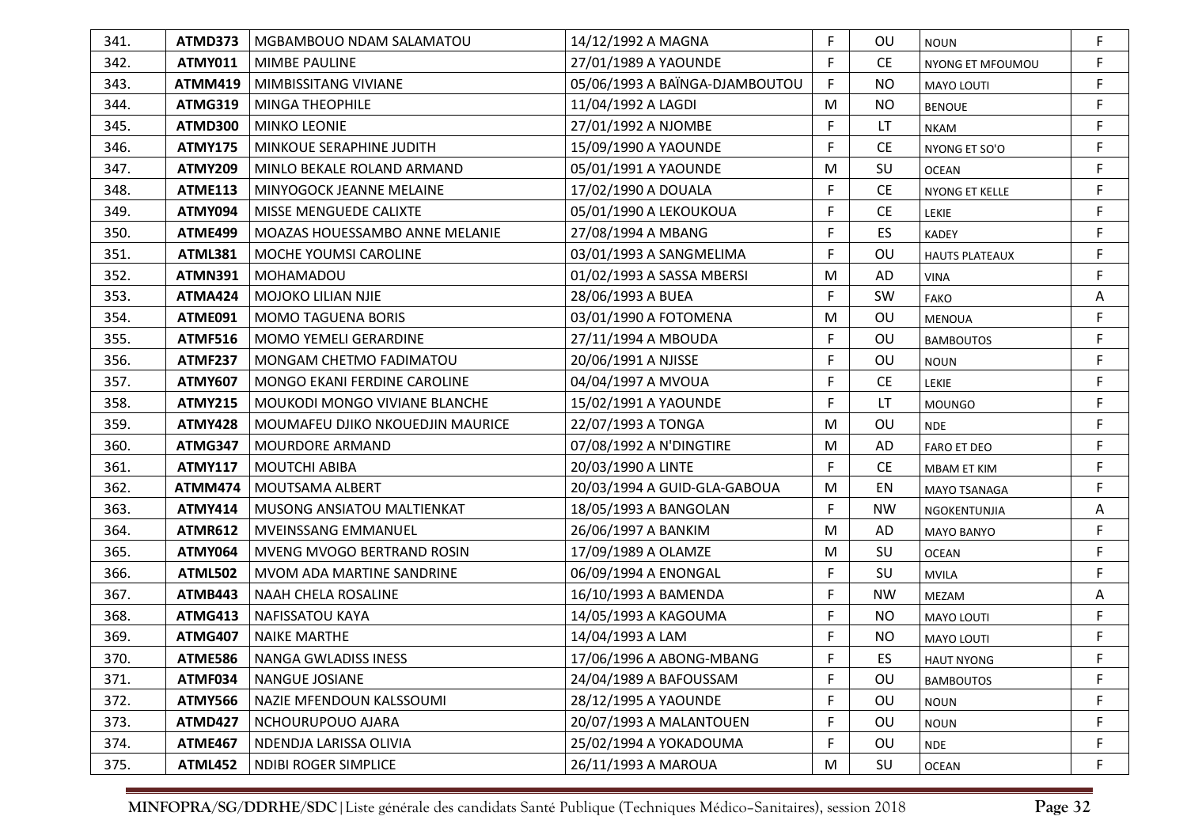| 341. | ATMD373        | MGBAMBOUO NDAM SALAMATOU              | 14/12/1992 A MAGNA             | F           | <b>OU</b> | <b>NOUN</b>           | F |
|------|----------------|---------------------------------------|--------------------------------|-------------|-----------|-----------------------|---|
| 342. | <b>ATMY011</b> | <b>MIMBE PAULINE</b>                  | 27/01/1989 A YAOUNDE           | F           | <b>CE</b> | NYONG ET MFOUMOU      | F |
| 343. | <b>ATMM419</b> | MIMBISSITANG VIVIANE                  | 05/06/1993 A BAÏNGA-DJAMBOUTOU | F           | <b>NO</b> | <b>MAYO LOUTI</b>     | F |
| 344. | <b>ATMG319</b> | MINGA THEOPHILE                       | 11/04/1992 A LAGDI             | M           | <b>NO</b> | <b>BENOUE</b>         | F |
| 345. | ATMD300        | <b>MINKO LEONIE</b>                   | 27/01/1992 A NJOMBE            | F           | LT        | <b>NKAM</b>           | F |
| 346. | <b>ATMY175</b> | MINKOUE SERAPHINE JUDITH              | 15/09/1990 A YAOUNDE           | F           | <b>CE</b> | NYONG ET SO'O         | F |
| 347. | <b>ATMY209</b> | MINLO BEKALE ROLAND ARMAND            | 05/01/1991 A YAOUNDE           | M           | SU        | <b>OCEAN</b>          | F |
| 348. | <b>ATME113</b> | MINYOGOCK JEANNE MELAINE              | 17/02/1990 A DOUALA            | F           | <b>CE</b> | NYONG ET KELLE        | F |
| 349. | ATMY094        | <b>MISSE MENGUEDE CALIXTE</b>         | 05/01/1990 A LEKOUKOUA         | F           | <b>CE</b> | <b>LEKIE</b>          | F |
| 350. | ATME499        | <b>MOAZAS HOUESSAMBO ANNE MELANIE</b> | 27/08/1994 A MBANG             | F           | <b>ES</b> | <b>KADEY</b>          | F |
| 351. | <b>ATML381</b> | <b>MOCHE YOUMSI CAROLINE</b>          | 03/01/1993 A SANGMELIMA        | F           | OU        | <b>HAUTS PLATEAUX</b> | F |
| 352. | <b>ATMN391</b> | l MOHAMADOU                           | 01/02/1993 A SASSA MBERSI      | M           | AD        | <b>VINA</b>           | F |
| 353. | <b>ATMA424</b> | MOJOKO LILIAN NJIE                    | 28/06/1993 A BUEA              | F           | SW        | <b>FAKO</b>           | Α |
| 354. | ATME091        | <b>MOMO TAGUENA BORIS</b>             | 03/01/1990 A FOTOMENA          | M           | OU        | <b>MENOUA</b>         | F |
| 355. | <b>ATMF516</b> | <b>MOMO YEMELI GERARDINE</b>          | 27/11/1994 A MBOUDA            | F           | OU        | <b>BAMBOUTOS</b>      | F |
| 356. | <b>ATMF237</b> | MONGAM CHETMO FADIMATOU               | 20/06/1991 A NJISSE            | F           | OU        | <b>NOUN</b>           | F |
| 357. | <b>ATMY607</b> | MONGO EKANI FERDINE CAROLINE          | 04/04/1997 A MVOUA             | F           | <b>CE</b> | <b>LEKIE</b>          | F |
| 358. | <b>ATMY215</b> | MOUKODI MONGO VIVIANE BLANCHE         | 15/02/1991 A YAOUNDE           | F           | LT        | <b>MOUNGO</b>         | F |
| 359. | <b>ATMY428</b> | MOUMAFEU DJIKO NKOUEDJIN MAURICE      | 22/07/1993 A TONGA             | M           | OU        | <b>NDE</b>            | F |
| 360. | ATMG347        | MOURDORE ARMAND                       | 07/08/1992 A N'DINGTIRE        | M           | AD        | <b>FARO ET DEO</b>    | F |
| 361. | <b>ATMY117</b> | MOUTCHI ABIBA                         | 20/03/1990 A LINTE             | F           | <b>CE</b> | <b>MBAM ET KIM</b>    | F |
| 362. | <b>ATMM474</b> | MOUTSAMA ALBERT                       | 20/03/1994 A GUID-GLA-GABOUA   | M           | EN        | MAYO TSANAGA          | F |
| 363. | <b>ATMY414</b> | MUSONG ANSIATOU MALTIENKAT            | 18/05/1993 A BANGOLAN          | F.          | <b>NW</b> | NGOKENTUNJIA          | A |
| 364. | <b>ATMR612</b> | <b>MVEINSSANG EMMANUEL</b>            | 26/06/1997 A BANKIM            | M           | AD        | MAYO BANYO            | F |
| 365. | <b>ATMY064</b> | MVENG MVOGO BERTRAND ROSIN            | 17/09/1989 A OLAMZE            | M           | SU        | <b>OCEAN</b>          | F |
| 366. | <b>ATML502</b> | MVOM ADA MARTINE SANDRINE             | 06/09/1994 A ENONGAL           | $\mathsf F$ | SU        | <b>MVILA</b>          | F |
| 367. | ATMB443        | <b>NAAH CHELA ROSALINE</b>            | 16/10/1993 A BAMENDA           | F           | <b>NW</b> | MEZAM                 | Α |
| 368. | <b>ATMG413</b> | <b>NAFISSATOU KAYA</b>                | 14/05/1993 A KAGOUMA           | F           | <b>NO</b> | <b>MAYO LOUTI</b>     | F |
| 369. | <b>ATMG407</b> | <b>NAIKE MARTHE</b>                   | 14/04/1993 A LAM               | F           | <b>NO</b> | MAYO LOUTI            | F |
| 370. | ATME586        | NANGA GWLADISS INESS                  | 17/06/1996 A ABONG-MBANG       | E           | ES        | <b>HAUT NYONG</b>     |   |
| 371. | ATMF034        | NANGUE JOSIANE                        | 24/04/1989 A BAFOUSSAM         | F.          | OU        | <b>BAMBOUTOS</b>      | F |
| 372. | <b>ATMY566</b> | NAZIE MFENDOUN KALSSOUMI              | 28/12/1995 A YAOUNDE           | F           | <b>OU</b> | <b>NOUN</b>           | F |
| 373. | <b>ATMD427</b> | NCHOURUPOUO AJARA                     | 20/07/1993 A MALANTOUEN        | F           | OU        | <b>NOUN</b>           | F |
| 374. | <b>ATME467</b> | NDENDJA LARISSA OLIVIA                | 25/02/1994 A YOKADOUMA         | F           | OU        | <b>NDE</b>            | F |
| 375. | <b>ATML452</b> | <b>NDIBI ROGER SIMPLICE</b>           | 26/11/1993 A MAROUA            | M           | SU        | <b>OCEAN</b>          | F |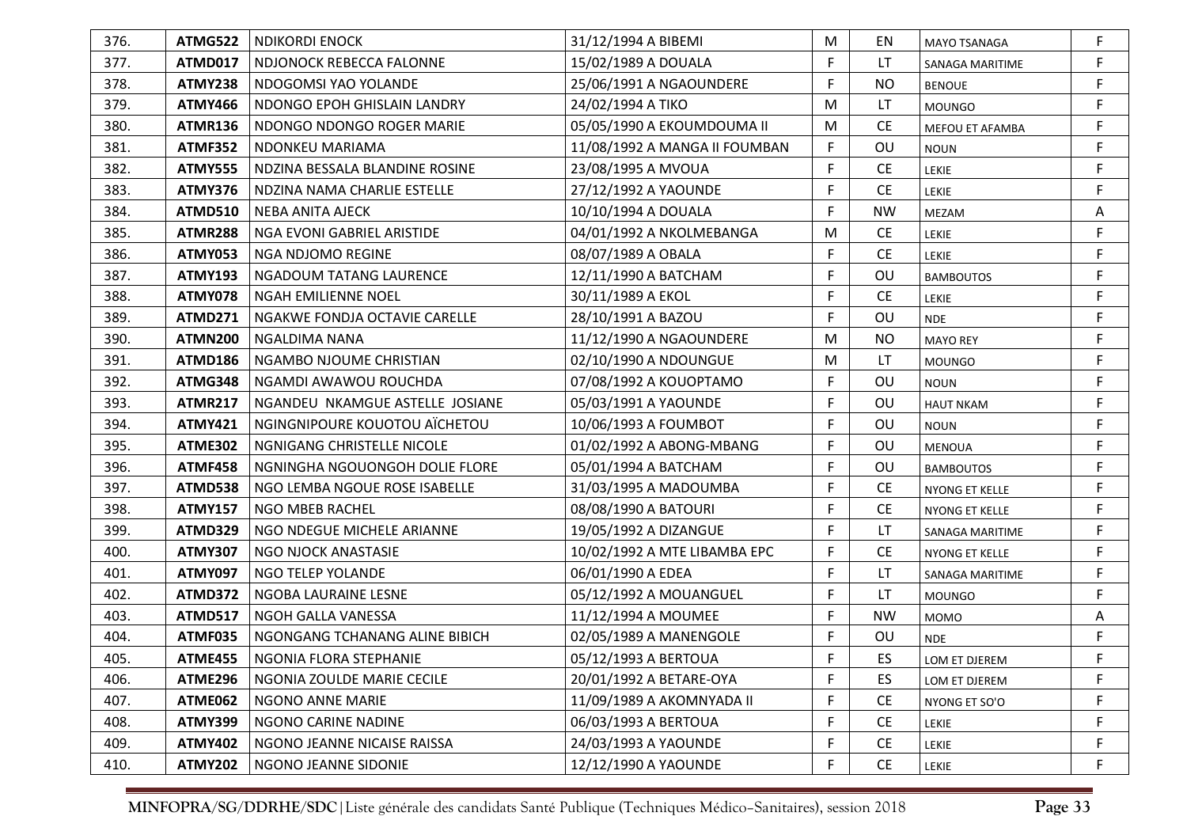| 376. | ATMG522        | NDIKORDI ENOCK                   | 31/12/1994 A BIBEMI           | M  | EN.       | <b>MAYO TSANAGA</b>   | F |
|------|----------------|----------------------------------|-------------------------------|----|-----------|-----------------------|---|
| 377. | ATMD017        | NDJONOCK REBECCA FALONNE         | 15/02/1989 A DOUALA           | F  | <b>LT</b> | SANAGA MARITIME       | F |
| 378. | ATMY238        | NDOGOMSI YAO YOLANDE             | 25/06/1991 A NGAOUNDERE       | F  | <b>NO</b> | <b>BENOUE</b>         | F |
| 379. | <b>ATMY466</b> | NDONGO EPOH GHISLAIN LANDRY      | 24/02/1994 A TIKO             | M  | LT        | <b>MOUNGO</b>         | F |
| 380. | ATMR136        | NDONGO NDONGO ROGER MARIE        | 05/05/1990 A EKOUMDOUMA II    | M  | <b>CE</b> | MEFOU ET AFAMBA       | F |
| 381. | ATMF352        | NDONKEU MARIAMA                  | 11/08/1992 A MANGA II FOUMBAN | F  | OU        | <b>NOUN</b>           | F |
| 382. | <b>ATMY555</b> | NDZINA BESSALA BLANDINE ROSINE   | 23/08/1995 A MVOUA            | F  | <b>CE</b> | LEKIE                 | F |
| 383. | ATMY376        | NDZINA NAMA CHARLIE ESTELLE      | 27/12/1992 A YAOUNDE          | F  | <b>CE</b> | LEKIE                 | F |
| 384. | ATMD510        | NEBA ANITA AJECK                 | 10/10/1994 A DOUALA           | F  | <b>NW</b> | MEZAM                 | Α |
| 385. | <b>ATMR288</b> | NGA EVONI GABRIEL ARISTIDE       | 04/01/1992 A NKOLMEBANGA      | M  | <b>CE</b> | LEKIE                 | F |
| 386. | <b>ATMY053</b> | NGA NDJOMO REGINE                | 08/07/1989 A OBALA            | F  | <b>CE</b> | LEKIE                 | F |
| 387. | <b>ATMY193</b> | NGADOUM TATANG LAURENCE          | 12/11/1990 A BATCHAM          | F  | OU        | <b>BAMBOUTOS</b>      | F |
| 388. | ATMY078        | NGAH EMILIENNE NOEL              | 30/11/1989 A EKOL             | F  | <b>CE</b> | LEKIE                 | F |
| 389. | ATMD271        | NGAKWE FONDJA OCTAVIE CARELLE    | 28/10/1991 A BAZOU            | F  | OU        | <b>NDE</b>            | F |
| 390. | <b>ATMN200</b> | NGALDIMA NANA                    | 11/12/1990 A NGAOUNDERE       | M  | NO.       | <b>MAYO REY</b>       | F |
| 391. | ATMD186        | NGAMBO NJOUME CHRISTIAN          | 02/10/1990 A NDOUNGUE         | M  | LT        | <b>MOUNGO</b>         | F |
| 392. | ATMG348        | NGAMDI AWAWOU ROUCHDA            | 07/08/1992 A KOUOPTAMO        | F  | OU        | <b>NOUN</b>           | F |
| 393. | <b>ATMR217</b> | NGANDEU NKAMGUE ASTELLE JOSIANE  | 05/03/1991 A YAOUNDE          | F  | OU        | <b>HAUT NKAM</b>      | F |
| 394. | <b>ATMY421</b> | NGINGNIPOURE KOUOTOU AÏCHETOU    | 10/06/1993 A FOUMBOT          | F  | OU        | <b>NOUN</b>           | F |
| 395. | <b>ATME302</b> | NGNIGANG CHRISTELLE NICOLE       | 01/02/1992 A ABONG-MBANG      | F  | OU        | <b>MENOUA</b>         | F |
| 396. | <b>ATMF458</b> | NGNINGHA NGOUONGOH DOLIE FLORE   | 05/01/1994 A BATCHAM          | F. | OU        | <b>BAMBOUTOS</b>      | F |
| 397. | ATMD538        | NGO LEMBA NGOUE ROSE ISABELLE    | 31/03/1995 A MADOUMBA         | F  | <b>CE</b> | <b>NYONG ET KELLE</b> | F |
| 398. | <b>ATMY157</b> | NGO MBEB RACHEL                  | 08/08/1990 A BATOURI          | F  | <b>CE</b> | NYONG ET KELLE        | F |
| 399. | ATMD329        | NGO NDEGUE MICHELE ARIANNE       | 19/05/1992 A DIZANGUE         | F  | LT.       | SANAGA MARITIME       | F |
| 400. | <b>ATMY307</b> | NGO NJOCK ANASTASIE              | 10/02/1992 A MTE LIBAMBA EPC  | F  | <b>CE</b> | NYONG ET KELLE        | F |
| 401. | <b>ATMY097</b> | <b>NGO TELEP YOLANDE</b>         | 06/01/1990 A EDEA             | F  | LT        | SANAGA MARITIME       | F |
| 402. | ATMD372        | NGOBA LAURAINE LESNE             | 05/12/1992 A MOUANGUEL        | F  | LT.       | <b>MOUNGO</b>         | F |
| 403. | <b>ATMD517</b> | NGOH GALLA VANESSA               | 11/12/1994 A MOUMEE           | F  | <b>NW</b> | <b>MOMO</b>           | Α |
| 404. | ATMF035        | NGONGANG TCHANANG ALINE BIBICH   | 02/05/1989 A MANENGOLE        | F  | OU        | <b>NDE</b>            | F |
| 405. |                | ATME455   NGONIA FLORA STEPHANIE | 05/12/1993 A BERTOUA          | F  | ES        | LOM ET DJEREM         |   |
| 406. | ATME296        | NGONIA ZOULDE MARIE CECILE       | 20/01/1992 A BETARE-OYA       | F  | <b>ES</b> | LOM ET DJEREM         | F |
| 407. | ATME062        | NGONO ANNE MARIE                 | 11/09/1989 A AKOMNYADA II     | F  | <b>CE</b> | NYONG ET SO'O         | F |
| 408. | <b>ATMY399</b> | NGONO CARINE NADINE              | 06/03/1993 A BERTOUA          | F  | <b>CE</b> | LEKIE                 | F |
| 409. | <b>ATMY402</b> | NGONO JEANNE NICAISE RAISSA      | 24/03/1993 A YAOUNDE          | F  | <b>CE</b> | LEKIE                 | F |
| 410. | <b>ATMY202</b> | NGONO JEANNE SIDONIE             | 12/12/1990 A YAOUNDE          | F  | <b>CE</b> | LEKIE                 | F |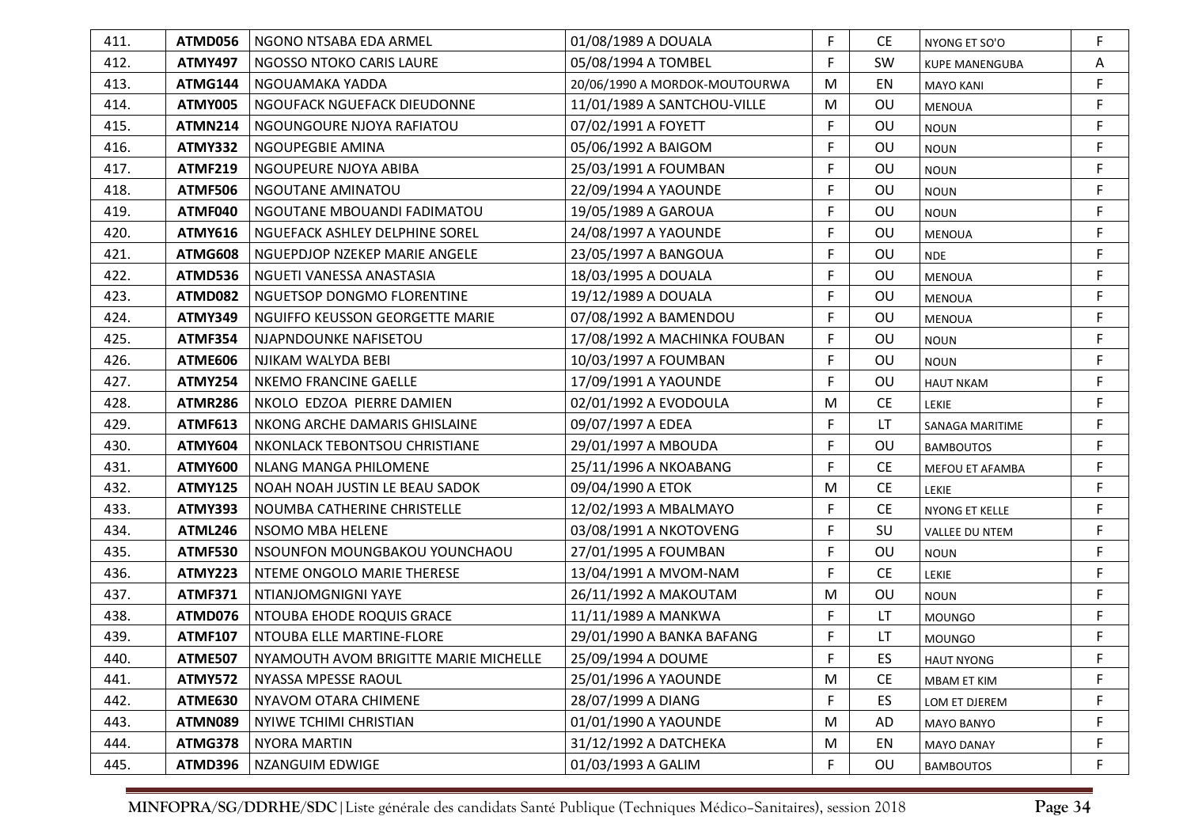| 411. | ATMD056        | l NGONO NTSABA EDA ARMEL              | 01/08/1989 A DOUALA           | F | <b>CE</b> | NYONG ET SO'O         | F |
|------|----------------|---------------------------------------|-------------------------------|---|-----------|-----------------------|---|
| 412. | <b>ATMY497</b> | NGOSSO NTOKO CARIS LAURE              | 05/08/1994 A TOMBEL           | F | SW        | <b>KUPE MANENGUBA</b> | Α |
| 413. | ATMG144        | NGOUAMAKA YADDA                       | 20/06/1990 A MORDOK-MOUTOURWA | M | EN        | <b>MAYO KANI</b>      | F |
| 414. | ATMY005        | NGOUFACK NGUEFACK DIEUDONNE           | 11/01/1989 A SANTCHOU-VILLE   | M | OU        | <b>MENOUA</b>         | F |
| 415. | ATMN214        | NGOUNGOURE NJOYA RAFIATOU             | 07/02/1991 A FOYETT           | F | OU        | <b>NOUN</b>           | F |
| 416. | ATMY332        | NGOUPEGBIE AMINA                      | 05/06/1992 A BAIGOM           | F | OU        | <b>NOUN</b>           | F |
| 417. | <b>ATMF219</b> | NGOUPEURE NJOYA ABIBA                 | 25/03/1991 A FOUMBAN          | F | OU        | <b>NOUN</b>           | F |
| 418. | <b>ATMF506</b> | NGOUTANE AMINATOU                     | 22/09/1994 A YAOUNDE          | F | OU        | <b>NOUN</b>           | F |
| 419. | ATMF040        | NGOUTANE MBOUANDI FADIMATOU           | 19/05/1989 A GAROUA           | F | OU        | <b>NOUN</b>           | F |
| 420. | <b>ATMY616</b> | NGUEFACK ASHLEY DELPHINE SOREL        | 24/08/1997 A YAOUNDE          | F | OU        | <b>MENOUA</b>         | F |
| 421. | <b>ATMG608</b> | NGUEPDJOP NZEKEP MARIE ANGELE         | 23/05/1997 A BANGOUA          | F | OU        | <b>NDE</b>            | F |
| 422. | <b>ATMD536</b> | NGUETI VANESSA ANASTASIA              | 18/03/1995 A DOUALA           | F | OU        | MENOUA                | F |
| 423. | ATMD082        | NGUETSOP DONGMO FLORENTINE            | 19/12/1989 A DOUALA           | F | OU        | MENOUA                | F |
| 424. | <b>ATMY349</b> | NGUIFFO KEUSSON GEORGETTE MARIE       | 07/08/1992 A BAMENDOU         | F | OU        | <b>MENOUA</b>         | F |
| 425. | <b>ATMF354</b> | NJAPNDOUNKE NAFISETOU                 | 17/08/1992 A MACHINKA FOUBAN  | F | OU        | <b>NOUN</b>           | F |
| 426. | <b>ATME606</b> | NJIKAM WALYDA BEBI                    | 10/03/1997 A FOUMBAN          | F | OU        | <b>NOUN</b>           | F |
| 427. | <b>ATMY254</b> | <b>NKEMO FRANCINE GAELLE</b>          | 17/09/1991 A YAOUNDE          | F | OU        | <b>HAUT NKAM</b>      | F |
| 428. | <b>ATMR286</b> | NKOLO EDZOA PIERRE DAMIEN             | 02/01/1992 A EVODOULA         | M | <b>CE</b> | <b>LEKIE</b>          | F |
| 429. | <b>ATMF613</b> | NKONG ARCHE DAMARIS GHISLAINE         | 09/07/1997 A EDEA             | F | LT        | SANAGA MARITIME       | F |
| 430. | <b>ATMY604</b> | NKONLACK TEBONTSOU CHRISTIANE         | 29/01/1997 A MBOUDA           | F | OU        | <b>BAMBOUTOS</b>      | F |
| 431. | <b>ATMY600</b> | NLANG MANGA PHILOMENE                 | 25/11/1996 A NKOABANG         | F | <b>CE</b> | MEFOU ET AFAMBA       | F |
| 432. | <b>ATMY125</b> | NOAH NOAH JUSTIN LE BEAU SADOK        | 09/04/1990 A ETOK             | M | <b>CE</b> | <b>LEKIE</b>          | F |
| 433. | <b>ATMY393</b> | NOUMBA CATHERINE CHRISTELLE           | 12/02/1993 A MBALMAYO         | F | <b>CE</b> | NYONG ET KELLE        | F |
| 434. | <b>ATML246</b> | NSOMO MBA HELENE                      | 03/08/1991 A NKOTOVENG        | F | SU        | VALLEE DU NTEM        | F |
| 435. | <b>ATMF530</b> | NSOUNFON MOUNGBAKOU YOUNCHAOU         | 27/01/1995 A FOUMBAN          | F | OU        | <b>NOUN</b>           | F |
| 436. | <b>ATMY223</b> | NTEME ONGOLO MARIE THERESE            | 13/04/1991 A MVOM-NAM         | F | <b>CE</b> | <b>LEKIE</b>          | F |
| 437. | <b>ATMF371</b> | NTIANJOMGNIGNI YAYE                   | 26/11/1992 A MAKOUTAM         | M | OU        | <b>NOUN</b>           | F |
| 438. | ATMD076        | NTOUBA EHODE ROQUIS GRACE             | 11/11/1989 A MANKWA           | F | LT.       | <b>MOUNGO</b>         | F |
| 439. | <b>ATMF107</b> | NTOUBA ELLE MARTINE-FLORE             | 29/01/1990 A BANKA BAFANG     | F | <b>LT</b> | <b>MOUNGO</b>         | F |
| 440. | ATME507        | NYAMOUTH AVOM BRIGITTE MARIE MICHELLE | 25/09/1994 A DOUME            |   | ES        | <b>HAUT NYONG</b>     |   |
| 441. | <b>ATMY572</b> | NYASSA MPESSE RAOUL                   | 25/01/1996 A YAOUNDE          | M | <b>CE</b> | <b>MBAM ET KIM</b>    | F |
| 442. | <b>ATME630</b> | NYAVOM OTARA CHIMENE                  | 28/07/1999 A DIANG            | F | ES        | LOM ET DJEREM         | F |
| 443. | ATMN089        | NYIWE TCHIMI CHRISTIAN                | 01/01/1990 A YAOUNDE          | M | AD        | <b>MAYO BANYO</b>     | F |
| 444. | <b>ATMG378</b> | NYORA MARTIN                          | 31/12/1992 A DATCHEKA         | M | EN        | <b>MAYO DANAY</b>     | F |
| 445. | ATMD396        | NZANGUIM EDWIGE                       | 01/03/1993 A GALIM            | F | OU        | <b>BAMBOUTOS</b>      | F |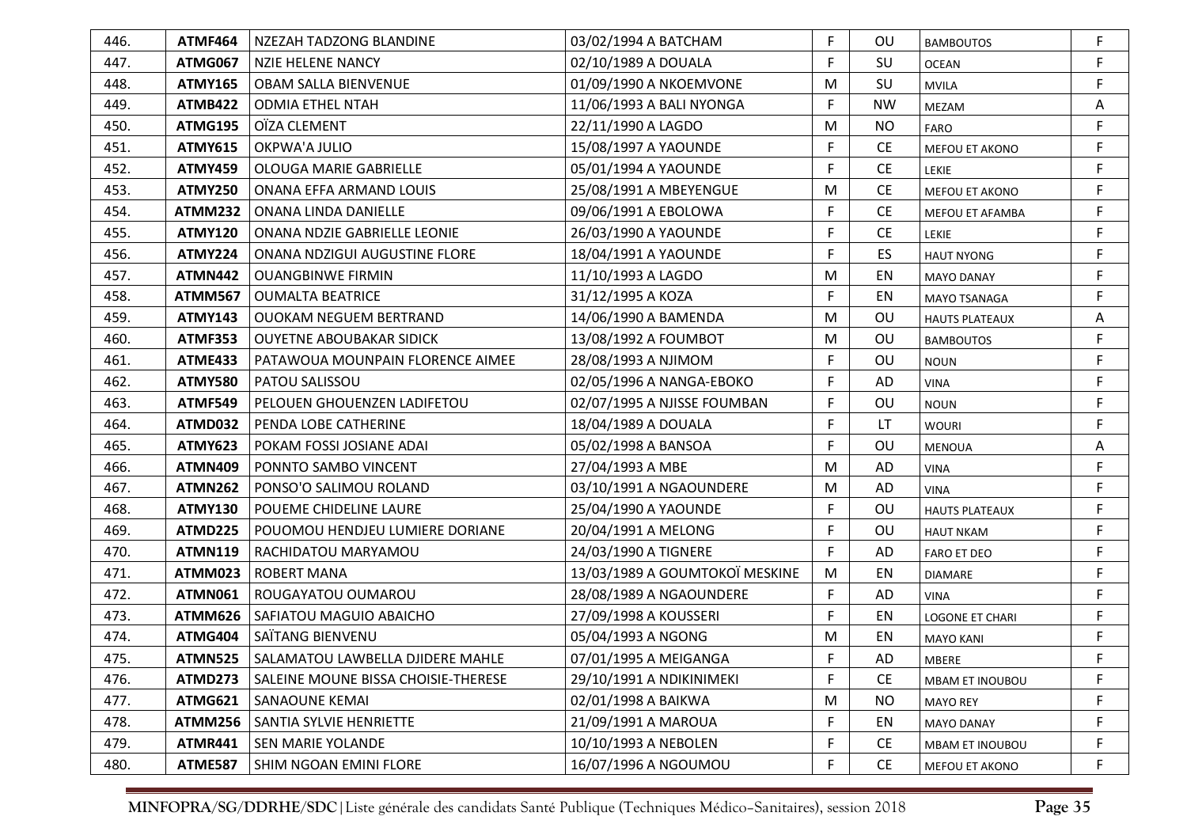| 446. | ATMF464        | NZEZAH TADZONG BLANDINE                 | 03/02/1994 A BATCHAM           | F.          | OU        | <b>BAMBOUTOS</b>       | F |
|------|----------------|-----------------------------------------|--------------------------------|-------------|-----------|------------------------|---|
| 447. | <b>ATMG067</b> | NZIE HELENE NANCY                       | 02/10/1989 A DOUALA            | F           | SU        | <b>OCEAN</b>           | F |
| 448. | <b>ATMY165</b> | <b>OBAM SALLA BIENVENUE</b>             | 01/09/1990 A NKOEMVONE         | M           | SU        | <b>MVILA</b>           | F |
| 449. | <b>ATMB422</b> | <b>ODMIA ETHEL NTAH</b>                 | 11/06/1993 A BALI NYONGA       | F           | <b>NW</b> | MEZAM                  | Α |
| 450. | <b>ATMG195</b> | OÏZA CLEMENT                            | 22/11/1990 A LAGDO             | M           | <b>NO</b> | FARO                   | F |
| 451. | <b>ATMY615</b> | OKPWA'A JULIO                           | 15/08/1997 A YAOUNDE           | F           | <b>CE</b> | MEFOU ET AKONO         | F |
| 452. | <b>ATMY459</b> | <b>OLOUGA MARIE GABRIELLE</b>           | 05/01/1994 A YAOUNDE           | F           | <b>CE</b> | <b>LEKIE</b>           | F |
| 453. | <b>ATMY250</b> | ONANA EFFA ARMAND LOUIS                 | 25/08/1991 A MBEYENGUE         | M           | <b>CE</b> | MEFOU ET AKONO         | F |
| 454. | ATMM232        | ONANA LINDA DANIELLE                    | 09/06/1991 A EBOLOWA           | F           | <b>CE</b> | MEFOU ET AFAMBA        | F |
| 455. | <b>ATMY120</b> | ONANA NDZIE GABRIELLE LEONIE            | 26/03/1990 A YAOUNDE           | F           | <b>CE</b> | LEKIE                  | F |
| 456. | <b>ATMY224</b> | ONANA NDZIGUI AUGUSTINE FLORE           | 18/04/1991 A YAOUNDE           | F           | ES        | <b>HAUT NYONG</b>      | F |
| 457. | <b>ATMN442</b> | <b>OUANGBINWE FIRMIN</b>                | 11/10/1993 A LAGDO             | M           | EN        | <b>MAYO DANAY</b>      | F |
| 458. | <b>ATMM567</b> | <b>OUMALTA BEATRICE</b>                 | 31/12/1995 A KOZA              | F.          | EN        | MAYO TSANAGA           | F |
| 459. | <b>ATMY143</b> | <b>OUOKAM NEGUEM BERTRAND</b>           | 14/06/1990 A BAMENDA           | M           | OU        | <b>HAUTS PLATEAUX</b>  | Α |
| 460. | <b>ATMF353</b> | <b>OUYETNE ABOUBAKAR SIDICK</b>         | 13/08/1992 A FOUMBOT           | M           | OU        | <b>BAMBOUTOS</b>       | F |
| 461. | <b>ATME433</b> | <b>PATAWOUA MOUNPAIN FLORENCE AIMEE</b> | 28/08/1993 A NJIMOM            | F           | OU        | <b>NOUN</b>            | F |
| 462. | <b>ATMY580</b> | <b>PATOU SALISSOU</b>                   | 02/05/1996 A NANGA-EBOKO       | F           | AD        | <b>VINA</b>            | F |
| 463. | <b>ATMF549</b> | PELOUEN GHOUENZEN LADIFETOU             | 02/07/1995 A NJISSE FOUMBAN    | F           | OU        | <b>NOUN</b>            | F |
| 464. | ATMD032        | PENDA LOBE CATHERINE                    | 18/04/1989 A DOUALA            | F           | LT        | <b>WOURI</b>           | F |
| 465. | <b>ATMY623</b> | POKAM FOSSI JOSIANE ADAI                | 05/02/1998 A BANSOA            | F           | OU        | <b>MENOUA</b>          | A |
| 466. | <b>ATMN409</b> | PONNTO SAMBO VINCENT                    | 27/04/1993 A MBE               | M           | AD        | <b>VINA</b>            | F |
| 467. | <b>ATMN262</b> | PONSO'O SALIMOU ROLAND                  | 03/10/1991 A NGAOUNDERE        | M           | AD        | <b>VINA</b>            | F |
| 468. | <b>ATMY130</b> | POUEME CHIDELINE LAURE                  | 25/04/1990 A YAOUNDE           | F           | OU        | <b>HAUTS PLATEAUX</b>  | F |
| 469. | <b>ATMD225</b> | POUOMOU HENDJEU LUMIERE DORIANE         | 20/04/1991 A MELONG            | F           | OU        | <b>HAUT NKAM</b>       | F |
| 470. | <b>ATMN119</b> | RACHIDATOU MARYAMOU                     | 24/03/1990 A TIGNERE           | F.          | AD        | <b>FARO ET DEO</b>     | F |
| 471. | ATMM023        | <b>ROBERT MANA</b>                      | 13/03/1989 A GOUMTOKOÏ MESKINE | M           | EN        | <b>DIAMARE</b>         | F |
| 472. | <b>ATMN061</b> | ROUGAYATOU OUMAROU                      | 28/08/1989 A NGAOUNDERE        | $\mathsf F$ | AD        | <b>VINA</b>            | F |
| 473. | ATMM626        | SAFIATOU MAGUIO ABAICHO                 | 27/09/1998 A KOUSSERI          | F.          | EN        | LOGONE ET CHARI        | F |
| 474. | ATMG404        | SAÏTANG BIENVENU                        | 05/04/1993 A NGONG             | M           | EN        | <b>MAYO KANI</b>       | F |
| 475. | <b>ATMN525</b> | SALAMATOU LAWBELLA DJIDERE MAHLE        | 07/01/1995 A MEIGANGA          | E           | AD        | MBERE                  |   |
| 476. | ATMD273        | SALEINE MOUNE BISSA CHOISIE-THERESE     | 29/10/1991 A NDIKINIMEKI       | F           | <b>CE</b> | <b>MBAM ET INOUBOU</b> | F |
| 477. | <b>ATMG621</b> | SANAOUNE KEMAI                          | 02/01/1998 A BAIKWA            | M           | <b>NO</b> | <b>MAYO REY</b>        | F |
| 478. | <b>ATMM256</b> | SANTIA SYLVIE HENRIETTE                 | 21/09/1991 A MAROUA            | F           | EN        | <b>MAYO DANAY</b>      | F |
| 479. | <b>ATMR441</b> | SEN MARIE YOLANDE                       | 10/10/1993 A NEBOLEN           | F           | <b>CE</b> | MBAM ET INOUBOU        | F |
| 480. | <b>ATME587</b> | SHIM NGOAN EMINI FLORE                  | 16/07/1996 A NGOUMOU           | F           | <b>CE</b> | MEFOU ET AKONO         | F |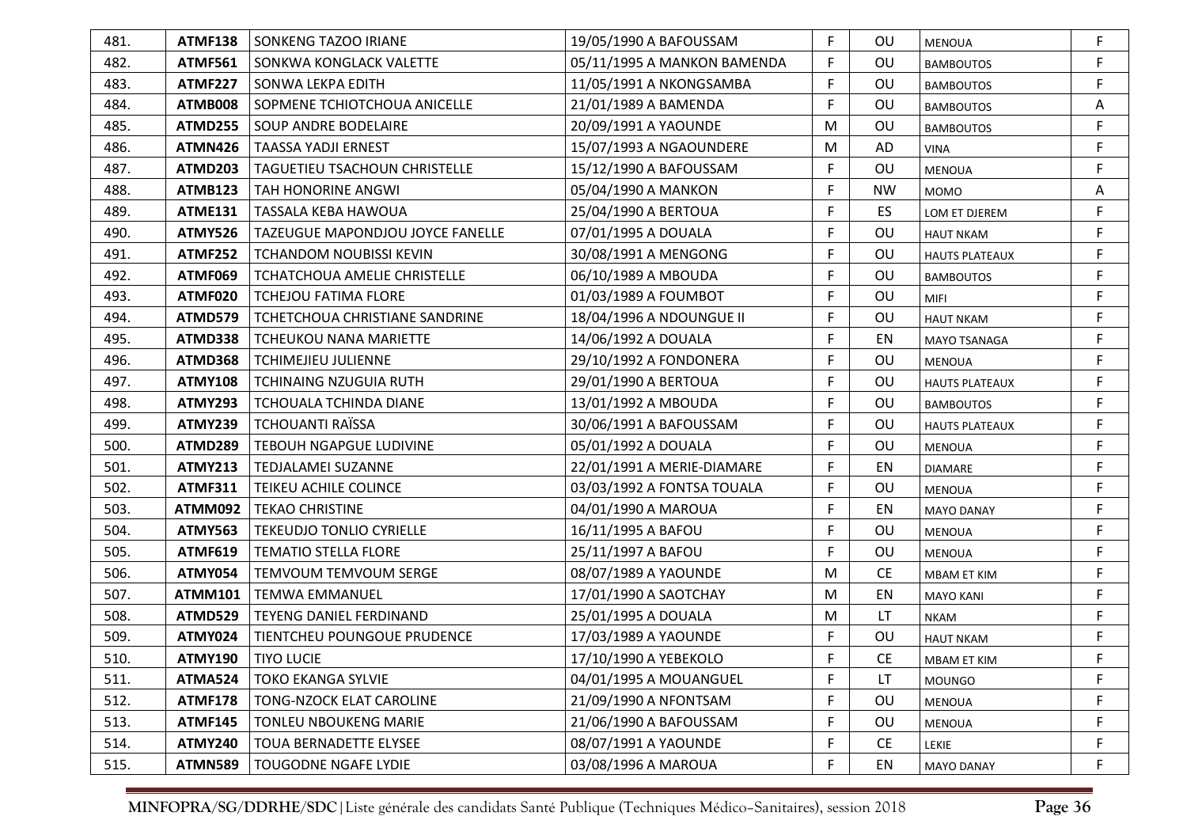| 481. | ATMF138        | SONKENG TAZOO IRIANE                | 19/05/1990 A BAFOUSSAM      | F. | OU        | <b>MENOUA</b>         | F           |
|------|----------------|-------------------------------------|-----------------------------|----|-----------|-----------------------|-------------|
| 482. | <b>ATMF561</b> | SONKWA KONGLACK VALETTE             | 05/11/1995 A MANKON BAMENDA | F  | OU        | <b>BAMBOUTOS</b>      | F           |
| 483. | <b>ATMF227</b> | SONWA LEKPA EDITH                   | 11/05/1991 A NKONGSAMBA     | F  | <b>OU</b> | <b>BAMBOUTOS</b>      | F           |
| 484. | ATMB008        | SOPMENE TCHIOTCHOUA ANICELLE        | 21/01/1989 A BAMENDA        | F  | OU        | <b>BAMBOUTOS</b>      | Α           |
| 485. | ATMD255        | <b>SOUP ANDRE BODELAIRE</b>         | 20/09/1991 A YAOUNDE        | M  | <b>OU</b> | <b>BAMBOUTOS</b>      | F.          |
| 486. | <b>ATMN426</b> | <b>TAASSA YADJI ERNEST</b>          | 15/07/1993 A NGAOUNDERE     | M  | AD        | <b>VINA</b>           | F           |
| 487. | ATMD203        | TAGUETIEU TSACHOUN CHRISTELLE       | 15/12/1990 A BAFOUSSAM      | F  | OU        | <b>MENOUA</b>         | F           |
| 488. | <b>ATMB123</b> | TAH HONORINE ANGWI                  | 05/04/1990 A MANKON         | F  | <b>NW</b> | <b>MOMO</b>           | Α           |
| 489. | <b>ATME131</b> | TASSALA KEBA HAWOUA                 | 25/04/1990 A BERTOUA        | F  | ES        | LOM ET DJEREM         | F           |
| 490. | <b>ATMY526</b> | TAZEUGUE MAPONDJOU JOYCE FANELLE    | 07/01/1995 A DOUALA         | F  | OU        | <b>HAUT NKAM</b>      | F           |
| 491. | <b>ATMF252</b> | <b>TCHANDOM NOUBISSI KEVIN</b>      | 30/08/1991 A MENGONG        | F  | OU        | <b>HAUTS PLATEAUX</b> | F           |
| 492. | ATMF069        | <b>TCHATCHOUA AMELIE CHRISTELLE</b> | 06/10/1989 A MBOUDA         | F  | OU        | <b>BAMBOUTOS</b>      | F           |
| 493. | ATMF020        | <b>TCHEJOU FATIMA FLORE</b>         | 01/03/1989 A FOUMBOT        | F  | OU        | <b>MIFI</b>           | F           |
| 494. | ATMD579        | TCHETCHOUA CHRISTIANE SANDRINE      | 18/04/1996 A NDOUNGUE II    | F  | OU        | <b>HAUT NKAM</b>      | F           |
| 495. | ATMD338        | <b>TCHEUKOU NANA MARIETTE</b>       | 14/06/1992 A DOUALA         | F  | EN        | <b>MAYO TSANAGA</b>   | F           |
| 496. | ATMD368        | <b>TCHIMEJIEU JULIENNE</b>          | 29/10/1992 A FONDONERA      | F  | OU        | <b>MENOUA</b>         | F           |
| 497. | <b>ATMY108</b> | <b>TCHINAING NZUGUIA RUTH</b>       | 29/01/1990 A BERTOUA        | F  | OU        | <b>HAUTS PLATEAUX</b> | F           |
| 498. | <b>ATMY293</b> | TCHOUALA TCHINDA DIANE              | 13/01/1992 A MBOUDA         | F  | OU        | <b>BAMBOUTOS</b>      | F           |
| 499. | <b>ATMY239</b> | <b>TCHOUANTI RAÏSSA</b>             | 30/06/1991 A BAFOUSSAM      | F  | OU        | <b>HAUTS PLATEAUX</b> | F           |
| 500. | ATMD289        | <b>TEBOUH NGAPGUE LUDIVINE</b>      | 05/01/1992 A DOUALA         | F  | OU        | <b>MENOUA</b>         | F           |
| 501. | <b>ATMY213</b> | TEDJALAMEI SUZANNE                  | 22/01/1991 A MERIE-DIAMARE  | F. | EN        | <b>DIAMARE</b>        | F           |
| 502. | <b>ATMF311</b> | TEIKEU ACHILE COLINCE               | 03/03/1992 A FONTSA TOUALA  | F  | OU        | <b>MENOUA</b>         | F           |
| 503. | <b>ATMM092</b> | <b>TEKAO CHRISTINE</b>              | 04/01/1990 A MAROUA         | F  | EN        | <b>MAYO DANAY</b>     | F           |
| 504. | <b>ATMY563</b> | <b>TEKEUDJO TONLIO CYRIELLE</b>     | 16/11/1995 A BAFOU          | F  | OU        | <b>MENOUA</b>         | F           |
| 505. | <b>ATMF619</b> | <b>TEMATIO STELLA FLORE</b>         | 25/11/1997 A BAFOU          | F  | OU        | <b>MENOUA</b>         | F           |
| 506. | <b>ATMY054</b> | <b>TEMVOUM TEMVOUM SERGE</b>        | 08/07/1989 A YAOUNDE        | M  | <b>CE</b> | <b>MBAM ET KIM</b>    | F           |
| 507. | <b>ATMM101</b> | <b>TEMWA EMMANUEL</b>               | 17/01/1990 A SAOTCHAY       | M  | EN        | <b>MAYO KANI</b>      | F           |
| 508. | ATMD529        | <b>TEYENG DANIEL FERDINAND</b>      | 25/01/1995 A DOUALA         | M  | LT.       | <b>NKAM</b>           | F           |
| 509. | <b>ATMY024</b> | TIENTCHEU POUNGOUE PRUDENCE         | 17/03/1989 A YAOUNDE        | F  | OU        | <b>HAUT NKAM</b>      | $\mathsf F$ |
| 510. | <b>ATMY190</b> | <b>TIYO LUCIE</b>                   | 17/10/1990 A YEBEKOLO       | F  | <b>CE</b> | MBAM ET KIM           |             |
| 511. | ATMA524        | <b>TOKO EKANGA SYLVIE</b>           | 04/01/1995 A MOUANGUEL      | F  | LT.       | <b>MOUNGO</b>         | F           |
| 512. | <b>ATMF178</b> | TONG-NZOCK ELAT CAROLINE            | 21/09/1990 A NFONTSAM       | F  | OU        | MENOUA                | F           |
| 513. | <b>ATMF145</b> | <b>TONLEU NBOUKENG MARIE</b>        | 21/06/1990 A BAFOUSSAM      | F  | OU        | MENOUA                | F           |
| 514. | <b>ATMY240</b> | <b>TOUA BERNADETTE ELYSEE</b>       | 08/07/1991 A YAOUNDE        | F  | <b>CE</b> | LEKIE                 | F           |
| 515. | <b>ATMN589</b> | TOUGODNE NGAFE LYDIE                | 03/08/1996 A MAROUA         | F  | EN        | <b>MAYO DANAY</b>     | F           |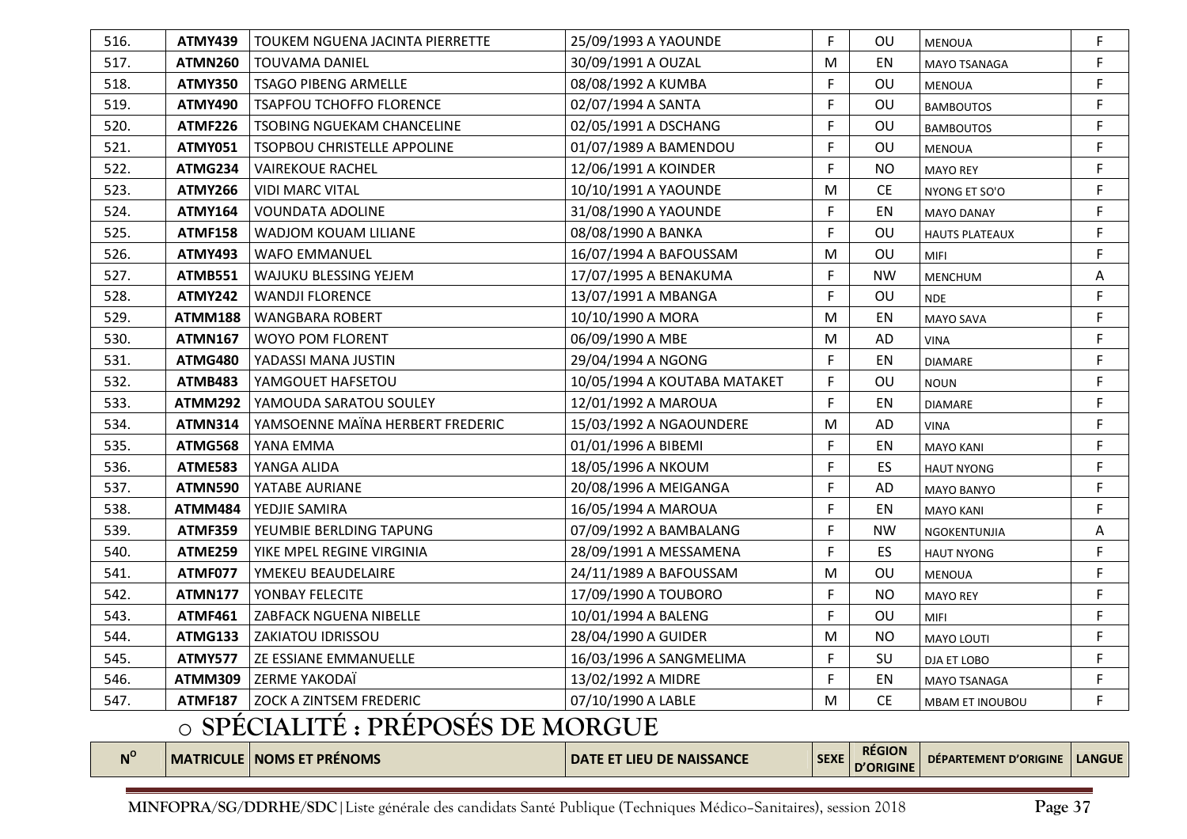| 516.        | <b>ATMY439</b> | <b>TOUKEM NGUENA JACINTA PIERRETTE</b>  | 25/09/1993 A YAOUNDE         | F.          | OU                                | MENOUA                 | F             |
|-------------|----------------|-----------------------------------------|------------------------------|-------------|-----------------------------------|------------------------|---------------|
| 517.        | <b>ATMN260</b> | <b>TOUVAMA DANIEL</b>                   | 30/09/1991 A OUZAL           | M           | EN                                | MAYO TSANAGA           | F             |
| 518.        | <b>ATMY350</b> | <b>TSAGO PIBENG ARMELLE</b>             | 08/08/1992 A KUMBA           | F.          | OU                                | <b>MENOUA</b>          | F             |
| 519.        | <b>ATMY490</b> | <b>TSAPFOU TCHOFFO FLORENCE</b>         | 02/07/1994 A SANTA           | F.          | OU                                | <b>BAMBOUTOS</b>       | F             |
| 520.        | <b>ATMF226</b> | <b>TSOBING NGUEKAM CHANCELINE</b>       | 02/05/1991 A DSCHANG         | F           | OU                                | <b>BAMBOUTOS</b>       | F             |
| 521.        | <b>ATMY051</b> | TSOPBOU CHRISTELLE APPOLINE             | 01/07/1989 A BAMENDOU        | F.          | OU                                | <b>MENOUA</b>          | F             |
| 522.        | ATMG234        | <b>VAIREKOUE RACHEL</b>                 | 12/06/1991 A KOINDER         | F.          | <b>NO</b>                         | <b>MAYO REY</b>        | F             |
| 523.        | <b>ATMY266</b> | <b>VIDI MARC VITAL</b>                  | 10/10/1991 A YAOUNDE         | M           | <b>CE</b>                         | NYONG ET SO'O          | F             |
| 524.        | <b>ATMY164</b> | <b>VOUNDATA ADOLINE</b>                 | 31/08/1990 A YAOUNDE         | F.          | EN                                | <b>MAYO DANAY</b>      | F             |
| 525.        | <b>ATMF158</b> | WADJOM KOUAM LILIANE                    | 08/08/1990 A BANKA           | F           | OU                                | <b>HAUTS PLATEAUX</b>  | F             |
| 526.        | <b>ATMY493</b> | <b>WAFO EMMANUEL</b>                    | 16/07/1994 A BAFOUSSAM       | M           | OU                                | <b>MIFI</b>            | $\mathsf F$   |
| 527.        | ATMB551        | WAJUKU BLESSING YEJEM                   | 17/07/1995 A BENAKUMA        | F           | <b>NW</b>                         | <b>MENCHUM</b>         | Α             |
| 528.        | <b>ATMY242</b> | <b>WANDJI FLORENCE</b>                  | 13/07/1991 A MBANGA          | F           | OU                                | <b>NDE</b>             | F             |
| 529.        | <b>ATMM188</b> | <b>WANGBARA ROBERT</b>                  | 10/10/1990 A MORA            | M           | EN                                | MAYO SAVA              | F             |
| 530.        | <b>ATMN167</b> | WOYO POM FLORENT                        | 06/09/1990 A MBE             | M           | AD                                | <b>VINA</b>            | F             |
| 531.        | ATMG480        | YADASSI MANA JUSTIN                     | 29/04/1994 A NGONG           | F.          | EN                                | <b>DIAMARE</b>         | F             |
| 532.        | ATMB483        | YAMGOUET HAFSETOU                       | 10/05/1994 A KOUTABA MATAKET | F.          | OU                                | <b>NOUN</b>            | F             |
| 533.        | <b>ATMM292</b> | YAMOUDA SARATOU SOULEY                  | 12/01/1992 A MAROUA          | F.          | EN                                | <b>DIAMARE</b>         | F             |
| 534.        | <b>ATMN314</b> | YAMSOENNE MAÏNA HERBERT FREDERIC        | 15/03/1992 A NGAOUNDERE      | M           | AD                                | <b>VINA</b>            | F             |
| 535.        | ATMG568        | YANA EMMA                               | 01/01/1996 A BIBEMI          | F           | EN                                | <b>MAYO KANI</b>       | F             |
| 536.        | <b>ATME583</b> | YANGA ALIDA                             | 18/05/1996 A NKOUM           | F           | ES                                | <b>HAUT NYONG</b>      | F             |
| 537.        | <b>ATMN590</b> | YATABE AURIANE                          | 20/08/1996 A MEIGANGA        | F           | AD                                | <b>MAYO BANYO</b>      | F             |
| 538.        | <b>ATMM484</b> | YEDJIE SAMIRA                           | 16/05/1994 A MAROUA          | F           | EN                                | <b>MAYO KANI</b>       | F             |
| 539.        | <b>ATMF359</b> | YEUMBIE BERLDING TAPUNG                 | 07/09/1992 A BAMBALANG       | F           | <b>NW</b>                         | NGOKENTUNJIA           | Α             |
| 540.        | ATME259        | YIKE MPEL REGINE VIRGINIA               | 28/09/1991 A MESSAMENA       | F.          | ES                                | <b>HAUT NYONG</b>      | F             |
| 541.        | ATMF077        | YMEKEU BEAUDELAIRE                      | 24/11/1989 A BAFOUSSAM       | M           | OU                                | <b>MENOUA</b>          | F             |
| 542.        | <b>ATMN177</b> | YONBAY FELECITE                         | 17/09/1990 A TOUBORO         | F.          | <b>NO</b>                         | <b>MAYO REY</b>        | F             |
| 543.        | <b>ATMF461</b> | ZABFACK NGUENA NIBELLE                  | 10/01/1994 A BALENG          | F.          | OU                                | MIFI                   | F             |
| 544.        | <b>ATMG133</b> | <b>ZAKIATOU IDRISSOU</b>                | 28/04/1990 A GUIDER          | M           | <b>NO</b>                         | MAYO LOUTI             | F             |
| 545.        | ATMY577        | <b>ZE ESSIANE EMMANUELLE</b>            | 16/03/1996 A SANGMELIMA      | F.          | SU                                | DJA ET LOBO            | F             |
| 546.        | <b>ATMM309</b> | ZERME YAKODAÏ                           | 13/02/1992 A MIDRE           | F.          | EN                                | <b>MAYO TSANAGA</b>    | F             |
| 547.        | <b>ATMF187</b> | <b>ZOCK A ZINTSEM FREDERIC</b>          | 07/10/1990 A LABLE           | M           | <b>CE</b>                         | <b>MBAM ET INOUBOU</b> | F             |
|             |                | <b>O SPÉCIALITÉ: PRÉPOSÉS DE MORGUE</b> |                              |             |                                   |                        |               |
| $N^{\rm o}$ |                | <b>MATRICULE   NOMS ET PRÉNOMS</b>      | DATE ET LIEU DE NAISSANCE    | <b>SEXE</b> | <b>RÉGION</b><br><b>D'ORIGINE</b> | DÉPARTEMENT D'ORIGINE  | <b>LANGUE</b> |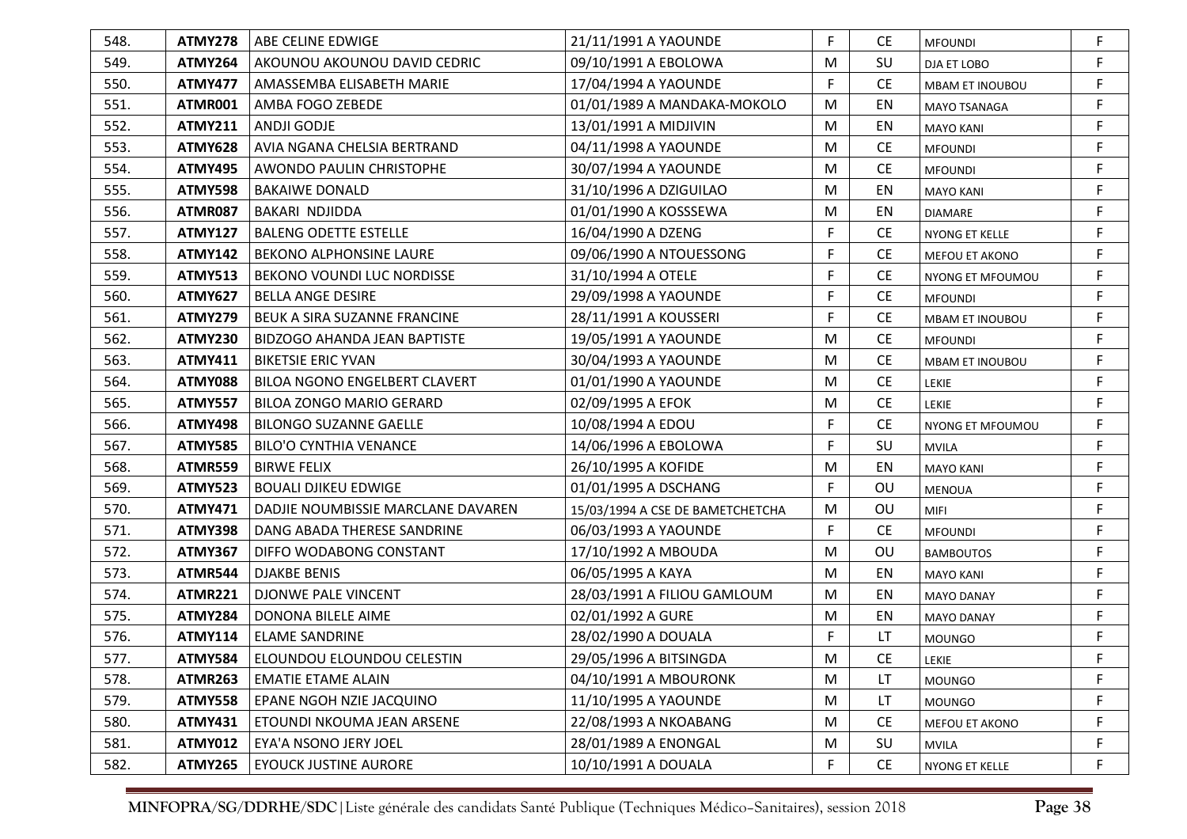| 548. | ATMY278        | ABE CELINE EDWIGE                  | 21/11/1991 A YAOUNDE             | F           | CE.       | <b>MFOUNDI</b>         | F           |
|------|----------------|------------------------------------|----------------------------------|-------------|-----------|------------------------|-------------|
| 549. | <b>ATMY264</b> | AKOUNOU AKOUNOU DAVID CEDRIC       | 09/10/1991 A EBOLOWA             | M           | SU        | DJA ET LOBO            | F           |
| 550. | <b>ATMY477</b> | AMASSEMBA ELISABETH MARIE          | 17/04/1994 A YAOUNDE             | F           | <b>CE</b> | <b>MBAM ET INOUBOU</b> | F           |
| 551. | ATMR001        | AMBA FOGO ZEBEDE                   | 01/01/1989 A MANDAKA-MOKOLO      | M           | EN        | <b>MAYO TSANAGA</b>    | F           |
| 552. | <b>ATMY211</b> | ANDJI GODJE                        | 13/01/1991 A MIDJIVIN            | M           | EN        | <b>MAYO KANI</b>       | F           |
| 553. | <b>ATMY628</b> | AVIA NGANA CHELSIA BERTRAND        | 04/11/1998 A YAOUNDE             | M           | <b>CE</b> | <b>MFOUNDI</b>         | F           |
| 554. | <b>ATMY495</b> | AWONDO PAULIN CHRISTOPHE           | 30/07/1994 A YAOUNDE             | M           | <b>CE</b> | <b>MFOUNDI</b>         | F           |
| 555. | <b>ATMY598</b> | <b>BAKAIWE DONALD</b>              | 31/10/1996 A DZIGUILAO           | M           | EN        | <b>MAYO KANI</b>       | F           |
| 556. | <b>ATMR087</b> | BAKARI NDJIDDA                     | 01/01/1990 A KOSSSEWA            | M           | EN        | <b>DIAMARE</b>         | F           |
| 557. | <b>ATMY127</b> | <b>BALENG ODETTE ESTELLE</b>       | 16/04/1990 A DZENG               | F           | <b>CE</b> | NYONG ET KELLE         | F           |
| 558. | <b>ATMY142</b> | <b>BEKONO ALPHONSINE LAURE</b>     | 09/06/1990 A NTOUESSONG          | F           | <b>CE</b> | MEFOU ET AKONO         | F           |
| 559. | <b>ATMY513</b> | <b>BEKONO VOUNDI LUC NORDISSE</b>  | 31/10/1994 A OTELE               | F           | <b>CE</b> | NYONG ET MFOUMOU       | F           |
| 560. | <b>ATMY627</b> | <b>BELLA ANGE DESIRE</b>           | 29/09/1998 A YAOUNDE             | F           | <b>CE</b> | <b>MFOUNDI</b>         | F           |
| 561. | <b>ATMY279</b> | BEUK A SIRA SUZANNE FRANCINE       | 28/11/1991 A KOUSSERI            | F           | <b>CE</b> | <b>MBAM ET INOUBOU</b> | F           |
| 562. | <b>ATMY230</b> | BIDZOGO AHANDA JEAN BAPTISTE       | 19/05/1991 A YAOUNDE             | M           | <b>CE</b> | <b>MFOUNDI</b>         | F           |
| 563. | <b>ATMY411</b> | <b>BIKETSIE ERIC YVAN</b>          | 30/04/1993 A YAOUNDE             | M           | <b>CE</b> | <b>MBAM ET INOUBOU</b> | F           |
| 564. | <b>ATMY088</b> | BILOA NGONO ENGELBERT CLAVERT      | 01/01/1990 A YAOUNDE             | M           | <b>CE</b> | <b>LEKIE</b>           | F           |
| 565. | <b>ATMY557</b> | <b>BILOA ZONGO MARIO GERARD</b>    | 02/09/1995 A EFOK                | M           | <b>CE</b> | LEKIE                  | F           |
| 566. | <b>ATMY498</b> | <b>BILONGO SUZANNE GAELLE</b>      | 10/08/1994 A EDOU                | F           | <b>CE</b> | NYONG ET MFOUMOU       | F           |
| 567. | <b>ATMY585</b> | <b>BILO'O CYNTHIA VENANCE</b>      | 14/06/1996 A EBOLOWA             | F.          | SU        | <b>MVILA</b>           | F           |
| 568. | <b>ATMR559</b> | <b>BIRWE FELIX</b>                 | 26/10/1995 A KOFIDE              | M           | EN        | <b>MAYO KANI</b>       | F           |
| 569. | <b>ATMY523</b> | <b>BOUALI DJIKEU EDWIGE</b>        | 01/01/1995 A DSCHANG             | $\mathsf F$ | OU        | <b>MENOUA</b>          | F           |
| 570. | <b>ATMY471</b> | DADJIE NOUMBISSIE MARCLANE DAVAREN | 15/03/1994 A CSE DE BAMETCHETCHA | M           | OU        | <b>MIFI</b>            | F           |
| 571. | <b>ATMY398</b> | DANG ABADA THERESE SANDRINE        | 06/03/1993 A YAOUNDE             | $\mathsf F$ | <b>CE</b> | <b>MFOUNDI</b>         | F           |
| 572. | <b>ATMY367</b> | DIFFO WODABONG CONSTANT            | 17/10/1992 A MBOUDA              | M           | OU        | <b>BAMBOUTOS</b>       | $\mathsf F$ |
| 573. | <b>ATMR544</b> | <b>DJAKBE BENIS</b>                | 06/05/1995 A KAYA                | M           | EN        | <b>MAYO KANI</b>       | F           |
| 574. | <b>ATMR221</b> | <b>DJONWE PALE VINCENT</b>         | 28/03/1991 A FILIOU GAMLOUM      | M           | EN        | <b>MAYO DANAY</b>      | F           |
| 575. | <b>ATMY284</b> | DONONA BILELE AIME                 | 02/01/1992 A GURE                | M           | EN        | <b>MAYO DANAY</b>      | F           |
| 576. | <b>ATMY114</b> | <b>ELAME SANDRINE</b>              | 28/02/1990 A DOUALA              | F           | LT        | <b>MOUNGO</b>          | F           |
| 577. | ATMY584        | ELOUNDOU ELOUNDOU CELESTIN         | 29/05/1996 A BITSINGDA           | M           | <b>CE</b> | LEKIE                  |             |
| 578. | <b>ATMR263</b> | <b>EMATIE ETAME ALAIN</b>          | 04/10/1991 A MBOURONK            | M           | LT        | <b>MOUNGO</b>          | F           |
| 579. | <b>ATMY558</b> | EPANE NGOH NZIE JACQUINO           | 11/10/1995 A YAOUNDE             | M           | LT        | <b>MOUNGO</b>          | F           |
| 580. | <b>ATMY431</b> | ETOUNDI NKOUMA JEAN ARSENE         | 22/08/1993 A NKOABANG            | M           | <b>CE</b> | MEFOU ET AKONO         | F           |
| 581. | <b>ATMY012</b> | EYA'A NSONO JERY JOEL              | 28/01/1989 A ENONGAL             | M           | SU        | <b>MVILA</b>           | F           |
| 582. | <b>ATMY265</b> | <b>EYOUCK JUSTINE AURORE</b>       | 10/10/1991 A DOUALA              | F           | <b>CE</b> | NYONG ET KELLE         | F           |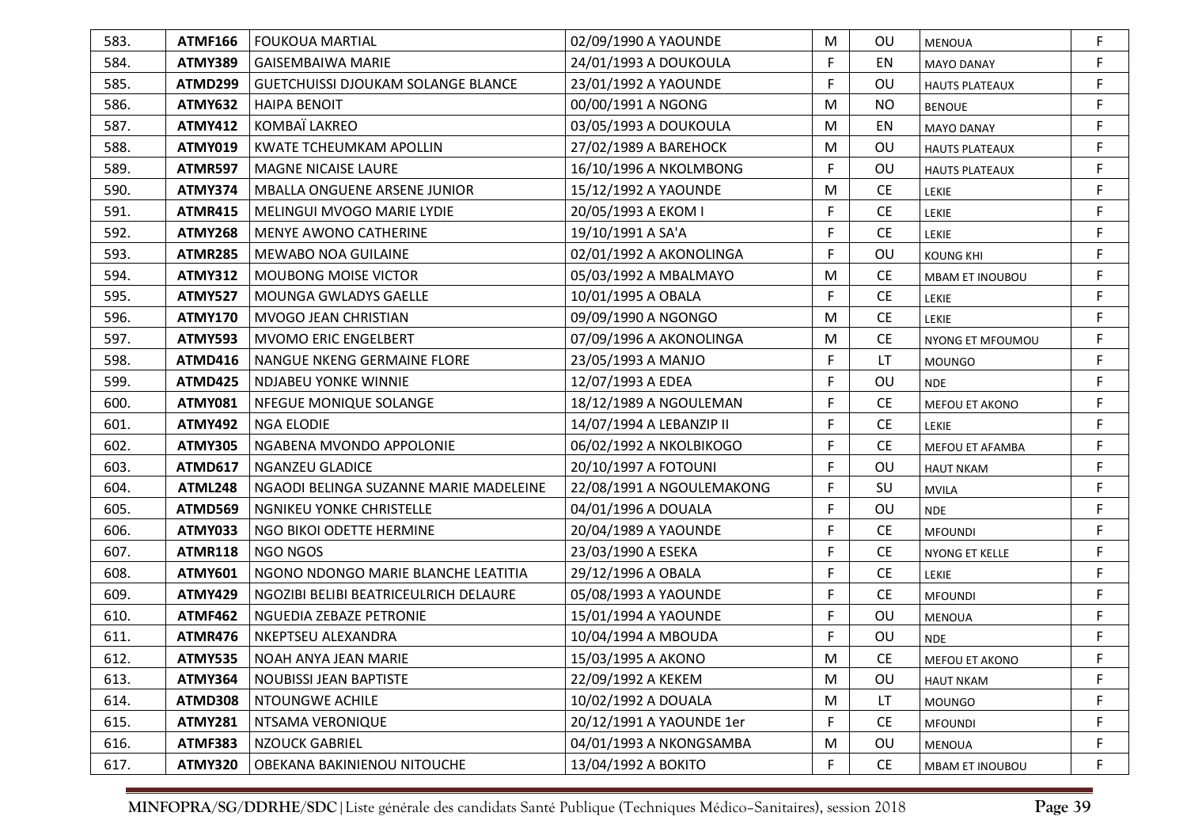| 583. | ATMF166        | l FOUKOUA MARTIAL                         | 02/09/1990 A YAOUNDE      | M  | <b>OU</b> | <b>MENOUA</b>          | F           |
|------|----------------|-------------------------------------------|---------------------------|----|-----------|------------------------|-------------|
| 584. | <b>ATMY389</b> | <b>GAISEMBAIWA MARIE</b>                  | 24/01/1993 A DOUKOULA     | F  | EN        | <b>MAYO DANAY</b>      | F           |
| 585. | ATMD299        | <b>GUETCHUISSI DJOUKAM SOLANGE BLANCE</b> | 23/01/1992 A YAOUNDE      | F  | <b>OU</b> | <b>HAUTS PLATEAUX</b>  | F           |
| 586. | <b>ATMY632</b> | <b>HAIPA BENOIT</b>                       | 00/00/1991 A NGONG        | M  | <b>NO</b> | <b>BENOUE</b>          | $\mathsf F$ |
| 587. | <b>ATMY412</b> | KOMBAÏ LAKREO                             | 03/05/1993 A DOUKOULA     | M  | EN        | <b>MAYO DANAY</b>      | F           |
| 588. | <b>ATMY019</b> | <b>KWATE TCHEUMKAM APOLLIN</b>            | 27/02/1989 A BAREHOCK     | M  | <b>OU</b> | <b>HAUTS PLATEAUX</b>  | F           |
| 589. | <b>ATMR597</b> | <b>MAGNE NICAISE LAURE</b>                | 16/10/1996 A NKOLMBONG    | F  | <b>OU</b> | <b>HAUTS PLATEAUX</b>  | F           |
| 590. | <b>ATMY374</b> | MBALLA ONGUENE ARSENE JUNIOR              | 15/12/1992 A YAOUNDE      | M  | <b>CE</b> | LEKIE                  | F           |
| 591. | <b>ATMR415</b> | MELINGUI MVOGO MARIE LYDIE                | 20/05/1993 A EKOM I       | F  | <b>CE</b> | <b>LEKIE</b>           | F           |
| 592. | <b>ATMY268</b> | <b>MENYE AWONO CATHERINE</b>              | 19/10/1991 A SA'A         | F  | <b>CE</b> | <b>LEKIE</b>           | F           |
| 593. | <b>ATMR285</b> | <b>MEWABO NOA GUILAINE</b>                | 02/01/1992 A AKONOLINGA   | F  | OU        | <b>KOUNG KHI</b>       | F           |
| 594. | <b>ATMY312</b> | <b>MOUBONG MOISE VICTOR</b>               | 05/03/1992 A MBALMAYO     | M  | <b>CE</b> | MBAM ET INOUBOU        | F           |
| 595. | <b>ATMY527</b> | <b>MOUNGA GWLADYS GAELLE</b>              | 10/01/1995 A OBALA        | F. | <b>CE</b> | <b>LEKIE</b>           | F           |
| 596. | <b>ATMY170</b> | <b>MVOGO JEAN CHRISTIAN</b>               | 09/09/1990 A NGONGO       | M  | <b>CE</b> | <b>LEKIE</b>           | F           |
| 597. | <b>ATMY593</b> | MVOMO ERIC ENGELBERT                      | 07/09/1996 A AKONOLINGA   | M  | <b>CE</b> | NYONG ET MFOUMOU       | F           |
| 598. | <b>ATMD416</b> | NANGUE NKENG GERMAINE FLORE               | 23/05/1993 A MANJO        | F  | LT        | <b>MOUNGO</b>          | F           |
| 599. | <b>ATMD425</b> | <b>NDJABEU YONKE WINNIE</b>               | 12/07/1993 A EDEA         | F  | OU        | <b>NDE</b>             | F           |
| 600. | <b>ATMY081</b> | NFEGUE MONIQUE SOLANGE                    | 18/12/1989 A NGOULEMAN    | F  | <b>CE</b> | MEFOU ET AKONO         | F           |
| 601. | <b>ATMY492</b> | <b>NGA ELODIE</b>                         | 14/07/1994 A LEBANZIP II  | F  | <b>CE</b> | <b>LEKIE</b>           | F           |
| 602. | <b>ATMY305</b> | NGABENA MVONDO APPOLONIE                  | 06/02/1992 A NKOLBIKOGO   | F  | <b>CE</b> | MEFOU ET AFAMBA        | $\mathsf F$ |
| 603. | <b>ATMD617</b> | <b>NGANZEU GLADICE</b>                    | 20/10/1997 A FOTOUNI      | F  | OU        | <b>HAUT NKAM</b>       | $\mathsf F$ |
| 604. | ATML248        | NGAODI BELINGA SUZANNE MARIE MADELEINE    | 22/08/1991 A NGOULEMAKONG | F  | SU        | <b>MVILA</b>           | $\mathsf F$ |
| 605. | ATMD569        | NGNIKEU YONKE CHRISTELLE                  | 04/01/1996 A DOUALA       | F  | OU        | <b>NDE</b>             | F           |
| 606. | ATMY033        | NGO BIKOI ODETTE HERMINE                  | 20/04/1989 A YAOUNDE      | F  | <b>CE</b> | <b>MFOUNDI</b>         | $\mathsf F$ |
| 607. | <b>ATMR118</b> | NGO NGOS                                  | 23/03/1990 A ESEKA        | F  | <b>CE</b> | NYONG ET KELLE         | F           |
| 608. | <b>ATMY601</b> | NGONO NDONGO MARIE BLANCHE LEATITIA       | 29/12/1996 A OBALA        | F  | <b>CE</b> | <b>LEKIE</b>           | $\mathsf F$ |
| 609. | <b>ATMY429</b> | NGOZIBI BELIBI BEATRICEULRICH DELAURE     | 05/08/1993 A YAOUNDE      | F  | <b>CE</b> | <b>MFOUNDI</b>         | $\mathsf F$ |
| 610. | <b>ATMF462</b> | NGUEDIA ZEBAZE PETRONIE                   | 15/01/1994 A YAOUNDE      | F  | OU        | <b>MENOUA</b>          | $\mathsf F$ |
| 611. | <b>ATMR476</b> | NKEPTSEU ALEXANDRA                        | 10/04/1994 A MBOUDA       | F  | OU        | <b>NDE</b>             | $\mathsf F$ |
| 612. | ATMY535        | NOAH ANYA JEAN MARIE                      | 15/03/1995 A AKONO        | м  | <b>CE</b> | <b>MEFOU ET AKONO</b>  | F           |
| 613. | <b>ATMY364</b> | <b>NOUBISSI JEAN BAPTISTE</b>             | 22/09/1992 A KEKEM        | M  | OU        | <b>HAUT NKAM</b>       | F           |
| 614. | ATMD308        | NTOUNGWE ACHILE                           | 10/02/1992 A DOUALA       | M  | LT        | <b>MOUNGO</b>          | F           |
| 615. | <b>ATMY281</b> | NTSAMA VERONIQUE                          | 20/12/1991 A YAOUNDE 1er  | F  | <b>CE</b> | <b>MFOUNDI</b>         | F           |
| 616. | <b>ATMF383</b> | <b>NZOUCK GABRIEL</b>                     | 04/01/1993 A NKONGSAMBA   | M  | OU        | MENOUA                 | F           |
| 617. | <b>ATMY320</b> | OBEKANA BAKINIENOU NITOUCHE               | 13/04/1992 A BOKITO       | F  | <b>CE</b> | <b>MBAM ET INOUBOU</b> | F           |